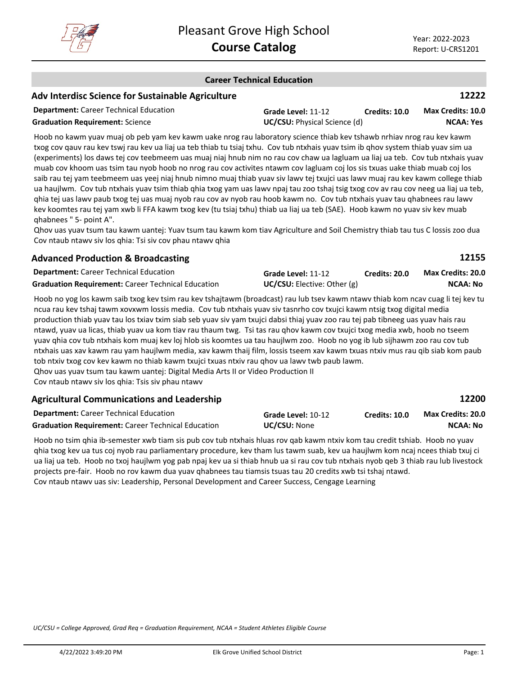

**12155**

**12200**

#### **Career Technical Education**

## **Adv Interdisc Science for Sustainable Agriculture**

| <b>Department:</b> Career Technical Education | Grade Level: 11-12                  | <b>Credits: 10.0</b> | <b>Max Credits: 10.0</b> |
|-----------------------------------------------|-------------------------------------|----------------------|--------------------------|
| <b>Graduation Requirement: Science</b>        | <b>UC/CSU:</b> Physical Science (d) |                      | <b>NCAA: Yes</b>         |

Hoob no kawm yuav muaj ob peb yam kev kawm uake nrog rau laboratory science thiab kev tshawb nrhiav nrog rau kev kawm txog cov qauv rau kev tswj rau kev ua liaj ua teb thiab tu tsiaj txhu. Cov tub ntxhais yuav tsim ib qhov system thiab yuav sim ua (experiments) los daws tej cov teebmeem uas muaj niaj hnub nim no rau cov chaw ua lagluam ua liaj ua teb. Cov tub ntxhais yuav muab cov khoom uas tsim tau nyob hoob no nrog rau cov activites ntawm cov lagluam coj los sis txuas uake thiab muab coj los saib rau tej yam teebmeem uas yeej niaj hnub nimno muaj thiab yuav siv lawv tej txujci uas lawv muaj rau kev kawm college thiab ua haujlwm. Cov tub ntxhais yuav tsim thiab qhia txog yam uas lawv npaj tau zoo tshaj tsig txog cov av rau cov neeg ua liaj ua teb, qhia tej uas lawv paub txog tej uas muaj nyob rau cov av nyob rau hoob kawm no. Cov tub ntxhais yuav tau qhabnees rau lawv kev koomtes rau tej yam xwb li FFA kawm txog kev (tu tsiaj txhu) thiab ua liaj ua teb (SAE). Hoob kawm no yuav siv kev muab qhabnees " 5- point A".

Qhov uas yuav tsum tau kawm uantej: Yuav tsum tau kawm kom tiav Agriculture and Soil Chemistry thiab tau tus C lossis zoo dua Cov ntaub ntawv siv los qhia: Tsi siv cov phau ntawv qhia

## **Advanced Production & Broadcasting**

| <b>Department:</b> Career Technical Education             | Grade Level: 11-12                 | Credits: 20.0 | <b>Max Credits: 20.0</b> |
|-----------------------------------------------------------|------------------------------------|---------------|--------------------------|
| <b>Graduation Requirement:</b> Career Technical Education | <b>UC/CSU:</b> Elective: Other (g) |               | NCAA: No                 |

Hoob no yog los kawm saib txog kev tsim rau kev tshajtawm (broadcast) rau lub tsev kawm ntawv thiab kom ncav cuag li tej kev tu ncua rau kev tshaj tawm xovxwm lossis media. Cov tub ntxhais yuav siv tasnrho cov txujci kawm ntsig txog digital media production thiab yuav tau los txiav txim siab seb yuav siv yam txujci dabsi thiaj yuav zoo rau tej pab tibneeg uas yuav hais rau ntawd, yuav ua licas, thiab yuav ua kom tiav rau thaum twg. Tsi tas rau qhov kawm cov txujci txog media xwb, hoob no tseem yuav qhia cov tub ntxhais kom muaj kev loj hlob sis koomtes ua tau haujlwm zoo. Hoob no yog ib lub sijhawm zoo rau cov tub ntxhais uas xav kawm rau yam haujlwm media, xav kawm thaij film, lossis tseem xav kawm txuas ntxiv mus rau qib siab kom paub tob ntxiv txog cov kev kawm no thiab kawm txujci txuas ntxiv rau qhov ua lawv twb paub lawm. Qhov uas yuav tsum tau kawm uantej: Digital Media Arts II or Video Production II Cov ntaub ntawv siv los qhia: Tsis siv phau ntawv

#### **Agricultural Communications and Leadership**

| <b>Department:</b> Career Technical Education             | Grade Level: 10-12  | <b>Credits: 10.0</b> | <b>Max Credits: 20.0</b> |
|-----------------------------------------------------------|---------------------|----------------------|--------------------------|
| <b>Graduation Requirement: Career Technical Education</b> | <b>UC/CSU: None</b> |                      | <b>NCAA: No</b>          |

Hoob no tsim qhia ib-semester xwb tiam sis pub cov tub ntxhais hluas rov qab kawm ntxiv kom tau credit tshiab. Hoob no yuav qhia txog kev ua tus coj nyob rau parliamentary procedure, kev tham lus tawm suab, kev ua haujlwm kom ncaj ncees thiab txuj ci ua liaj ua teb. Hoob no txoj haujlwm yog pab npaj kev ua si thiab hnub ua si rau cov tub ntxhais nyob qeb 3 thiab rau lub livestock projects pre-fair. Hoob no rov kawm dua yuav qhabnees tau tiamsis tsuas tau 20 credits xwb tsi tshaj ntawd. Cov ntaub ntawv uas siv: Leadership, Personal Development and Career Success, Cengage Learning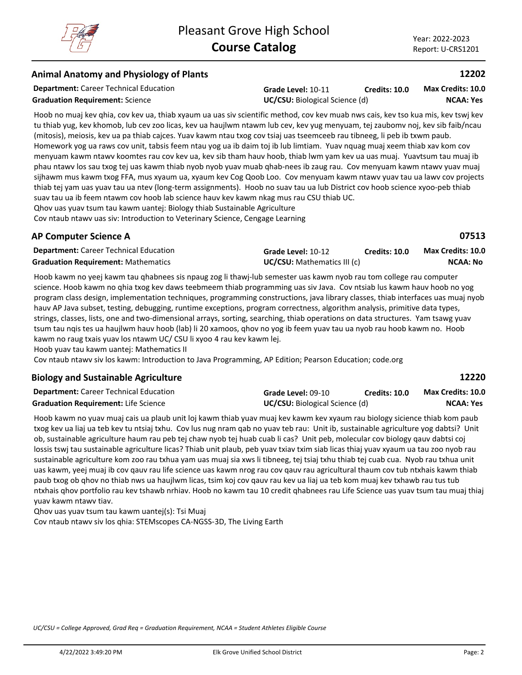## **Animal Anatomy and Physiology of Plants**

**Department:** Career Technical Education

**Graduation Requirement:** Science **UC/CSU:** Biological Science (d)

**Grade Level:** 10-11 **Credits: 10.0**

**NCAA: Yes Max Credits: 10.0**

Hoob no muaj kev qhia, cov kev ua, thiab xyaum ua uas siv scientific method, cov kev muab nws cais, kev tso kua mis, kev tswj kev tu thiab yug, kev khomob, lub cev zoo licas, kev ua haujlwm ntawm lub cev, kev yug menyuam, tej zaubomv noj, kev sib faib/ncau (mitosis), meiosis, kev ua pa thiab cajces. Yuav kawm ntau txog cov tsiaj uas tseemceeb rau tibneeg, li peb ib txwm paub. Homework yog ua raws cov unit, tabsis feem ntau yog ua ib daim toj ib lub limtiam. Yuav nquag muaj xeem thiab xav kom cov menyuam kawm ntawv koomtes rau cov kev ua, kev sib tham hauv hoob, thiab lwm yam kev ua uas muaj. Yuavtsum tau muaj ib phau ntawv los sau txog tej uas kawm thiab nyob nyob yuav muab qhab-nees ib zaug rau. Cov menyuam kawm ntawv yuav muaj sijhawm mus kawm txog FFA, mus xyaum ua, xyaum kev Cog Qoob Loo. Cov menyuam kawm ntawv yuav tau ua lawv cov projects thiab tej yam uas yuav tau ua ntev (long-term assignments). Hoob no suav tau ua lub District cov hoob science xyoo-peb thiab suav tau ua ib feem ntawm cov hoob lab science hauv kev kawm nkag mus rau CSU thiab UC.

Qhov uas yuav tsum tau kawm uantej: Biology thiab Sustainable Agriculture

Cov ntaub ntawv uas siv: Introduction to Veterinary Science, Cengage Learning

## **AP Computer Science A**

**07513**

| <b>Department:</b> Career Technical Education | Grade Level: 10-12                 | <b>Credits: 10.0</b> | <b>Max Credits: 10.0</b> |
|-----------------------------------------------|------------------------------------|----------------------|--------------------------|
| <b>Graduation Requirement: Mathematics</b>    | <b>UC/CSU:</b> Mathematics III (c) |                      | NCAA: No                 |

Hoob kawm no yeej kawm tau qhabnees sis npaug zog li thawj-lub semester uas kawm nyob rau tom college rau computer science. Hoob kawm no qhia txog kev daws teebmeem thiab programming uas siv Java. Cov ntsiab lus kawm hauv hoob no yog program class design, implementation techniques, programming constructions, java library classes, thiab interfaces uas muaj nyob hauv AP Java subset, testing, debugging, runtime exceptions, program correctness, algorithm analysis, primitive data types, strings, classes, lists, one and two-dimensional arrays, sorting, searching, thiab operations on data structures. Yam tsawg yuav tsum tau nqis tes ua haujlwm hauv hoob (lab) li 20 xamoos, qhov no yog ib feem yuav tau ua nyob rau hoob kawm no. Hoob kawm no raug txais yuav los ntawm UC/ CSU li xyoo 4 rau kev kawm lej.

Hoob yuav tau kawm uantej: Mathematics II

Cov ntaub ntawv siv los kawm: Introduction to Java Programming, AP Edition; Pearson Education; code.org

#### **Biology and Sustainable Agriculture**

**12220**

| <b>Department:</b> Career Technical Education | Grade Level: 09-10                    | Credits: 10.0 | <b>Max Credits: 10.0</b> |
|-----------------------------------------------|---------------------------------------|---------------|--------------------------|
| <b>Graduation Requirement: Life Science</b>   | <b>UC/CSU:</b> Biological Science (d) |               | NCAA: Yes                |

Hoob kawm no yuav muaj cais ua plaub unit loj kawm thiab yuav muaj kev kawm kev xyaum rau biology sicience thiab kom paub txog kev ua liaj ua teb kev tu ntsiaj txhu. Cov lus nug nram qab no yuav teb rau: Unit ib, sustainable agriculture yog dabtsi? Unit ob, sustainable agriculture haum rau peb tej chaw nyob tej huab cuab li cas? Unit peb, molecular cov biology qauv dabtsi coj lossis tswj tau sustainable agriculture licas? Thiab unit plaub, peb yuav txiav txim siab licas thiaj yuav xyaum ua tau zoo nyob rau sustainable agriculture kom zoo rau txhua yam uas muaj sia xws li tibneeg, tej tsiaj txhu thiab tej cuab cua. Nyob rau txhua unit uas kawm, yeej muaj ib cov qauv rau life science uas kawm nrog rau cov qauv rau agricultural thaum cov tub ntxhais kawm thiab paub txog ob qhov no thiab nws ua haujlwm licas, tsim koj cov qauv rau kev ua liaj ua teb kom muaj kev txhawb rau tus tub ntxhais qhov portfolio rau kev tshawb nrhiav. Hoob no kawm tau 10 credit qhabnees rau Life Science uas yuav tsum tau muaj thiaj yuav kawm ntawv tiav.

Qhov uas yuav tsum tau kawm uantej(s): Tsi Muaj Cov ntaub ntawv siv los qhia: STEMscopes CA-NGSS-3D, The Living Earth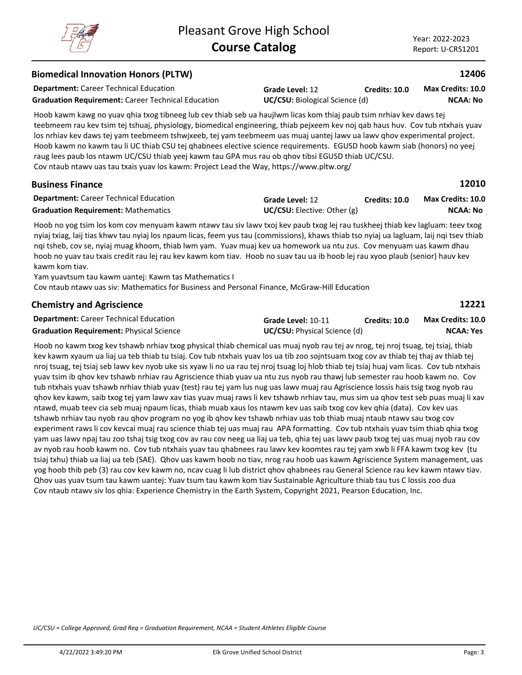#### **Department:** Career Technical Education **12406** Hoob kawm kawg no yuav qhia txog tibneeg lub cev thiab seb ua haujlwm licas kom thiaj paub tsim nrhiav kev daws tej teebmeem rau kev tsim tej tshuaj, physiology, biomedical engineering, thiab pejxeem kev noj qab haus huv. Cov tub ntxhais yuav los nrhiav kev daws tej yam teebmeem tshwjxeeb, tej yam teebmeem uas muaj uantej lawv ua lawv qhov experimental project. Hoob kawm no kawm tau li UC thiab CSU tej qhabnees elective science requirements. EGUSD hoob kawm siab (honors) no yeej raug lees paub los ntawm UC/CSU thiab yeej kawm tau GPA mus rau ob qhov tibsi EGUSD thiab UC/CSU. Cov ntaub ntawv uas tau txais yuav los kawm: Project Lead the Way, https://www.pltw.org/ **Biomedical Innovation Honors (PLTW) Grade Level:** 12 **Graduation Requirement:** Career Technical Education **UC/CSU:** Biological Science (d) **Credits: 10.0 NCAA: No Max Credits: 10.0 Department:** Career Technical Education **12010** Hoob no yog tsim los kom cov menyuam kawm ntawv tau siv lawv txoj kev paub txog lej rau tuskheej thiab kev lagluam: teev txog nyiaj txiag, laij tias khwv tau nyiaj los npaum licas, feem yus tau (commissions), khaws thiab tso nyiaj ua lagluam, laij nqi tsev thiab nqi tsheb, cov se, nyiaj muag khoom, thiab lwm yam. Yuav muaj kev ua homework ua ntu zus. Cov menyuam uas kawm dhau **Business Finance Grade Level:** 12 **Graduation Requirement:** Mathematics **UC/CSU:** Elective: Other (g) **Credits: 10.0 NCAA: No Max Credits: 10.0**

hoob no yuav tau txais credit rau lej rau kev kawm kom tiav. Hoob no suav tau ua ib hoob lej rau xyoo plaub (senior) hauv kev kawm kom tiav. Yam yuavtsum tau kawm uantej: Kawm tas Mathematics I

Cov ntaub ntawv uas siv: Mathematics for Business and Personal Finance, McGraw-Hill Education

| <b>Chemistry and Agriscience</b>              |  |
|-----------------------------------------------|--|
| <b>Donartmont:</b> Caroor Tochnical Education |  |

| <b>Department:</b> Career Technical Education   | Grade Level: 10-11                  | <b>Credits: 10.0</b> | <b>Max Credits: 10.0</b> |
|-------------------------------------------------|-------------------------------------|----------------------|--------------------------|
| <b>Graduation Requirement: Physical Science</b> | <b>UC/CSU:</b> Physical Science (d) |                      | NCAA: Yes                |

Hoob no kawm txog kev tshawb nrhiav txog physical thiab chemical uas muaj nyob rau tej av nrog, tej nroj tsuag, tej tsiaj, thiab kev kawm xyaum ua liaj ua teb thiab tu tsiaj. Cov tub ntxhais yuav los ua tib zoo sojntsuam txog cov av thiab tej thaj av thiab tej nroj tsuag, tej tsiaj seb lawv kev nyob uke sis xyaw li no ua rau tej nroj tsuag loj hlob thiab tej tsiaj huaj vam licas. Cov tub ntxhais yuav tsim ib qhov kev tshawb nrhiav rau Agriscience thiab yuav ua ntu zus nyob rau thawj lub semester rau hoob kawm no. Cov tub ntxhais yuav tshawb nrhiav thiab yuav (test) rau tej yam lus nug uas lawv muaj rau Agriscience lossis hais tsig txog nyob rau qhov kev kawm, saib txog tej yam lawv xav tias yuav muaj raws li kev tshawb nrhiav tau, mus sim ua qhov test seb puas muaj li xav ntawd, muab teev cia seb muaj npaum licas, thiab muab xaus los ntawm kev uas saib txog cov kev qhia (data). Cov kev uas tshawb nrhiav tau nyob rau qhov program no yog ib qhov kev tshawb nrhiav uas tob thiab muaj ntaub ntawv sau txog cov experiment raws li cov kevcai muaj rau science thiab tej uas muaj rau APA formatting. Cov tub ntxhais yuav tsim thiab qhia txog yam uas lawv npaj tau zoo tshaj tsig txog cov av rau cov neeg ua liaj ua teb, qhia tej uas lawv paub txog tej uas muaj nyob rau cov av nyob rau hoob kawm no. Cov tub ntxhais yuav tau qhabnees rau lawv kev koomtes rau tej yam xwb li FFA kawm txog kev (tu tsiaj txhu) thiab ua liaj ua teb (SAE). Qhov uas kawm hoob no tiav, nrog rau hoob uas kawm Agriscience System management, uas yog hoob thib peb (3) rau cov kev kawm no, ncav cuag li lub district qhov qhabnees rau General Science rau kev kawm ntawv tiav. Qhov uas yuav tsum tau kawm uantej: Yuav tsum tau kawm kom tiav Sustainable Agriculture thiab tau tus C lossis zoo dua Cov ntaub ntawv siv los qhia: Experience Chemistry in the Earth System, Copyright 2021, Pearson Education, Inc.

*UC/CSU = College Approved, Grad Req = Graduation Requirement, NCAA = Student Athletes Eligible Course*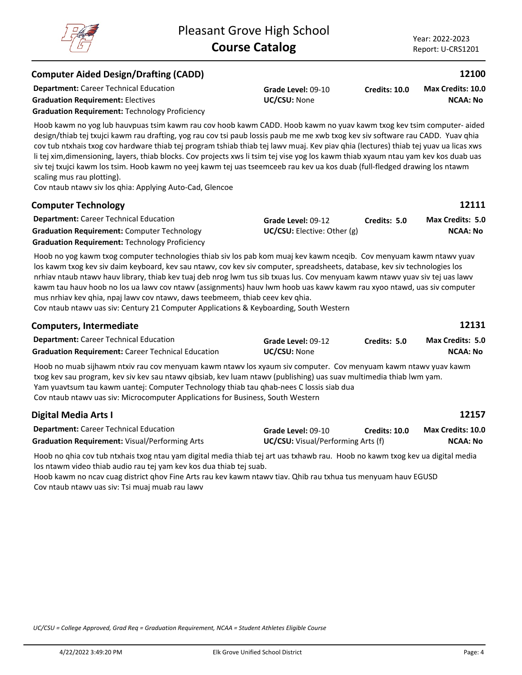| <b>Graduation Requirement: Electives</b>              | <b>UC/CSU:</b> None |
|-------------------------------------------------------|---------------------|
| <b>Graduation Requirement: Technology Proficiency</b> |                     |

**Department:** Career Technical Education

**Computer Aided Design/Drafting (CADD)**

Hoob kawm no yog lub hauvpuas tsim kawm rau cov hoob kawm CADD. Hoob kawm no yuav kawm txog kev tsim computer- aided design/thiab tej txujci kawm rau drafting, yog rau cov tsi paub lossis paub me me xwb txog kev siv software rau CADD. Yuav qhia cov tub ntxhais txog cov hardware thiab tej program tshiab thiab tej lawv muaj. Kev piav qhia (lectures) thiab tej yuav ua licas xws li tej xim,dimensioning, layers, thiab blocks. Cov projects xws li tsim tej vise yog los kawm thiab xyaum ntau yam kev kos duab uas siv tej txujci kawm los tsim. Hoob kawm no yeej kawm tej uas tseemceeb rau kev ua kos duab (full-fledged drawing los ntawm scaling mus rau plotting).

**Grade Level:** 09-10

Cov ntaub ntawv siv los qhia: Applying Auto-Cad, Glencoe

| <b>Computer Technology</b>                            |                                 |              | 12111                   |
|-------------------------------------------------------|---------------------------------|--------------|-------------------------|
| <b>Department:</b> Career Technical Education         | Grade Level: 09-12              | Credits: 5.0 | <b>Max Credits: 5.0</b> |
| <b>Graduation Requirement: Computer Technology</b>    | $UC/CSU:$ Elective: Other $(g)$ |              | <b>NCAA: No</b>         |
| <b>Graduation Requirement: Technology Proficiency</b> |                                 |              |                         |

Hoob no yog kawm txog computer technologies thiab siv los pab kom muaj kev kawm nceqib. Cov menyuam kawm ntawv yuav los kawm txog kev siv daim keyboard, kev sau ntawv, cov kev siv computer, spreadsheets, database, kev siv technologies los nrhiav ntaub ntawv hauv library, thiab kev tuaj deb nrog lwm tus sib txuas lus. Cov menyuam kawm ntawv yuav siv tej uas lawv kawm tau hauv hoob no los ua lawv cov ntawv (assignments) hauv lwm hoob uas kawv kawm rau xyoo ntawd, uas siv computer mus nrhiav kev qhia, npaj lawv cov ntawv, daws teebmeem, thiab ceev kev qhia.

Cov ntaub ntawv uas siv: Century 21 Computer Applications & Keyboarding, South Western

| <b>Computers, Intermediate</b>                                                                                 |                     |              | 12131                   |
|----------------------------------------------------------------------------------------------------------------|---------------------|--------------|-------------------------|
| <b>Department:</b> Career Technical Education                                                                  | Grade Level: 09-12  | Credits: 5.0 | <b>Max Credits: 5.0</b> |
| <b>Graduation Requirement: Career Technical Education</b>                                                      | <b>UC/CSU: None</b> |              | NCAA: No                |
| Hoob no muab sijhawm ntxiv rau cov menyuam kawm ntawy los xyaum siv computer. Cov menyuam kawm ntawy yuav kawm |                     |              |                         |

txog kev sau program, kev siv kev sau ntawv qibsiab, kev luam ntawv (publishing) uas suav multimedia thiab lwm yam. Yam yuavtsum tau kawm uantej: Computer Technology thiab tau qhab-nees C lossis siab dua Cov ntaub ntawv uas siv: Microcomputer Applications for Business, South Western

| Digital Media Arts I                                  |                                           |               | 12157             |
|-------------------------------------------------------|-------------------------------------------|---------------|-------------------|
| <b>Department:</b> Career Technical Education         | Grade Level: 09-10                        | Credits: 10.0 | Max Credits: 10.0 |
| <b>Graduation Requirement: Visual/Performing Arts</b> | <b>UC/CSU:</b> Visual/Performing Arts (f) |               | <b>NCAA: No</b>   |

Hoob no qhia cov tub ntxhais txog ntau yam digital media thiab tej art uas txhawb rau. Hoob no kawm txog kev ua digital media los ntawm video thiab audio rau tej yam kev kos dua thiab tej suab.

Hoob kawm no ncav cuag district qhov Fine Arts rau kev kawm ntawv tiav. Qhib rau txhua tus menyuam hauv EGUSD Cov ntaub ntawv uas siv: Tsi muaj muab rau lawv

*UC/CSU = College Approved, Grad Req = Graduation Requirement, NCAA = Student Athletes Eligible Course*



# **12100**

**NCAA: No**

**Max Credits: 10.0**

**Credits: 10.0**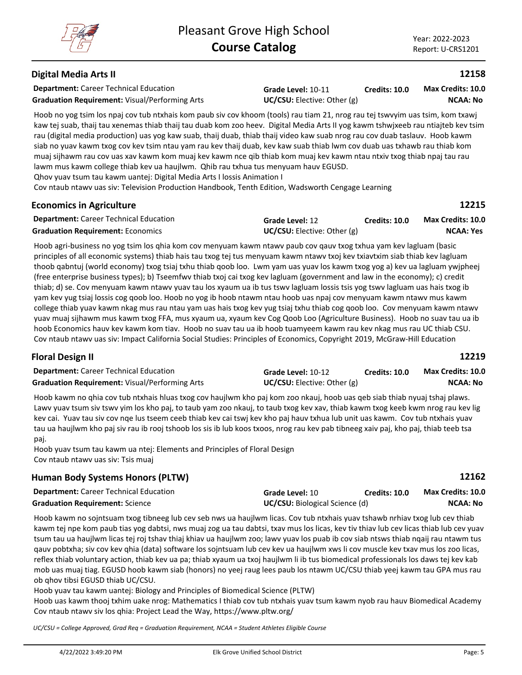**12215**

## **Digital Media Arts II**

**Department:** Career Technical Education **Graduation Requirement:** Visual/Performing Arts **UC/CSU:** Elective: Other (g)

**Grade Level:** 10-11

**Credits: 10.0 NCAA: No Max Credits: 10.0**

Hoob no yog tsim los npaj cov tub ntxhais kom paub siv cov khoom (tools) rau tiam 21, nrog rau tej tswvyim uas tsim, kom txawj kaw tej suab, thaij tau xenemas thiab thaij tau duab kom zoo heev. Digital Media Arts II yog kawm tshwjxeeb rau ntiajteb kev tsim rau (digital media production) uas yog kaw suab, thaij duab, thiab thaij video kaw suab nrog rau cov duab taslauv. Hoob kawm siab no yuav kawm txog cov kev tsim ntau yam rau kev thaij duab, kev kaw suab thiab lwm cov duab uas txhawb rau thiab kom muaj sijhawm rau cov uas xav kawm kom muaj kev kawm nce qib thiab kom muaj kev kawm ntau ntxiv txog thiab npaj tau rau lawm mus kawm college thiab kev ua haujlwm. Qhib rau txhua tus menyuam hauv EGUSD.

Qhov yuav tsum tau kawm uantej: Digital Media Arts I lossis Animation I

Cov ntaub ntawv uas siv: Television Production Handbook, Tenth Edition, Wadsworth Cengage Learning

#### **Economics in Agriculture**

| <b>Department:</b> Career Technical Education | Grade Level: 12                    | Credits: 10.0 | <b>Max Credits: 10.0</b> |
|-----------------------------------------------|------------------------------------|---------------|--------------------------|
| <b>Graduation Requirement: Economics</b>      | <b>UC/CSU:</b> Elective: Other (g) |               | <b>NCAA: Yes</b>         |

Hoob agri-business no yog tsim los qhia kom cov menyuam kawm ntawv paub cov qauv txog txhua yam kev lagluam (basic principles of all economic systems) thiab hais tau txog tej tus menyuam kawm ntawv txoj kev txiavtxim siab thiab kev lagluam thoob qabntuj (world economy) txog tsiaj txhu thiab qoob loo. Lwm yam uas yuav los kawm txog yog a) kev ua lagluam ywjpheej (free enterprise business types); b) Tseemfwv thiab txoj cai txog kev lagluam (government and law in the economy); c) credit thiab; d) se. Cov menyuam kawm ntawv yuav tau los xyaum ua ib tus tswv lagluam lossis tsis yog tswv lagluam uas hais txog ib yam kev yug tsiaj lossis cog qoob loo. Hoob no yog ib hoob ntawm ntau hoob uas npaj cov menyuam kawm ntawv mus kawm college thiab yuav kawm nkag mus rau ntau yam uas hais txog kev yug tsiaj txhu thiab cog qoob loo. Cov menyuam kawm ntawv yuav muaj sijhawm mus kawm txog FFA, mus xyaum ua, xyaum kev Cog Qoob Loo (Agriculture Business). Hoob no suav tau ua ib hoob Economics hauv kev kawm kom tiav. Hoob no suav tau ua ib hoob tuamyeem kawm rau kev nkag mus rau UC thiab CSU. Cov ntaub ntawv uas siv: Impact California Social Studies: Principles of Economics, Copyright 2019, McGraw-Hill Education

## **Floral Design II**

| <b>Department:</b> Career Technical Education         | Grade Level: 10-12         | <b>Credits: 10.0</b> | <b>Max Credits: 10.0</b> |
|-------------------------------------------------------|----------------------------|----------------------|--------------------------|
| <b>Graduation Requirement: Visual/Performing Arts</b> | UC/CSU: Electric: Other(g) |                      | NCAA: No                 |

Hoob kawm no qhia cov tub ntxhais hluas txog cov haujlwm kho paj kom zoo nkauj, hoob uas qeb siab thiab nyuaj tshaj plaws. Lawv yuav tsum siv tswv yim los kho paj, to taub yam zoo nkauj, to taub txog kev xav, thiab kawm txog keeb kwm nrog rau kev lig kev cai. Yuav tau siv cov nqe lus tseem ceeb thiab kev cai tswj kev kho paj hauv txhua lub unit uas kawm. Cov tub ntxhais yuav tau ua haujlwm kho paj siv rau ib rooj tshoob los sis ib lub koos txoos, nrog rau kev pab tibneeg xaiv paj, kho paj, thiab teeb tsa paj.

Hoob yuav tsum tau kawm ua ntej: Elements and Principles of Floral Design Cov ntaub ntawv uas siv: Tsis muaj

## **Human Body Systems Honors (PLTW)**

| <b>Department:</b> Career Technical Education | Grade Level: 10                       | Credits: 10.0 | <b>Max Credits: 10.0</b> |
|-----------------------------------------------|---------------------------------------|---------------|--------------------------|
| <b>Graduation Requirement: Science</b>        | <b>UC/CSU:</b> Biological Science (d) |               | NCAA: No                 |

Hoob kawm no sojntsuam txog tibneeg lub cev seb nws ua haujlwm licas. Cov tub ntxhais yuav tshawb nrhiav txog lub cev thiab kawm tej npe kom paub tias yog dabtsi, nws muaj zog ua tau dabtsi, txav mus los licas, kev tiv thiav lub cev licas thiab lub cev yuav tsum tau ua haujlwm licas tej roj tshav thiaj khiav ua haujlwm zoo; lawv yuav los puab ib cov siab ntsws thiab nqaij rau ntawm tus qauv pobtxha; siv cov kev qhia (data) software los sojntsuam lub cev kev ua haujlwm xws li cov muscle kev txav mus los zoo licas, reflex thiab voluntary action, thiab kev ua pa; thiab xyaum ua txoj haujlwm li ib tus biomedical professionals los daws tej kev kab mob uas muaj tiag. EGUSD hoob kawm siab (honors) no yeej raug lees paub los ntawm UC/CSU thiab yeej kawm tau GPA mus rau ob qhov tibsi EGUSD thiab UC/CSU.

Hoob yuav tau kawm uantej: Biology and Principles of Biomedical Science (PLTW) Hoob uas kawm thooj txhim uake nrog: Mathematics I thiab cov tub ntxhais yuav tsum kawm nyob rau hauv Biomedical Academy Cov ntaub ntawv siv los qhia: Project Lead the Way, https://www.pltw.org/

*UC/CSU = College Approved, Grad Req = Graduation Requirement, NCAA = Student Athletes Eligible Course*

**12219**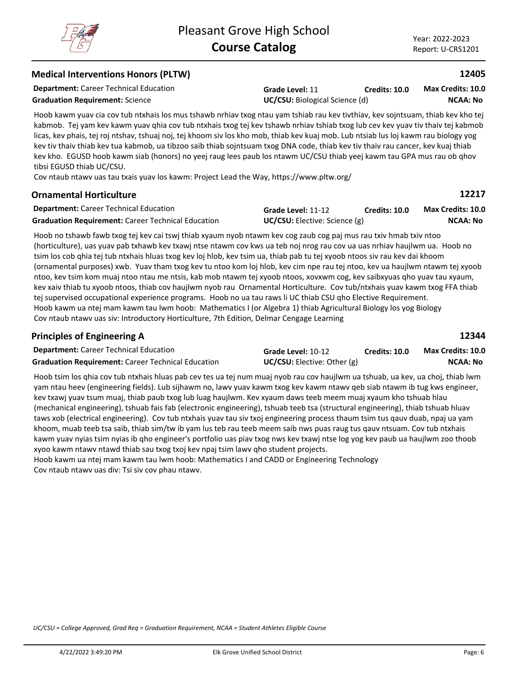*UC/CSU = College Approved, Grad Req = Graduation Requirement, NCAA = Student Athletes Eligible Course*

**Credits: 10.0**

## **Medical Interventions Honors (PLTW)**

kabmob. Tej yam kev kawm yuav qhia cov tub ntxhais txog tej kev tshawb nrhiav tshiab txog lub cev kev yuav tiv thaiv tej kabmob licas, kev phais, tej roj ntshav, tshuaj noj, tej khoom siv los kho mob, thiab kev kuaj mob. Lub ntsiab lus loj kawm rau biology yog kev tiv thaiv thiab kev tua kabmob, ua tibzoo saib thiab sojntsuam txog DNA code, thiab kev tiv thaiv rau cancer, kev kuaj thiab kev kho. EGUSD hoob kawm siab (honors) no yeej raug lees paub los ntawm UC/CSU thiab yeej kawm tau GPA mus rau ob qhov tibsi EGUSD thiab UC/CSU.

**Grade Level:** 11

Cov ntaub ntawv uas tau txais yuav los kawm: Project Lead the Way, https://www.pltw.org/

## **Ornamental Horticulture**

| <b>Department:</b> Career Technical Education             | Grade Level: 11-12                   | Credits: 10.0 | <b>Max Credits: 10.0</b> |
|-----------------------------------------------------------|--------------------------------------|---------------|--------------------------|
| <b>Graduation Requirement:</b> Career Technical Education | <b>UC/CSU:</b> Elective: Science (g) |               | NCAA: No                 |

Hoob no tshawb fawb txog tej kev cai tswj thiab xyaum nyob ntawm kev cog zaub cog paj mus rau txiv hmab txiv ntoo (horticulture), uas yuav pab txhawb kev txawj ntse ntawm cov kws ua teb noj nrog rau cov ua uas nrhiav haujlwm ua. Hoob no tsim los cob qhia tej tub ntxhais hluas txog kev loj hlob, kev tsim ua, thiab pab tu tej xyoob ntoos siv rau kev dai khoom (ornamental purposes) xwb. Yuav tham txog kev tu ntoo kom loj hlob, kev cim npe rau tej ntoo, kev ua haujlwm ntawm tej xyoob ntoo, kev tsim kom muaj ntoo ntau me ntsis, kab mob ntawm tej xyoob ntoos, xovxwm cog, kev saibxyuas qho yuav tau xyaum, kev xaiv thiab tu xyoob ntoos, thiab cov haujlwm nyob rau Ornamental Horticulture. Cov tub/ntxhais yuav kawm txog FFA thiab tej supervised occupational experience programs. Hoob no ua tau raws li UC thiab CSU qho Elective Requirement. Hoob kawm ua ntej mam kawm tau lwm hoob: Mathematics I (or Algebra 1) thiab Agricultural Biology los yog Biology Cov ntaub ntawv uas siv: Introductory Horticulture, 7th Edition, Delmar Cengage Learning

#### **Principles of Engineering A**

| <b>Department: Career Technical Education</b>             | Grade Level: 10-12                   | <b>Credits: 10.0</b> | <b>Max Credits: 10.0</b> |
|-----------------------------------------------------------|--------------------------------------|----------------------|--------------------------|
| <b>Graduation Requirement:</b> Career Technical Education | <b>UC/CSU:</b> Elective: Other $(g)$ |                      | NCAA: No                 |

Hoob tsim los qhia cov tub ntxhais hluas pab cev tes ua tej num muaj nyob rau cov haujlwm ua tshuab, ua kev, ua choj, thiab lwm yam ntau heev (engineering fields). Lub sijhawm no, lawv yuav kawm txog kev kawm ntawv qeb siab ntawm ib tug kws engineer, kev txawj yuav tsum muaj, thiab paub txog lub luag haujlwm. Kev xyaum daws teeb meem muaj xyaum kho tshuab hlau (mechanical engineering), tshuab fais fab (electronic engineering), tshuab teeb tsa (structural engineering), thiab tshuab hluav taws xob (electrical engineering). Cov tub ntxhais yuav tau siv txoj engineering process thaum tsim tus qauv duab, npaj ua yam khoom, muab teeb tsa saib, thiab sim/tw ib yam lus teb rau teeb meem saib nws puas raug tus qauv ntsuam. Cov tub ntxhais kawm yuav nyias tsim nyias ib qho engineer's portfolio uas piav txog nws kev txawj ntse log yog kev paub ua haujlwm zoo thoob xyoo kawm ntawv ntawd thiab sau txog txoj kev npaj tsim lawv qho student projects.

Hoob kawm ua ntej mam kawm tau lwm hoob: Mathematics I and CADD or Engineering Technology Cov ntaub ntawv uas div: Tsi siv cov phau ntawv.

**Department:** Career Technical Education

**Graduation Requirement:** Science **UC/CSU:** Biological Science (d)

Hoob kawm yuav cia cov tub ntxhais los mus tshawb nrhiav txog ntau yam tshiab rau kev tivthiav, kev sojntsuam, thiab kev kho tej

| /22/2022 3:49:20 PM |  |
|---------------------|--|



**NCAA: No**



**12217**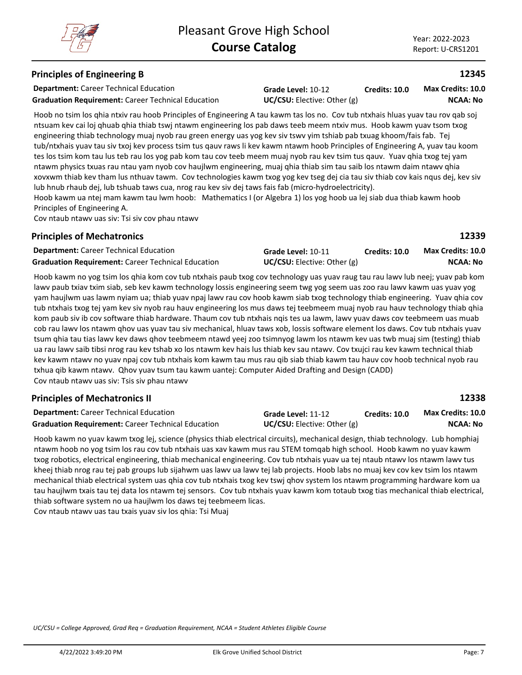## **Principles of Engineering B**

**Department:** Career Technical Education

**Graduation Requirement:** Career Technical Education **UC/CSU:** Elective: Other (g)

**Grade Level:** 10-12 **Credits: 10.0**

**NCAA: No Max Credits: 10.0**

Hoob no tsim los qhia ntxiv rau hoob Principles of Engineering A tau kawm tas los no. Cov tub ntxhais hluas yuav tau rov qab soj ntsuam kev cai loj qhuab qhia thiab tswj ntawm engineering los pab daws teeb meem ntxiv mus. Hoob kawm yuav tsom txog engineering thiab technology muaj nyob rau green energy uas yog kev siv tswv yim tshiab pab txuag khoom/fais fab. Tej tub/ntxhais yuav tau siv txoj kev process tsim tus qauv raws li kev kawm ntawm hoob Principles of Engineering A, yuav tau koom tes los tsim kom tau lus teb rau los yog pab kom tau cov teeb meem muaj nyob rau kev tsim tus qauv. Yuav qhia txog tej yam ntawm physics txuas rau ntau yam nyob cov haujlwm engineering, muaj qhia thiab sim tau saib los ntawm daim ntawv qhia xovxwm thiab kev tham lus nthuav tawm. Cov technologies kawm txog yog kev tseg dej cia tau siv thiab cov kais nqus dej, kev siv lub hnub rhaub dej, lub tshuab taws cua, nrog rau kev siv dej taws fais fab (micro-hydroelectricity).

Hoob kawm ua ntej mam kawm tau lwm hoob: Mathematics I (or Algebra 1) los yog hoob ua lej siab dua thiab kawm hoob Principles of Engineering A.

Cov ntaub ntawv uas siv: Tsi siv cov phau ntawv

#### **Principles of Mechatronics**

**12339**

**12338**

| <b>Department:</b> Career Technical Education             | <b>Grade Level: 10-11</b>       | Credits: 10.0 | <b>Max Credits: 10.0</b> |
|-----------------------------------------------------------|---------------------------------|---------------|--------------------------|
| <b>Graduation Requirement: Career Technical Education</b> | $UC/CSU:$ Elective: Other $(g)$ |               | NCAA: No                 |

Hoob kawm no yog tsim los qhia kom cov tub ntxhais paub txog cov technology uas yuav raug tau rau lawv lub neej; yuav pab kom lawv paub txiav txim siab, seb kev kawm technology lossis engineering seem twg yog seem uas zoo rau lawv kawm uas yuav yog yam haujlwm uas lawm nyiam ua; thiab yuav npaj lawv rau cov hoob kawm siab txog technology thiab engineering. Yuav qhia cov tub ntxhais txog tej yam kev siv nyob rau hauv engineering los mus daws tej teebmeem muaj nyob rau hauv technology thiab qhia kom paub siv ib cov software thiab hardware. Thaum cov tub ntxhais nqis tes ua lawm, lawv yuav daws cov teebmeem uas muab cob rau lawv los ntawm qhov uas yuav tau siv mechanical, hluav taws xob, lossis software element los daws. Cov tub ntxhais yuav tsum qhia tau tias lawv kev daws qhov teebmeem ntawd yeej zoo tsimnyog lawm los ntawm kev uas twb muaj sim (testing) thiab ua rau lawv saib tibsi nrog rau kev tshab xo los ntawm kev hais lus thiab kev sau ntawv. Cov txujci rau kev kawm technical thiab kev kawm ntawv no yuav npaj cov tub ntxhais kom kawm tau mus rau qib siab thiab kawm tau hauv cov hoob technical nyob rau txhua qib kawm ntawv. Qhov yuav tsum tau kawm uantej: Computer Aided Drafting and Design (CADD) Cov ntaub ntawv uas siv: Tsis siv phau ntawv

## **Principles of Mechatronics II**

| <b>Department:</b> Career Technical Education             | Grade Level: 11-12                 | Credits: 10.0 | Max Credits: 10.0 |
|-----------------------------------------------------------|------------------------------------|---------------|-------------------|
| <b>Graduation Requirement: Career Technical Education</b> | <b>UC/CSU:</b> Elective: Other (g) |               | <b>NCAA: No</b>   |

Hoob kawm no yuav kawm txog lej, science (physics thiab electrical circuits), mechanical design, thiab technology. Lub homphiaj ntawm hoob no yog tsim los rau cov tub ntxhais uas xav kawm mus rau STEM tomqab high school. Hoob kawm no yuav kawm txog robotics, electrical engineering, thiab mechanical engineering. Cov tub ntxhais yuav ua tej ntaub ntawv los ntawm lawv tus kheej thiab nrog rau tej pab groups lub sijahwm uas lawv ua lawv tej lab projects. Hoob labs no muaj kev cov kev tsim los ntawm mechanical thiab electrical system uas qhia cov tub ntxhais txog kev tswj qhov system los ntawm programming hardware kom ua tau haujlwm txais tau tej data los ntawm tej sensors. Cov tub ntxhais yuav kawm kom totaub txog tias mechanical thiab electrical, thiab software system no ua haujlwm los daws tej teebmeem licas.

Cov ntaub ntawv uas tau txais yuav siv los qhia: Tsi Muaj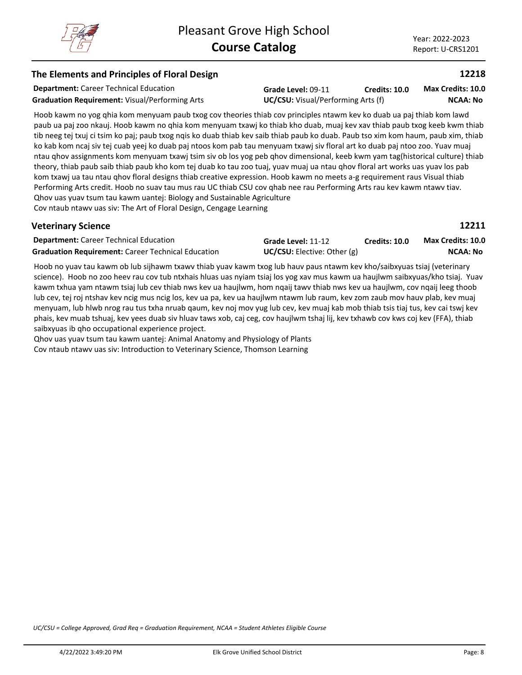**12211**

## **The Elements and Principles of Floral Design**

**Department:** Career Technical Education

**Graduation Requirement:** Visual/Performing Arts **UC/CSU:** Visual/Performing Arts (f)

**Grade Level:** 09-11 **Credits: 10.0**

**NCAA: No Max Credits: 10.0**

Hoob kawm no yog qhia kom menyuam paub txog cov theories thiab cov principles ntawm kev ko duab ua paj thiab kom lawd paub ua paj zoo nkauj. Hoob kawm no qhia kom menyuam txawj ko thiab kho duab, muaj kev xav thiab paub txog keeb kwm thiab tib neeg tej txuj ci tsim ko paj; paub txog nqis ko duab thiab kev saib thiab paub ko duab. Paub tso xim kom haum, paub xim, thiab ko kab kom ncaj siv tej cuab yeej ko duab paj ntoos kom pab tau menyuam txawj siv floral art ko duab paj ntoo zoo. Yuav muaj ntau qhov assignments kom menyuam txawj tsim siv ob los yog peb qhov dimensional, keeb kwm yam tag(historical culture) thiab theory, thiab paub saib thiab paub kho kom tej duab ko tau zoo tuaj, yuav muaj ua ntau qhov floral art works uas yuav los pab kom txawj ua tau ntau qhov floral designs thiab creative expression. Hoob kawm no meets a-g requirement raus Visual thiab Performing Arts credit. Hoob no suav tau mus rau UC thiab CSU cov qhab nee rau Performing Arts rau kev kawm ntawv tiav. Qhov uas yuav tsum tau kawm uantej: Biology and Sustainable Agriculture Cov ntaub ntawv uas siv: The Art of Floral Design, Cengage Learning

## **Veterinary Science**

| <b>Department: Career Technical Education</b>             | Grade Level: 11-12                 | <b>Credits: 10.0</b> | <b>Max Credits: 10.0</b> |
|-----------------------------------------------------------|------------------------------------|----------------------|--------------------------|
| <b>Graduation Requirement:</b> Career Technical Education | <b>UC/CSU:</b> Elective: Other (g) |                      | NCAA: No                 |

Hoob no yuav tau kawm ob lub sijhawm txawv thiab yuav kawm txog lub hauv paus ntawm kev kho/saibxyuas tsiaj (veterinary science). Hoob no zoo heev rau cov tub ntxhais hluas uas nyiam tsiaj los yog xav mus kawm ua haujlwm saibxyuas/kho tsiaj. Yuav kawm txhua yam ntawm tsiaj lub cev thiab nws kev ua haujlwm, hom nqaij tawv thiab nws kev ua haujlwm, cov nqaij leeg thoob lub cev, tej roj ntshav kev ncig mus ncig los, kev ua pa, kev ua haujlwm ntawm lub raum, kev zom zaub mov hauv plab, kev muaj menyuam, lub hlwb nrog rau tus txha nruab qaum, kev noj mov yug lub cev, kev muaj kab mob thiab tsis tiaj tus, kev cai tswj kev phais, kev muab tshuaj, kev yees duab siv hluav taws xob, caj ceg, cov haujlwm tshaj lij, kev txhawb cov kws coj kev (FFA), thiab saibxyuas ib qho occupational experience project.

Qhov uas yuav tsum tau kawm uantej: Animal Anatomy and Physiology of Plants Cov ntaub ntawv uas siv: Introduction to Veterinary Science, Thomson Learning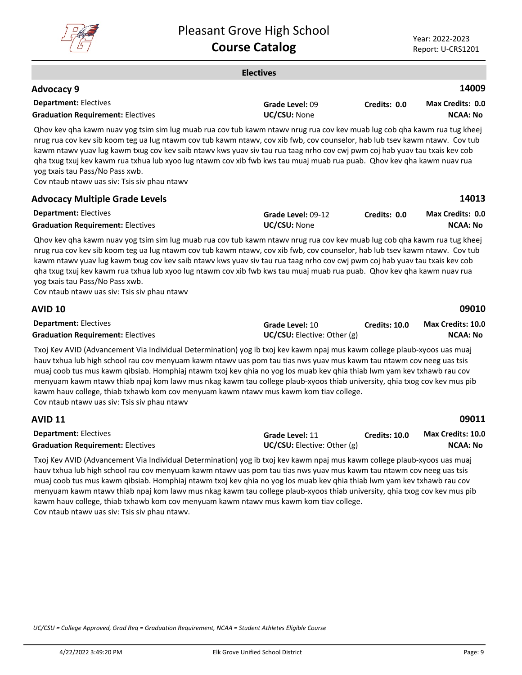

|                                                                                                                                                                                                                                                                                                                                                                                                                                                                                                                                                                                                    | <b>Electives</b>                               |                      |                                            |
|----------------------------------------------------------------------------------------------------------------------------------------------------------------------------------------------------------------------------------------------------------------------------------------------------------------------------------------------------------------------------------------------------------------------------------------------------------------------------------------------------------------------------------------------------------------------------------------------------|------------------------------------------------|----------------------|--------------------------------------------|
| Advocacy 9                                                                                                                                                                                                                                                                                                                                                                                                                                                                                                                                                                                         |                                                |                      | 14009                                      |
| <b>Department: Electives</b><br><b>Graduation Requirement: Electives</b>                                                                                                                                                                                                                                                                                                                                                                                                                                                                                                                           | Grade Level: 09<br>UC/CSU: None                | Credits: 0.0         | Max Credits: 0.0<br><b>NCAA: No</b>        |
| Qhov kev qha kawm nuav yog tsim sim lug muab rua cov tub kawm ntawv nrug rua cov kev muab lug cob qha kawm rua tug kheej<br>nrug rua cov kev sib koom teg ua lug ntawm cov tub kawm ntawv, cov xib fwb, cov counselor, hab lub tsev kawm ntawv. Cov tub<br>kawm ntawv yuav lug kawm txug cov kev saib ntawv kws yuav siv tau rua taag nrho cov cwj pwm coj hab yuav tau txais kev cob<br>gha txug txuj kev kawm rua txhua lub xyoo lug ntawm cov xib fwb kws tau muaj muab rua puab. Qhov kev qha kawm nuav rua<br>yog txais tau Pass/No Pass xwb.<br>Cov ntaub ntawv uas siv: Tsis siv phau ntawv |                                                |                      |                                            |
| <b>Advocacy Multiple Grade Levels</b>                                                                                                                                                                                                                                                                                                                                                                                                                                                                                                                                                              |                                                |                      | 14013                                      |
| <b>Department: Electives</b><br><b>Graduation Requirement: Electives</b>                                                                                                                                                                                                                                                                                                                                                                                                                                                                                                                           | Grade Level: 09-12<br>UC/CSU: None             | Credits: 0.0         | <b>Max Credits: 0.0</b><br><b>NCAA: No</b> |
| Qhov kev qha kawm nuav yog tsim sim lug muab rua cov tub kawm ntawv nrug rua cov kev muab lug cob qha kawm rua tug kheej<br>nrug rua cov kev sib koom teg ua lug ntawm cov tub kawm ntawv, cov xib fwb, cov counselor, hab lub tsev kawm ntawv. Cov tub<br>kawm ntawy yuay lug kawm txug cov kev saib ntawy kws yuay siv tau rua taag nrho cov cwj pwm coj hab yuay tau txais kev cob<br>gha txug txuj kev kawm rua txhua lub xyoo lug ntawm cov xib fwb kws tau muaj muab rua puab. Qhov kev qha kawm nuav rua<br>yog txais tau Pass/No Pass xwb.<br>Cov ntaub ntawv uas siv: Tsis siv phau ntawv |                                                |                      |                                            |
| <b>AVID 10</b>                                                                                                                                                                                                                                                                                                                                                                                                                                                                                                                                                                                     |                                                |                      | 09010                                      |
| <b>Department: Electives</b><br><b>Graduation Requirement: Electives</b>                                                                                                                                                                                                                                                                                                                                                                                                                                                                                                                           | Grade Level: 10<br>UC/CSU: Elective: Other (g) | <b>Credits: 10.0</b> | Max Credits: 10.0<br><b>NCAA: No</b>       |
| Txoj Kev AVID (Advancement Via Individual Determination) yog ib txoj kev kawm npaj mus kawm college plaub-xyoos uas muaj<br>hauv txhua lub high school rau cov menyuam kawm ntawv uas pom tau tias nws yuav mus kawm tau ntawm cov neeg uas tsis                                                                                                                                                                                                                                                                                                                                                   |                                                |                      |                                            |

muaj coob tus mus kawm qibsiab. Homphiaj ntawm txoj kev qhia no yog los muab kev qhia thiab lwm yam kev txhawb rau cov menyuam kawm ntawv thiab npaj kom lawv mus nkag kawm tau college plaub-xyoos thiab university, qhia txog cov kev mus pib kawm hauv college, thiab txhawb kom cov menyuam kawm ntawv mus kawm kom tiav college.

Cov ntaub ntawv uas siv: Tsis siv phau ntawv

**AVID 11**

| <b>Department: Electives</b>             | Grade Level: 11                      | <b>Credits: 10.0</b> | Max Credits: 10.0 |
|------------------------------------------|--------------------------------------|----------------------|-------------------|
| <b>Graduation Requirement: Electives</b> | <b>UC/CSU:</b> Elective: Other $(g)$ |                      | <b>NCAA: No</b>   |

Txoj Kev AVID (Advancement Via Individual Determination) yog ib txoj kev kawm npaj mus kawm college plaub-xyoos uas muaj hauv txhua lub high school rau cov menyuam kawm ntawv uas pom tau tias nws yuav mus kawm tau ntawm cov neeg uas tsis muaj coob tus mus kawm qibsiab. Homphiaj ntawm txoj kev qhia no yog los muab kev qhia thiab lwm yam kev txhawb rau cov menyuam kawm ntawv thiab npaj kom lawv mus nkag kawm tau college plaub-xyoos thiab university, qhia txog cov kev mus pib kawm hauv college, thiab txhawb kom cov menyuam kawm ntawv mus kawm kom tiav college. Cov ntaub ntawv uas siv: Tsis siv phau ntawv.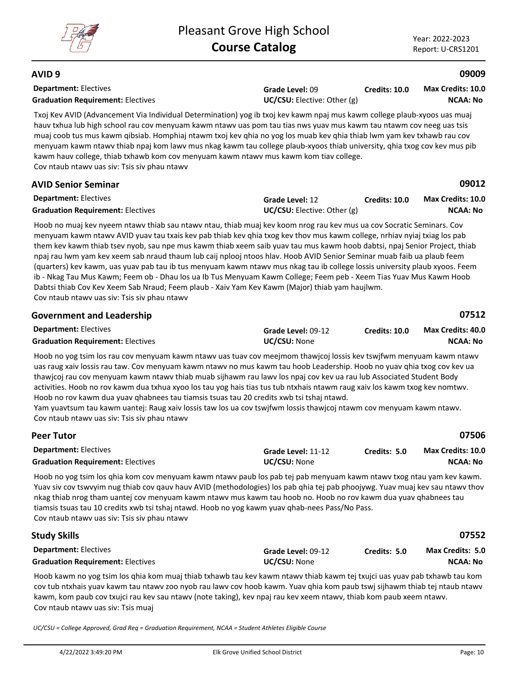

#### **AVID 9**

| <b>Department: Electives</b><br><b>Graduation Requirement: Electives</b>                                                                                                                                                                                                                                                                                                                                                                                                                                                                                                                                                                                                                                                                                                                                                                                                                                        | Grade Level: 09<br>UC/CSU: Elective: Other (g)               | <b>Credits: 10.0</b> | <b>Max Credits: 10.0</b><br><b>NCAA: No</b> |
|-----------------------------------------------------------------------------------------------------------------------------------------------------------------------------------------------------------------------------------------------------------------------------------------------------------------------------------------------------------------------------------------------------------------------------------------------------------------------------------------------------------------------------------------------------------------------------------------------------------------------------------------------------------------------------------------------------------------------------------------------------------------------------------------------------------------------------------------------------------------------------------------------------------------|--------------------------------------------------------------|----------------------|---------------------------------------------|
| Txoj Kev AVID (Advancement Via Individual Determination) yog ib txoj kev kawm npaj mus kawm college plaub-xyoos uas muaj<br>hauv txhua lub high school rau cov menyuam kawm ntawv uas pom tau tias nws yuav mus kawm tau ntawm cov neeg uas tsis<br>muaj coob tus mus kawm qibsiab. Homphiaj ntawm txoj kev qhia no yog los muab kev qhia thiab lwm yam kev txhawb rau cov<br>menyuam kawm ntawv thiab npaj kom lawv mus nkag kawm tau college plaub-xyoos thiab university, qhia txog cov kev mus pib<br>kawm hauv college, thiab txhawb kom cov menyuam kawm ntawv mus kawm kom tiav college.<br>Cov ntaub ntawy uas siv: Tsis siv phau ntawy                                                                                                                                                                                                                                                                 |                                                              |                      |                                             |
| <b>AVID Senior Seminar</b>                                                                                                                                                                                                                                                                                                                                                                                                                                                                                                                                                                                                                                                                                                                                                                                                                                                                                      |                                                              |                      | 09012                                       |
| <b>Department: Electives</b><br><b>Graduation Requirement: Electives</b>                                                                                                                                                                                                                                                                                                                                                                                                                                                                                                                                                                                                                                                                                                                                                                                                                                        | <b>Grade Level: 12</b><br><b>UC/CSU:</b> Elective: Other (g) | <b>Credits: 10.0</b> | <b>Max Credits: 10.0</b><br><b>NCAA: No</b> |
| Hoob no muaj kev nyeem ntawv thiab sau ntawv ntau, thiab muaj kev koom nrog rau kev mus ua cov Socratic Seminars. Cov<br>menyuam kawm ntawv AVID yuav tau txais kev pab thiab kev qhia txog kev thov mus kawm college, nrhiav nyiaj txiag los pab<br>them kev kawm thiab tsev nyob, sau npe mus kawm thiab xeem saib yuav tau mus kawm hoob dabtsi, npaj Senior Project, thiab<br>npaj rau lwm yam kev xeem sab nraud thaum lub caij nplooj ntoos hlav. Hoob AVID Senior Seminar muab faib ua plaub feem<br>(quarters) kev kawm, uas yuav pab tau ib tus menyuam kawm ntawv mus nkag tau ib college lossis university plaub xyoos. Feem<br>ib - Nkag Tau Mus Kawm; Feem ob - Dhau los ua Ib Tus Menyuam Kawm College; Feem peb - Xeem Tias Yuav Mus Kawm Hoob<br>Dabtsi thiab Cov Kev Xeem Sab Nraud; Feem plaub - Xaiv Yam Kev Kawm (Major) thiab yam haujlwm.<br>Cov ntaub ntawv uas siv: Tsis siv phau ntawv |                                                              |                      |                                             |
| <b>Government and Leadership</b>                                                                                                                                                                                                                                                                                                                                                                                                                                                                                                                                                                                                                                                                                                                                                                                                                                                                                |                                                              |                      | 07512                                       |
| <b>Department: Electives</b><br><b>Graduation Requirement: Electives</b>                                                                                                                                                                                                                                                                                                                                                                                                                                                                                                                                                                                                                                                                                                                                                                                                                                        | Grade Level: 09-12<br>UC/CSU: None                           | Credits: 10.0        | <b>Max Credits: 40.0</b><br><b>NCAA: No</b> |

Hoob no yog tsim los rau cov menyuam kawm ntawv uas tuav cov meejmom thawjcoj lossis kev tswjfwm menyuam kawm ntawv uas raug xaiv lossis rau taw. Cov menyuam kawm ntawv no mus kawm tau hoob Leadership. Hoob no yuav qhia txog cov kev ua thawjcoj rau cov menyuam kawm ntawv thiab muab sijhawm rau lawv los npaj cov kev ua rau lub Associated Student Body activities. Hoob no rov kawm dua txhua xyoo los tau yog hais tias tus tub ntxhais ntawm raug xaiv los kawm txog kev nomtwv. Hoob no rov kawm dua yuav qhabnees tau tiamsis tsuas tau 20 credits xwb tsi tshaj ntawd.

Yam yuavtsum tau kawm uantej: Raug xaiv lossis taw los ua cov tswjfwm lossis thawjcoj ntawm cov menyuam kawm ntawv. Cov ntaub ntawv uas siv: Tsis siv phau ntawv

| <b>Peer Tutor</b>                                                                                                                                                                                                                                                                                                                                                                                                                                                                                                           |                                           |              | 07506                                |
|-----------------------------------------------------------------------------------------------------------------------------------------------------------------------------------------------------------------------------------------------------------------------------------------------------------------------------------------------------------------------------------------------------------------------------------------------------------------------------------------------------------------------------|-------------------------------------------|--------------|--------------------------------------|
| <b>Department: Electives</b><br><b>Graduation Requirement: Electives</b>                                                                                                                                                                                                                                                                                                                                                                                                                                                    | Grade Level: 11-12<br><b>UC/CSU: None</b> | Credits: 5.0 | Max Credits: 10.0<br><b>NCAA: No</b> |
| Hoob no yog tsim los ghia kom cov menyuam kawm ntawy paub los pab tej pab menyuam kawm ntawy txog ntau yam key kawm.<br>Yuav siv cov tswyyim nug thiab cov qauv hauv AVID (methodologies) los pab qhia tej pab phoojywg. Yuav muaj kev sau ntawy thov<br>nkag thiab nrog tham uantej cov menyuam kawm ntawv mus kawm tau hoob no. Hoob no rov kawm dua yuav qhabnees tau<br>tiamsis tsuas tau 10 credits xwb tsi tshaj ntawd. Hoob no yog kawm yuav qhab-nees Pass/No Pass.<br>Cov ntaub ntawy uas siv: Tsis siv phau ntawy |                                           |              |                                      |
| <b>Study Skills</b>                                                                                                                                                                                                                                                                                                                                                                                                                                                                                                         |                                           |              | 07552                                |
| <b>Department: Electives</b>                                                                                                                                                                                                                                                                                                                                                                                                                                                                                                | Grade Level: 09-12                        | Credits: 5.0 | <b>Max Credits: 5.0</b>              |
| <b>Graduation Requirement: Electives</b>                                                                                                                                                                                                                                                                                                                                                                                                                                                                                    | <b>UC/CSU: None</b>                       |              | <b>NCAA: No</b>                      |

Hoob kawm no yog tsim los qhia kom muaj thiab txhawb tau kev kawm ntawv thiab kawm tej txujci uas yuav pab txhawb tau kom cov tub ntxhais yuav kawm tau ntawv zoo nyob rau lawv cov hoob kawm. Yuav qhia kom paub tswj sijhawm thiab tej ntaub ntawv kawm, kom paub cov txujci rau kev sau ntawv (note taking), kev npaj rau kev xeem ntawv, thiab kom paub xeem ntawv. Cov ntaub ntawv uas siv: Tsis muaj

*UC/CSU = College Approved, Grad Req = Graduation Requirement, NCAA = Student Athletes Eligible Course*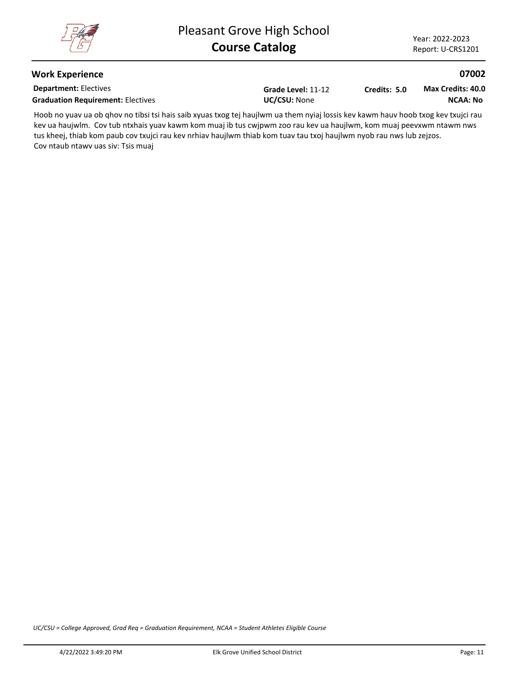#### **Work Experience**

**Department:** Electives Graduation Requirement: Electives<br>
UC/CSU: None

**Grade Level:** 11-12

**Credits: 5.0**

**NCAA: No Max Credits: 40.0**

Hoob no yuav ua ob qhov no tibsi tsi hais saib xyuas txog tej haujlwm ua them nyiaj lossis kev kawm hauv hoob txog kev txujci rau kev ua haujwlm. Cov tub ntxhais yuav kawm kom muaj ib tus cwjpwm zoo rau kev ua haujlwm, kom muaj peevxwm ntawm nws tus kheej, thiab kom paub cov txujci rau kev nrhiav haujlwm thiab kom tuav tau txoj haujlwm nyob rau nws lub zejzos. Cov ntaub ntawv uas siv: Tsis muaj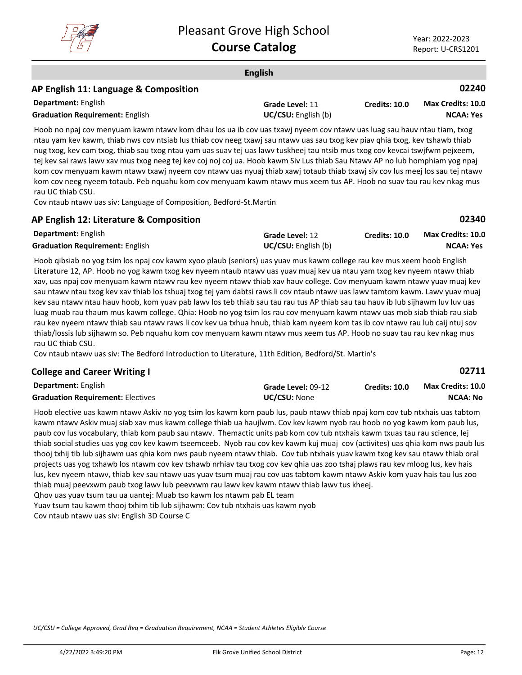

**02711**

#### **English Department:** English **02240** Hoob no npaj cov menyuam kawm ntawv kom dhau los ua ib cov uas txawj nyeem cov ntawv uas luag sau hauv ntau tiam, txog **AP English 11: Language & Composition Grade Level:** 11 **Graduation Requirement:** English **Example 2018 UC/CSU:** English (b) **Credits: 10.0 NCAA: Yes Max Credits: 10.0**

ntau yam kev kawm, thiab nws cov ntsiab lus thiab cov neeg txawj sau ntawv uas sau txog kev piav qhia txog, kev tshawb thiab nug txog, kev cam txog, thiab sau txog ntau yam uas suav tej uas lawv tuskheej tau ntsib mus txog cov kevcai tswjfwm pejxeem, tej kev sai raws lawv xav mus txog neeg tej kev coj noj coj ua. Hoob kawm Siv Lus thiab Sau Ntawv AP no lub homphiam yog npaj kom cov menyuam kawm ntawv txawj nyeem cov ntawv uas nyuaj thiab xawj totaub thiab txawj siv cov lus meej los sau tej ntawv kom cov neeg nyeem totaub. Peb nquahu kom cov menyuam kawm ntawv mus xeem tus AP. Hoob no suav tau rau kev nkag mus rau UC thiab CSU.

Cov ntaub ntawv uas siv: Language of Composition, Bedford-St.Martin

|  |  |  |  |  | AP English 12: Literature & Composition |  |
|--|--|--|--|--|-----------------------------------------|--|
|--|--|--|--|--|-----------------------------------------|--|

| <b>Department: English</b>             | Grade Level: 12            | Credits: 10.0 | <b>Max Credits: 10.0</b> |
|----------------------------------------|----------------------------|---------------|--------------------------|
| <b>Graduation Requirement: English</b> | <b>UC/CSU:</b> English (b) |               | <b>NCAA: Yes</b>         |

Hoob qibsiab no yog tsim los npaj cov kawm xyoo plaub (seniors) uas yuav mus kawm college rau kev mus xeem hoob English Literature 12, AP. Hoob no yog kawm txog kev nyeem ntaub ntawv uas yuav muaj kev ua ntau yam txog kev nyeem ntawv thiab xav, uas npaj cov menyuam kawm ntawv rau kev nyeem ntawv thiab xav hauv college. Cov menyuam kawm ntawv yuav muaj kev sau ntawv ntau txog kev xav thiab los tshuaj txog tej yam dabtsi raws li cov ntaub ntawv uas lawv tamtom kawm. Lawv yuav muaj kev sau ntawv ntau hauv hoob, kom yuav pab lawv los teb thiab sau tau rau tus AP thiab sau tau hauv ib lub sijhawm luv luv uas luag muab rau thaum mus kawm college. Qhia: Hoob no yog tsim los rau cov menyuam kawm ntawv uas mob siab thiab rau siab rau kev nyeem ntawv thiab sau ntawv raws li cov kev ua txhua hnub, thiab kam nyeem kom tas ib cov ntawv rau lub caij ntuj sov thiab/lossis lub sijhawm so. Peb nquahu kom cov menyuam kawm ntawv mus xeem tus AP. Hoob no suav tau rau kev nkag mus rau UC thiab CSU.

Cov ntaub ntawv uas siv: The Bedford Introduction to Literature, 11th Edition, Bedford/St. Martin's

## **College and Career Writing I**

| <b>Department: English</b>               | Grade Level: 09-12  | <b>Credits: 10.0</b> | <b>Max Credits: 10.0</b> |
|------------------------------------------|---------------------|----------------------|--------------------------|
| <b>Graduation Requirement: Electives</b> | <b>UC/CSU: None</b> |                      | NCAA: No                 |

Hoob elective uas kawm ntawv Askiv no yog tsim los kawm kom paub lus, paub ntawv thiab npaj kom cov tub ntxhais uas tabtom kawm ntawv Askiv muaj siab xav mus kawm college thiab ua haujlwm. Cov kev kawm nyob rau hoob no yog kawm kom paub lus, paub cov lus vocabulary, thiab kom paub sau ntawv. Themactic units pab kom cov tub ntxhais kawm txuas tau rau science, lej thiab social studies uas yog cov kev kawm tseemceeb. Nyob rau cov kev kawm kuj muaj cov (activites) uas qhia kom nws paub lus thooj txhij tib lub sijhawm uas qhia kom nws paub nyeem ntawv thiab. Cov tub ntxhais yuav kawm txog kev sau ntawv thiab oral projects uas yog txhawb los ntawm cov kev tshawb nrhiav tau txog cov kev qhia uas zoo tshaj plaws rau kev mloog lus, kev hais lus, kev nyeem ntawv, thiab kev sau ntawv uas yuav tsum muaj rau cov uas tabtom kawm ntawv Askiv kom yuav hais tau lus zoo thiab muaj peevxwm paub txog lawv lub peevxwm rau lawv kev kawm ntawv thiab lawv tus kheej.

Qhov uas yuav tsum tau ua uantej: Muab tso kawm los ntawm pab EL team

Yuav tsum tau kawm thooj txhim tib lub sijhawm: Cov tub ntxhais uas kawm nyob

Cov ntaub ntawv uas siv: English 3D Course C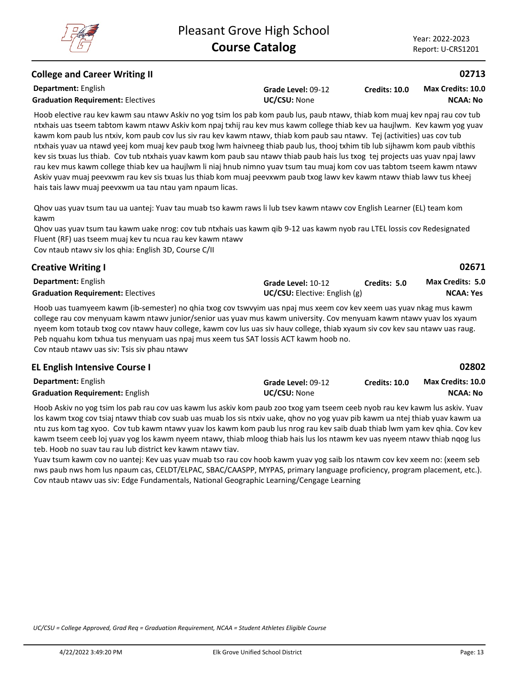## **College and Career Writing II**

**Department:** English

**Grade Level:** 09-12

**Credits: 10.0 NCAA: No Max Credits: 10.0**

**Graduation Requirement:** Electives **UC/CSU:** None

Hoob elective rau kev kawm sau ntawv Askiv no yog tsim los pab kom paub lus, paub ntawv, thiab kom muaj kev npaj rau cov tub ntxhais uas tseem tabtom kawm ntawv Askiv kom npaj txhij rau kev mus kawm college thiab kev ua haujlwm. Kev kawm yog yuav kawm kom paub lus ntxiv, kom paub cov lus siv rau kev kawm ntawv, thiab kom paub sau ntawv. Tej (activities) uas cov tub ntxhais yuav ua ntawd yeej kom muaj kev paub txog lwm haivneeg thiab paub lus, thooj txhim tib lub sijhawm kom paub vibthis kev sis txuas lus thiab. Cov tub ntxhais yuav kawm kom paub sau ntawv thiab paub hais lus txog tej projects uas yuav npaj lawv rau kev mus kawm college thiab kev ua haujlwm li niaj hnub nimno yuav tsum tau muaj kom cov uas tabtom tseem kawm ntawv Askiv yuav muaj peevxwm rau kev sis txuas lus thiab kom muaj peevxwm paub txog lawv kev kawm ntawv thiab lawv tus kheej hais tais lawv muaj peevxwm ua tau ntau yam npaum licas.

Qhov uas yuav tsum tau ua uantej: Yuav tau muab tso kawm raws li lub tsev kawm ntawv cov English Learner (EL) team kom kawm

Qhov uas yuav tsum tau kawm uake nrog: cov tub ntxhais uas kawm qib 9-12 uas kawm nyob rau LTEL lossis cov Redesignated Fluent (RF) uas tseem muaj kev tu ncua rau kev kawm ntawv Cov ntaub ntawv siv los qhia: English 3D, Course C/II

| <b>Creative Writing I</b>                |                                        |              | 02671                   |
|------------------------------------------|----------------------------------------|--------------|-------------------------|
| <b>Department:</b> English               | Grade Level: 10-12                     | Credits: 5.0 | <b>Max Credits: 5.0</b> |
| <b>Graduation Requirement: Electives</b> | <b>UC/CSU:</b> Elective: English $(g)$ |              | <b>NCAA: Yes</b>        |

Hoob uas tuamyeem kawm (ib-semester) no qhia txog cov tswvyim uas npaj mus xeem cov kev xeem uas yuav nkag mus kawm college rau cov menyuam kawm ntawv junior/senior uas yuav mus kawm university. Cov menyuam kawm ntawv yuav los xyaum nyeem kom totaub txog cov ntawv hauv college, kawm cov lus uas siv hauv college, thiab xyaum siv cov kev sau ntawv uas raug. Peb nquahu kom txhua tus menyuam uas npaj mus xeem tus SAT lossis ACT kawm hoob no. Cov ntaub ntawv uas siv: Tsis siv phau ntawv

## **EL English Intensive Course I**

| <b>Department: English</b>             | Grade Level: 09-12  | <b>Credits: 10.0</b> | <b>Max Credits: 10.0</b> |
|----------------------------------------|---------------------|----------------------|--------------------------|
| <b>Graduation Requirement: English</b> | <b>UC/CSU: None</b> |                      | NCAA: No                 |

Hoob Askiv no yog tsim los pab rau cov uas kawm lus askiv kom paub zoo txog yam tseem ceeb nyob rau kev kawm lus askiv. Yuav los kawm txog cov tsiaj ntawv thiab cov suab uas muab los sis ntxiv uake, qhov no yog yuav pib kawm ua ntej thiab yuav kawm ua ntu zus kom tag xyoo. Cov tub kawm ntawv yuav los kawm kom paub lus nrog rau kev saib duab thiab lwm yam kev qhia. Cov kev kawm tseem ceeb loj yuav yog los kawm nyeem ntawv, thiab mloog thiab hais lus los ntawm kev uas nyeem ntawv thiab nqog lus teb. Hoob no suav tau rau lub district kev kawm ntawv tiav.

Yuav tsum kawm cov no uantej: Kev uas yuav muab tso rau cov hoob kawm yuav yog saib los ntawm cov kev xeem no: (xeem seb nws paub nws hom lus npaum cas, CELDT/ELPAC, SBAC/CAASPP, MYPAS, primary language proficiency, program placement, etc.). Cov ntaub ntawv uas siv: Edge Fundamentals, National Geographic Learning/Cengage Learning

*UC/CSU = College Approved, Grad Req = Graduation Requirement, NCAA = Student Athletes Eligible Course*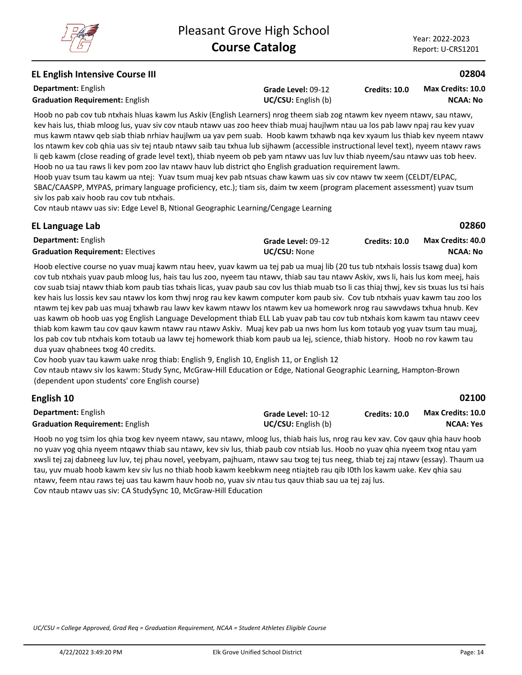## **EL English Intensive Course III**

**Department:** English **Graduation Requirement:** English **Example 2018 UC/CSU:** English (b)

**Grade Level:** 09-12

**Credits: 10.0 NCAA: No Max Credits: 10.0**

Hoob no pab cov tub ntxhais hluas kawm lus Askiv (English Learners) nrog theem siab zog ntawm kev nyeem ntawv, sau ntawv, kev hais lus, thiab mloog lus, yuav siv cov ntaub ntawv uas zoo heev thiab muaj haujlwm ntau ua los pab lawv npaj rau kev yuav mus kawm ntawv qeb siab thiab nrhiav haujlwm ua yav pem suab. Hoob kawm txhawb nqa kev xyaum lus thiab kev nyeem ntawv los ntawm kev cob qhia uas siv tej ntaub ntawv saib tau txhua lub sijhawm (accessible instructional level text), nyeem ntawv raws li qeb kawm (close reading of grade level text), thiab nyeem ob peb yam ntawv uas luv luv thiab nyeem/sau ntawv uas tob heev. Hoob no ua tau raws li kev pom zoo lav ntawv hauv lub district qho English graduation requirement lawm.

Hoob yuav tsum tau kawm ua ntej: Yuav tsum muaj kev pab ntsuas chaw kawm uas siv cov ntawv tw xeem (CELDT/ELPAC, SBAC/CAASPP, MYPAS, primary language proficiency, etc.); tiam sis, daim tw xeem (program placement assessment) yuav tsum siv los pab xaiv hoob rau cov tub ntxhais.

Cov ntaub ntawv uas siv: Edge Level B, Ntional Geographic Learning/Cengage Learning

| EL Language Lab                          |                     |                      | 02860                    |
|------------------------------------------|---------------------|----------------------|--------------------------|
| <b>Department:</b> English               | Grade Level: 09-12  | <b>Credits: 10.0</b> | <b>Max Credits: 40.0</b> |
| <b>Graduation Requirement: Electives</b> | <b>UC/CSU: None</b> |                      | NCAA: No                 |

Hoob elective course no yuav muaj kawm ntau heev, yuav kawm ua tej pab ua muaj lib (20 tus tub ntxhais lossis tsawg dua) kom cov tub ntxhais yuav paub mloog lus, hais tau lus zoo, nyeem tau ntawv, thiab sau tau ntawv Askiv, xws li, hais lus kom meej, hais cov suab tsiaj ntawv thiab kom paub tias txhais licas, yuav paub sau cov lus thiab muab tso li cas thiaj thwj, kev sis txuas lus tsi hais kev hais lus lossis kev sau ntawv los kom thwj nrog rau kev kawm computer kom paub siv. Cov tub ntxhais yuav kawm tau zoo los ntawm tej kev pab uas muaj txhawb rau lawv kev kawm ntawv los ntawm kev ua homework nrog rau sawvdaws txhua hnub. Kev uas kawm ob hoob uas yog English Language Development thiab ELL Lab yuav pab tau cov tub ntxhais kom kawm tau ntawv ceev thiab kom kawm tau cov qauv kawm ntawv rau ntawv Askiv. Muaj kev pab ua nws hom lus kom totaub yog yuav tsum tau muaj, los pab cov tub ntxhais kom totaub ua lawv tej homework thiab kom paub ua lej, science, thiab history. Hoob no rov kawm tau dua yuav qhabnees txog 40 credits.

Cov hoob yuav tau kawm uake nrog thiab: English 9, English 10, English 11, or English 12

Cov ntaub ntawv siv los kawm: Study Sync, McGraw-Hill Education or Edge, National Geographic Learning, Hampton-Brown (dependent upon students' core English course)

| English 10                             |                            |               | 02100             |
|----------------------------------------|----------------------------|---------------|-------------------|
| <b>Department:</b> English             | Grade Level: 10-12         | Credits: 10.0 | Max Credits: 10.0 |
| <b>Graduation Requirement: English</b> | <b>UC/CSU:</b> English (b) |               | NCAA: Yes         |

Hoob no yog tsim los qhia txog kev nyeem ntawv, sau ntawv, mloog lus, thiab hais lus, nrog rau kev xav. Cov qauv qhia hauv hoob no yuav yog qhia nyeem ntqawv thiab sau ntawv, kev siv lus, thiab paub cov ntsiab lus. Hoob no yuav qhia nyeem txog ntau yam xwsli tej zaj dabneeg luv luv, tej phau novel, yeebyam, pajhuam, ntawv sau txog tej tus neeg, thiab tej zaj ntawv (essay). Thaum ua tau, yuv muab hoob kawm kev siv lus no thiab hoob kawm keebkwm neeg ntiajteb rau qib I0th los kawm uake. Kev qhia sau ntawv, feem ntau raws tej uas tau kawm hauv hoob no, yuav siv ntau tus qauv thiab sau ua tej zaj lus. Cov ntaub ntawv uas siv: CA StudySync 10, McGraw-Hill Education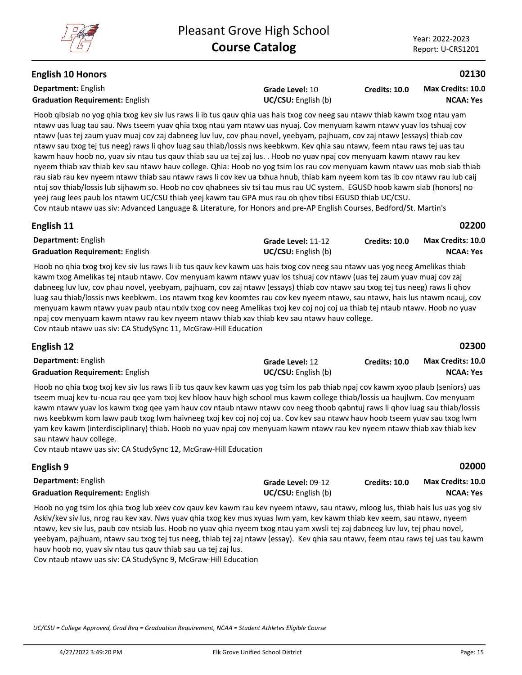## **English 10 Honors**

**Department:** English **Graduation Requirement:** English **Example 2018 UC/CSU:** English (b)

**Grade Level:** 10

**Credits: 10.0 NCAA: Yes Max Credits: 10.0**

Hoob qibsiab no yog qhia txog kev siv lus raws li ib tus qauv qhia uas hais txog cov neeg sau ntawv thiab kawm txog ntau yam ntawv uas luag tau sau. Nws tseem yuav qhia txog ntau yam ntawv uas nyuaj. Cov menyuam kawm ntawv yuav los tshuaj cov ntawv (uas tej zaum yuav muaj cov zaj dabneeg luv luv, cov phau novel, yeebyam, pajhuam, cov zaj ntawv (essays) thiab cov ntawv sau txog tej tus neeg) raws li qhov luag sau thiab/lossis nws keebkwm. Kev qhia sau ntawv, feem ntau raws tej uas tau kawm hauv hoob no, yuav siv ntau tus qauv thiab sau ua tej zaj lus. . Hoob no yuav npaj cov menyuam kawm ntawv rau kev nyeem thiab xav thiab kev sau ntawv hauv college. Qhia: Hoob no yog tsim los rau cov menyuam kawm ntawv uas mob siab thiab rau siab rau kev nyeem ntawv thiab sau ntawv raws li cov kev ua txhua hnub, thiab kam nyeem kom tas ib cov ntawv rau lub caij ntuj sov thiab/lossis lub sijhawm so. Hoob no cov qhabnees siv tsi tau mus rau UC system. EGUSD hoob kawm siab (honors) no yeej raug lees paub los ntawm UC/CSU thiab yeej kawm tau GPA mus rau ob qhov tibsi EGUSD thiab UC/CSU.

## Cov ntaub ntawv uas siv: Advanced Language & Literature, for Honors and pre-AP English Courses, Bedford/St. Martin's

| English 11                             |                            |                      | 02200                    |
|----------------------------------------|----------------------------|----------------------|--------------------------|
| <b>Department:</b> English             | Grade Level: 11-12         | <b>Credits: 10.0</b> | <b>Max Credits: 10.0</b> |
| <b>Graduation Requirement: English</b> | <b>UC/CSU:</b> English (b) |                      | <b>NCAA: Yes</b>         |

Hoob no qhia txog txoj kev siv lus raws li ib tus qauv kev kawm uas hais txog cov neeg sau ntawv uas yog neeg Amelikas thiab kawm txog Amelikas tej ntaub ntawv. Cov menyuam kawm ntawv yuav los tshuaj cov ntawv (uas tej zaum yuav muaj cov zaj dabneeg luv luv, cov phau novel, yeebyam, pajhuam, cov zaj ntawv (essays) thiab cov ntawv sau txog tej tus neeg) raws li qhov luag sau thiab/lossis nws keebkwm. Los ntawm txog kev koomtes rau cov kev nyeem ntawv, sau ntawv, hais lus ntawm ncauj, cov menyuam kawm ntawv yuav paub ntau ntxiv txog cov neeg Amelikas txoj kev coj noj coj ua thiab tej ntaub ntawv. Hoob no yuav npaj cov menyuam kawm ntawv rau kev nyeem ntawv thiab xav thiab kev sau ntawv hauv college. Cov ntaub ntawv uas siv: CA StudySync 11, McGraw-Hill Education

## **English 12**

| <b>Department: English</b>             | Grade Level: 12            | <b>Credits: 10.0</b> | Max Credits: 10.0 |
|----------------------------------------|----------------------------|----------------------|-------------------|
| <b>Graduation Requirement: English</b> | <b>UC/CSU:</b> English (b) |                      | <b>NCAA: Yes</b>  |

Hoob no qhia txog txoj kev siv lus raws li ib tus qauv kev kawm uas yog tsim los pab thiab npaj cov kawm xyoo plaub (seniors) uas tseem muaj kev tu-ncua rau qee yam txoj kev hloov hauv high school mus kawm college thiab/lossis ua haujlwm. Cov menyuam kawm ntawv yuav los kawm txog qee yam hauv cov ntaub ntawv ntawv cov neeg thoob qabntuj raws li qhov luag sau thiab/lossis nws keebkwm kom lawv paub txog lwm haivneeg txoj kev coj noj coj ua. Cov kev sau ntawv hauv hoob tseem yuav sau txog lwm yam kev kawm (interdisciplinary) thiab. Hoob no yuav npaj cov menyuam kawm ntawv rau kev nyeem ntawv thiab xav thiab kev sau ntawv hauv college.

Cov ntaub ntawv uas siv: CA StudySync 12, McGraw-Hill Education

| English 9                              |                            |                      | 02000             |
|----------------------------------------|----------------------------|----------------------|-------------------|
| <b>Department:</b> English             | Grade Level: 09-12         | <b>Credits: 10.0</b> | Max Credits: 10.0 |
| <b>Graduation Requirement: English</b> | <b>UC/CSU:</b> English (b) |                      | <b>NCAA: Yes</b>  |
|                                        |                            |                      |                   |

Hoob no yog tsim los qhia txog lub xeev cov qauv kev kawm rau kev nyeem ntawv, sau ntawv, mloog lus, thiab hais lus uas yog siv Askiv/kev siv lus, nrog rau kev xav. Nws yuav qhia txog kev mus xyuas lwm yam, kev kawm thiab kev xeem, sau ntawv, nyeem ntawv, kev siv lus, paub cov ntsiab lus. Hoob no yuav qhia nyeem txog ntau yam xwsli tej zaj dabneeg luv luv, tej phau novel, yeebyam, pajhuam, ntawv sau txog tej tus neeg, thiab tej zaj ntawv (essay). Kev qhia sau ntawv, feem ntau raws tej uas tau kawm hauv hoob no, yuav siv ntau tus qauv thiab sau ua tej zaj lus.

Cov ntaub ntawv uas siv: CA StudySync 9, McGraw-Hill Education

*UC/CSU = College Approved, Grad Req = Graduation Requirement, NCAA = Student Athletes Eligible Course*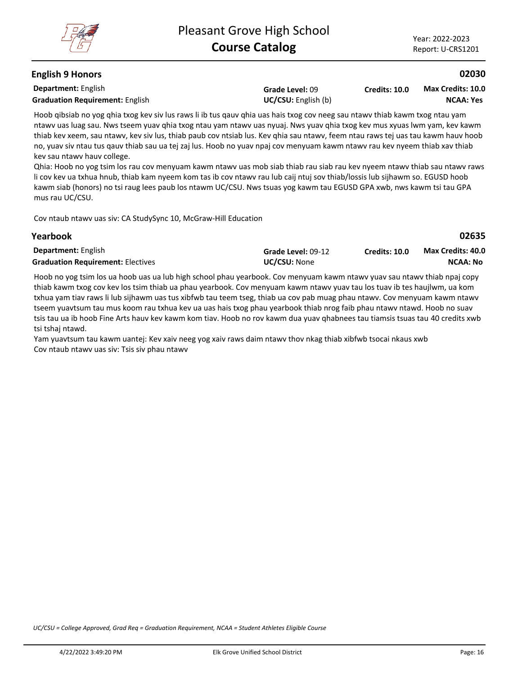**02635**

## **English 9 Honors**

**Department:** English **Graduation Requirement:** English **Example 2018 UC/CSU:** English (b)

**Grade Level:** 09

**Credits: 10.0 NCAA: Yes Max Credits: 10.0**

Hoob qibsiab no yog qhia txog kev siv lus raws li ib tus qauv qhia uas hais txog cov neeg sau ntawv thiab kawm txog ntau yam ntawv uas luag sau. Nws tseem yuav qhia txog ntau yam ntawv uas nyuaj. Nws yuav qhia txog kev mus xyuas lwm yam, kev kawm thiab kev xeem, sau ntawv, kev siv lus, thiab paub cov ntsiab lus. Kev qhia sau ntawv, feem ntau raws tej uas tau kawm hauv hoob no, yuav siv ntau tus qauv thiab sau ua tej zaj lus. Hoob no yuav npaj cov menyuam kawm ntawv rau kev nyeem thiab xav thiab kev sau ntawv hauv college.

Qhia: Hoob no yog tsim los rau cov menyuam kawm ntawv uas mob siab thiab rau siab rau kev nyeem ntawv thiab sau ntawv raws li cov kev ua txhua hnub, thiab kam nyeem kom tas ib cov ntawv rau lub caij ntuj sov thiab/lossis lub sijhawm so. EGUSD hoob kawm siab (honors) no tsi raug lees paub los ntawm UC/CSU. Nws tsuas yog kawm tau EGUSD GPA xwb, nws kawm tsi tau GPA mus rau UC/CSU.

Cov ntaub ntawv uas siv: CA StudySync 10, McGraw-Hill Education

#### **Yearbook**

| <b>Department: English</b>               | Grade Level: 09-12  | Credits: 10.0 | <b>Max Credits: 40.0</b> |
|------------------------------------------|---------------------|---------------|--------------------------|
| <b>Graduation Requirement: Electives</b> | <b>UC/CSU:</b> None |               | <b>NCAA: No</b>          |

Hoob no yog tsim los ua hoob uas ua lub high school phau yearbook. Cov menyuam kawm ntawv yuav sau ntawv thiab npaj copy thiab kawm txog cov kev los tsim thiab ua phau yearbook. Cov menyuam kawm ntawv yuav tau los tuav ib tes haujlwm, ua kom txhua yam tiav raws li lub sijhawm uas tus xibfwb tau teem tseg, thiab ua cov pab muag phau ntawv. Cov menyuam kawm ntawv tseem yuavtsum tau mus koom rau txhua kev ua uas hais txog phau yearbook thiab nrog faib phau ntawv ntawd. Hoob no suav tsis tau ua ib hoob Fine Arts hauv kev kawm kom tiav. Hoob no rov kawm dua yuav qhabnees tau tiamsis tsuas tau 40 credits xwb tsi tshaj ntawd.

Yam yuavtsum tau kawm uantej: Kev xaiv neeg yog xaiv raws daim ntawv thov nkag thiab xibfwb tsocai nkaus xwb Cov ntaub ntawv uas siv: Tsis siv phau ntawv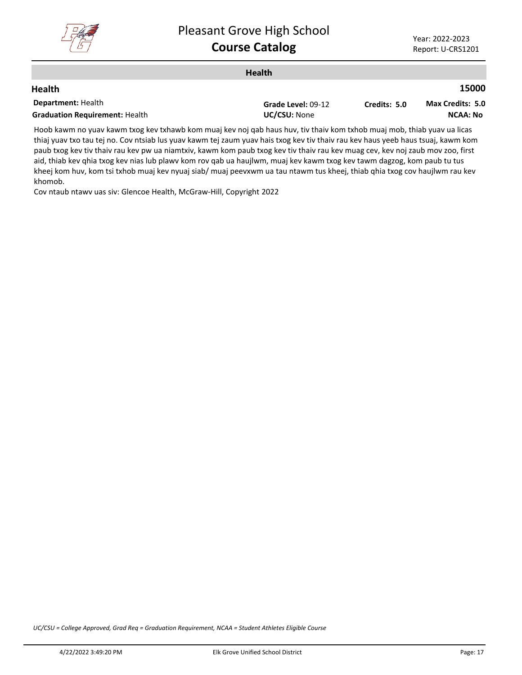

| <b>Health</b>                         |                    |              |                         |
|---------------------------------------|--------------------|--------------|-------------------------|
| <b>Health</b>                         |                    |              | 15000                   |
| <b>Department: Health</b>             | Grade Level: 09-12 | Credits: 5.0 | <b>Max Credits: 5.0</b> |
| <b>Graduation Requirement: Health</b> | UC/CSU: None       |              | <b>NCAA: No</b>         |
|                                       | .                  |              |                         |

Hoob kawm no yuav kawm txog kev txhawb kom muaj kev noj qab haus huv, tiv thaiv kom txhob muaj mob, thiab yuav ua licas thiaj yuav txo tau tej no. Cov ntsiab lus yuav kawm tej zaum yuav hais txog kev tiv thaiv rau kev haus yeeb haus tsuaj, kawm kom paub txog kev tiv thaiv rau kev pw ua niamtxiv, kawm kom paub txog kev tiv thaiv rau kev muag cev, kev noj zaub mov zoo, first aid, thiab kev qhia txog kev nias lub plawv kom rov qab ua haujlwm, muaj kev kawm txog kev tawm dagzog, kom paub tu tus kheej kom huv, kom tsi txhob muaj kev nyuaj siab/ muaj peevxwm ua tau ntawm tus kheej, thiab qhia txog cov haujlwm rau kev khomob.

Cov ntaub ntawv uas siv: Glencoe Health, McGraw-Hill, Copyright 2022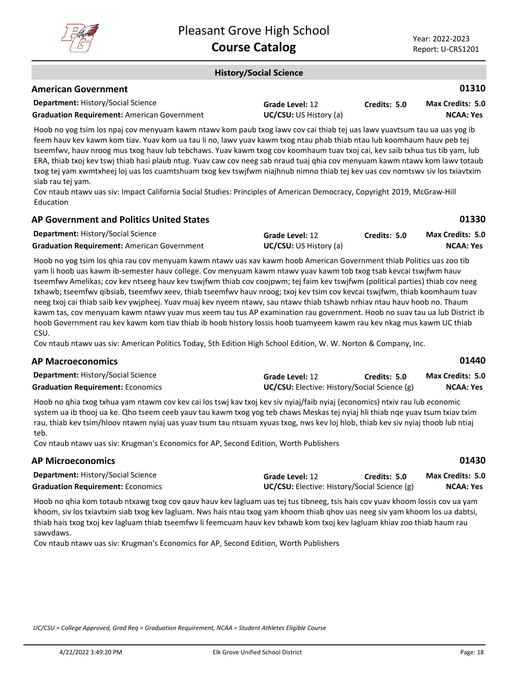

**01330**

**01440**

**01430**

#### **History/Social Science**

#### **American Government**

| <b>Department: History/Social Science</b>          | Grade Level: 12               | Credits: 5.0 | Max Credits: 5.0 |
|----------------------------------------------------|-------------------------------|--------------|------------------|
| <b>Graduation Requirement: American Government</b> | <b>UC/CSU:</b> US History (a) |              | <b>NCAA: Yes</b> |

Hoob no yog tsim los npaj cov menyuam kawm ntawv kom paub txog lawv cov cai thiab tej uas lawv yuavtsum tau ua uas yog ib feem hauv kev kawm kom tiav. Yuav kom ua tau li no, lawv yuav kawm txog ntau phab thiab ntau lub koomhaum hauv peb tej tseemfwv, hauv nroog mus txog hauv lub tebchaws. Yuav kawm txog cov koomhaum tuav txoj cai, kev saib txhua tus tib yam, lub ERA, thiab txoj kev tswj thiab hasi plaub ntug. Yuav caw cov neeg sab nraud tuaj qhia cov menyuam kawm ntawv kom lawv totaub txog tej yam xwmtxheej loj uas los cuamtshuam txog kev tswjfwm niajhnub nimno thiab tej kev uas cov nomtswv siv los txiavtxim siab rau tej yam.

Cov ntaub ntawv uas siv: Impact California Social Studies: Principles of American Democracy, Copyright 2019, McGraw-Hill Education

# **AP Government and Politics United States**

| <b>Department: History/Social Science</b>          | Grade Level: 12               | Credits: 5.0 | <b>Max Credits: 5.0</b> |
|----------------------------------------------------|-------------------------------|--------------|-------------------------|
| <b>Graduation Requirement:</b> American Government | <b>UC/CSU:</b> US History (a) |              | NCAA: Yes               |

Hoob no yog tsim los qhia rau cov menyuam kawm ntawv uas xav kawm hoob American Government thiab Politics uas zoo tib yam li hoob uas kawm ib-semester hauv college. Cov menyuam kawm ntawv yuav kawm tob txog tsab kevcai tswjfwm hauv tseemfwv Amelikas; cov kev ntseeg hauv kev tswjfwm thiab cov coojpwm; tej faim kev tswjfwm (political parties) thiab cov neeg txhawb; tseemfwv qibsiab, tseemfwv xeev, thiab tseemfwv hauv nroog; txoj kev tsim cov kevcai tswjfwm, thiab koomhaum tuav neeg txoj cai thiab saib kev ywjpheej. Yuav muaj kev nyeem ntawv, sau ntawv thiab tshawb nrhiav ntau hauv hoob no. Thaum kawm tas, cov menyuam kawm ntawv yuav mus xeem tau tus AP examination rau government. Hoob no suav tau ua lub District ib hoob Government rau kev kawm kom tiav thiab ib hoob history lossis hoob tuamyeem kawm rau kev nkag mus kawm UC thiab CSU.

Cov ntaub ntawv uas siv: American Politics Today, 5th Edition High School Edition, W. W. Norton & Company, Inc.

#### **AP Macroeconomics**

| <b>Department: History/Social Science</b> | Grade Level: 12                                     | Credits: 5.0 | <b>Max Credits: 5.0</b> |
|-------------------------------------------|-----------------------------------------------------|--------------|-------------------------|
| <b>Graduation Requirement: Economics</b>  | <b>UC/CSU:</b> Elective: History/Social Science (g) |              | <b>NCAA: Yes</b>        |

Hoob no qhia txog txhua yam ntawm cov kev cai los tswj kav txoj kev siv nyiaj/faib nyiaj (economics) ntxiv rau lub economic system ua ib thooj ua ke. Qho tseem ceeb yauv tau kawm txog yog teb chaws Meskas tej nyiaj hli thiab nqe yuav tsum txiav txim rau, thiab kev tsim/hloov ntawm nyiaj uas yuav tsum tau ntsuam xyuas txog, nws kev loj hlob, thiab kev siv nyiaj thoob lub ntiaj teb.

Cov ntaub ntawv uas siv: Krugman's Economics for AP, Second Edition, Worth Publishers

#### **AP Microeconomics**

| <b>Department: History/Social Science</b> | <b>Grade Level: 12</b>                              | Credits: 5.0 | <b>Max Credits: 5.0</b> |
|-------------------------------------------|-----------------------------------------------------|--------------|-------------------------|
| <b>Graduation Requirement: Economics</b>  | <b>UC/CSU:</b> Elective: History/Social Science (g) |              | <b>NCAA: Yes</b>        |

Hoob no qhia kom totaub ntxawg txog cov qauv hauv kev lagluam uas tej tus tibneeg, tsis hais cov yuav khoom lossis cov ua yam khoom, siv los txiavtxim siab txog kev lagluam. Nws hais ntau txog yam khoom thiab qhov uas neeg siv yam khoom los ua dabtsi, thiab hais txog txoj kev lagluam thiab tseemfwv li feemcuam hauv kev txhawb kom txoj kev lagluam khiav zoo thiab haum rau sawvdaws.

Cov ntaub ntawv uas siv: Krugman's Economics for AP, Second Edition, Worth Publishers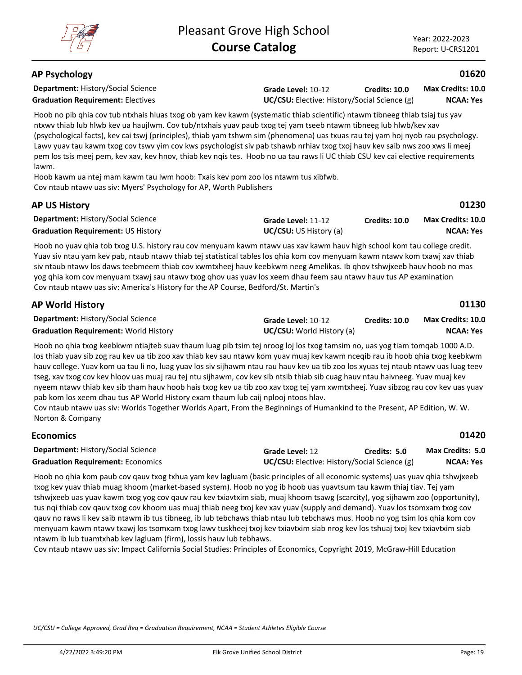## **AP Psychology**

**Department:** History/Social Science

**Grade Level:** 10-12 **Graduation Requirement:** Electives **UC/CSU:** Elective: History/Social Science (g) **Credits: 10.0**

**NCAA: Yes Max Credits: 10.0**

**01620**

**01230**

Hoob no pib qhia cov tub ntxhais hluas txog ob yam kev kawm (systematic thiab scientific) ntawm tibneeg thiab tsiaj tus yav ntxwv thiab lub hlwb kev ua haujlwm. Cov tub/ntxhais yuav paub txog tej yam tseeb ntawm tibneeg lub hlwb/kev xav (psychological facts), kev cai tswj (principles), thiab yam tshwm sim (phenomena) uas txuas rau tej yam hoj nyob rau psychology. Lawv yuav tau kawm txog cov tswv yim cov kws psychologist siv pab tshawb nrhiav txog txoj hauv kev saib nws zoo xws li meej pem los tsis meej pem, kev xav, kev hnov, thiab kev nqis tes. Hoob no ua tau raws li UC thiab CSU kev cai elective requirements lawm.

Hoob kawm ua ntej mam kawm tau lwm hoob: Txais kev pom zoo los ntawm tus xibfwb. Cov ntaub ntawv uas siv: Myers' Psychology for AP, Worth Publishers

## **AP US History**

**Economics**

| <b>Department: History/Social Science</b> | Grade Level: 11-12            | <b>Credits: 10.0</b> | <b>Max Credits: 10.0</b> |
|-------------------------------------------|-------------------------------|----------------------|--------------------------|
| <b>Graduation Requirement: US History</b> | <b>UC/CSU:</b> US History (a) |                      | NCAA: Yes                |

Hoob no yuav qhia tob txog U.S. history rau cov menyuam kawm ntawv uas xav kawm hauv high school kom tau college credit. Yuav siv ntau yam kev pab, ntaub ntawv thiab tej statistical tables los qhia kom cov menyuam kawm ntawv kom txawj xav thiab siv ntaub ntawv los daws teebmeem thiab cov xwmtxheej hauv keebkwm neeg Amelikas. Ib qhov tshwjxeeb hauv hoob no mas yog qhia kom cov menyuam txawj sau ntawv txog qhov uas yuav los xeem dhau feem sau ntawv hauv tus AP examination Cov ntaub ntawv uas siv: America's History for the AP Course, Bedford/St. Martin's

| <b>AP World History</b>                      |                                  |               | 01130                    |
|----------------------------------------------|----------------------------------|---------------|--------------------------|
| <b>Department: History/Social Science</b>    | Grade Level: 10-12               | Credits: 10.0 | <b>Max Credits: 10.0</b> |
| <b>Graduation Requirement: World History</b> | <b>UC/CSU:</b> World History (a) |               | NCAA: Yes                |

Hoob no qhia txog keebkwm ntiajteb suav thaum luag pib tsim tej nroog loj los txog tamsim no, uas yog tiam tomqab 1000 A.D. los thiab yuav sib zog rau kev ua tib zoo xav thiab kev sau ntawv kom yuav muaj kev kawm nceqib rau ib hoob qhia txog keebkwm hauv college. Yuav kom ua tau li no, luag yuav los siv sijhawm ntau rau hauv kev ua tib zoo los xyuas tej ntaub ntawv uas luag teev tseg, xav txog cov kev hloov uas muaj rau tej ntu sijhawm, cov kev sib ntsib thiab sib cuag hauv ntau haivneeg. Yuav muaj kev nyeem ntawv thiab kev sib tham hauv hoob hais txog kev ua tib zoo xav txog tej yam xwmtxheej. Yuav sibzog rau cov kev uas yuav pab kom los xeem dhau tus AP World History exam thaum lub caij nplooj ntoos hlav.

Cov ntaub ntawv uas siv: Worlds Together Worlds Apart, From the Beginnings of Humankind to the Present, AP Edition, W. W. Norton & Company

| ELUIIUIIIILS                              |                                                     |              | <b>UITLU</b>            |
|-------------------------------------------|-----------------------------------------------------|--------------|-------------------------|
| <b>Department: History/Social Science</b> | <b>Grade Level: 12</b>                              | Credits: 5.0 | <b>Max Credits: 5.0</b> |
| <b>Graduation Requirement: Economics</b>  | <b>UC/CSU:</b> Elective: History/Social Science (g) |              | NCAA: Yes               |

Hoob no qhia kom paub cov qauv txog txhua yam kev lagluam (basic principles of all economic systems) uas yuav qhia tshwjxeeb txog kev yuav thiab muag khoom (market-based system). Hoob no yog ib hoob uas yuavtsum tau kawm thiaj tiav. Tej yam tshwjxeeb uas yuav kawm txog yog cov qauv rau kev txiavtxim siab, muaj khoom tsawg (scarcity), yog sijhawm zoo (opportunity), tus nqi thiab cov qauv txog cov khoom uas muaj thiab neeg txoj kev xav yuav (supply and demand). Yuav los tsomxam txog cov qauv no raws li kev saib ntawm ib tus tibneeg, ib lub tebchaws thiab ntau lub tebchaws mus. Hoob no yog tsim los qhia kom cov menyuam kawm ntawv txawj los tsomxam txog lawv tuskheej txoj kev txiavtxim siab nrog kev los tshuaj txoj kev txiavtxim siab ntawm ib lub tuamtxhab kev lagluam (firm), lossis hauv lub tebhaws.

Cov ntaub ntawv uas siv: Impact California Social Studies: Principles of Economics, Copyright 2019, McGraw-Hill Education

*UC/CSU = College Approved, Grad Req = Graduation Requirement, NCAA = Student Athletes Eligible Course*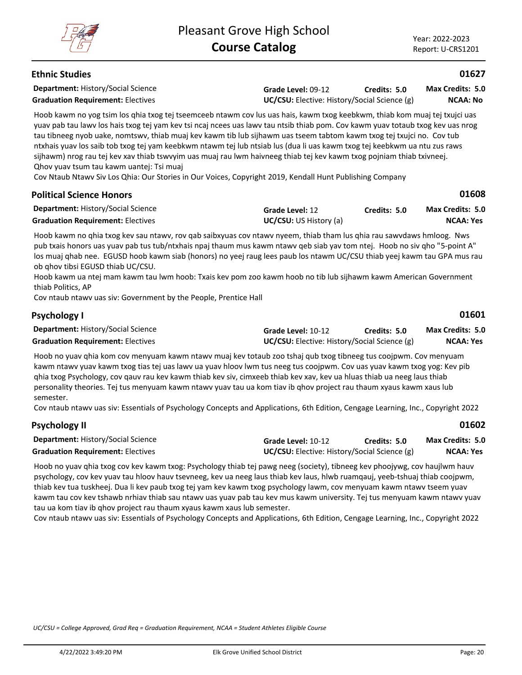## **Ethnic Studies**

**Department:** History/Social Science

**Grade Level:** 09-12 **Graduation Requirement:** Electives **UC/CSU:** Elective: History/Social Science (g) **Credits: 5.0**

**NCAA: No Max Credits: 5.0**

**01627**

Hoob kawm no yog tsim los qhia txog tej tseemceeb ntawm cov lus uas hais, kawm txog keebkwm, thiab kom muaj tej txujci uas yuav pab tau lawv los hais txog tej yam kev tsi ncaj ncees uas lawv tau ntsib thiab pom. Cov kawm yuav totaub txog kev uas nrog tau tibneeg nyob uake, nomtswv, thiab muaj kev kawm tib lub sijhawm uas tseem tabtom kawm txog tej txujci no. Cov tub ntxhais yuav los saib tob txog tej yam keebkwm ntawm tej lub ntsiab lus (dua li uas kawm txog tej keebkwm ua ntu zus raws sijhawm) nrog rau tej kev xav thiab tswvyim uas muaj rau lwm haivneeg thiab tej kev kawm txog pojniam thiab txivneej. Qhov yuav tsum tau kawm uantej: Tsi muaj

Cov Ntaub Ntawv Siv Los Qhia: Our Stories in Our Voices, Copyright 2019, Kendall Hunt Publishing Company

| <b>Political Science Honors</b>           |                               |              | 01608            |
|-------------------------------------------|-------------------------------|--------------|------------------|
| <b>Department: History/Social Science</b> | Grade Level: 12               | Credits: 5.0 | Max Credits: 5.0 |
| <b>Graduation Requirement: Electives</b>  | <b>UC/CSU:</b> US History (a) |              | <b>NCAA: Yes</b> |

Hoob kawm no qhia txog kev sau ntawv, rov qab saibxyuas cov ntawv nyeem, thiab tham lus qhia rau sawvdaws hmloog. Nws pub txais honors uas yuav pab tus tub/ntxhais npaj thaum mus kawm ntawv qeb siab yav tom ntej. Hoob no siv qho "5-point A" los muaj qhab nee. EGUSD hoob kawm siab (honors) no yeej raug lees paub los ntawm UC/CSU thiab yeej kawm tau GPA mus rau ob qhov tibsi EGUSD thiab UC/CSU.

Hoob kawm ua ntej mam kawm tau lwm hoob: Txais kev pom zoo kawm hoob no tib lub sijhawm kawm American Government thiab Politics, AP

Cov ntaub ntawv uas siv: Government by the People, Prentice Hall

| <b>Psychology I</b>                       |                                                     |              | 01601                   |
|-------------------------------------------|-----------------------------------------------------|--------------|-------------------------|
| <b>Department: History/Social Science</b> | Grade Level: 10-12                                  | Credits: 5.0 | <b>Max Credits: 5.0</b> |
| <b>Graduation Requirement: Electives</b>  | <b>UC/CSU:</b> Elective: History/Social Science (g) |              | NCAA: Yes               |

Hoob no yuav qhia kom cov menyuam kawm ntawv muaj kev totaub zoo tshaj qub txog tibneeg tus coojpwm. Cov menyuam kawm ntawv yuav kawm txog tias tej uas lawv ua yuav hloov lwm tus neeg tus coojpwm. Cov uas yuav kawm txog yog: Kev pib qhia txog Psychology, cov qauv rau kev kawm thiab kev siv, cimxeeb thiab kev xav, kev ua hluas thiab ua neeg laus thiab personality theories. Tej tus menyuam kawm ntawv yuav tau ua kom tiav ib qhov project rau thaum xyaus kawm xaus lub semester.

Cov ntaub ntawv uas siv: Essentials of Psychology Concepts and Applications, 6th Edition, Cengage Learning, Inc., Copyright 2022

| Psychology II                             |                                                     |              | 01602                   |
|-------------------------------------------|-----------------------------------------------------|--------------|-------------------------|
| <b>Department: History/Social Science</b> | Grade Level: 10-12                                  | Credits: 5.0 | <b>Max Credits: 5.0</b> |
| <b>Graduation Requirement: Electives</b>  | <b>UC/CSU:</b> Elective: History/Social Science (g) |              | NCAA: Yes               |

Hoob no yuav qhia txog cov kev kawm txog: Psychology thiab tej pawg neeg (society), tibneeg kev phoojywg, cov haujlwm hauv psychology, cov kev yuav tau hloov hauv tsevneeg, kev ua neeg laus thiab kev laus, hlwb ruamqauj, yeeb-tshuaj thiab coojpwm, thiab kev tua tuskheej. Dua li kev paub txog tej yam kev kawm txog psychology lawm, cov menyuam kawm ntawv tseem yuav kawm tau cov kev tshawb nrhiav thiab sau ntawv uas yuav pab tau kev mus kawm university. Tej tus menyuam kawm ntawv yuav tau ua kom tiav ib qhov project rau thaum xyaus kawm xaus lub semester.

Cov ntaub ntawv uas siv: Essentials of Psychology Concepts and Applications, 6th Edition, Cengage Learning, Inc., Copyright 2022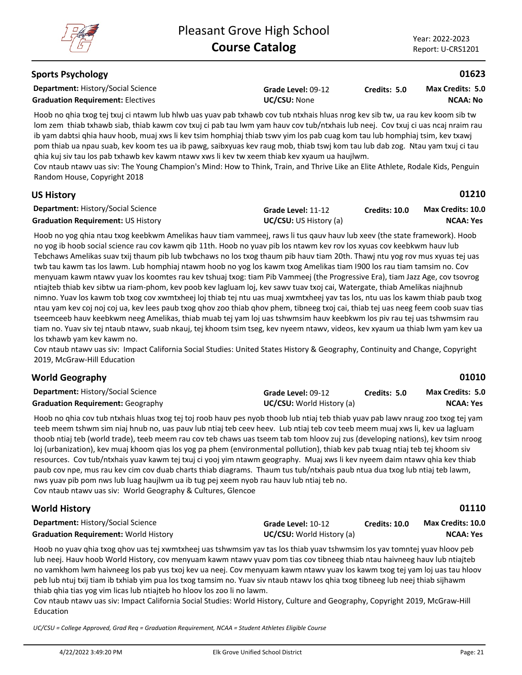**01210**

## **Sports Psychology**

**Department:** History/Social Science

**Graduation Requirement:** Electives **UC/CSU:** None

**Grade Level:** 09-12

**Credits: 5.0 NCAA: No Max Credits: 5.0**

Hoob no qhia txog tej txuj ci ntawm lub hlwb uas yuav pab txhawb cov tub ntxhais hluas nrog kev sib tw, ua rau kev koom sib tw lom zem thiab txhawb siab, thiab kawm cov txuj ci pab tau lwm yam hauv cov tub/ntxhais lub neej. Cov txuj ci uas ncaj nraim rau ib yam dabtsi qhia hauv hoob, muaj xws li kev tsim homphiaj thiab tswv yim los pab cuag kom tau lub homphiaj tsim, kev txawj pom thiab ua npau suab, kev koom tes ua ib pawg, saibxyuas kev raug mob, thiab tswj kom tau lub dab zog. Ntau yam txuj ci tau qhia kuj siv tau los pab txhawb kev kawm ntawv xws li kev tw xeem thiab kev xyaum ua haujlwm.

Cov ntaub ntawv uas siv: The Young Champion's Mind: How to Think, Train, and Thrive Like an Elite Athlete, Rodale Kids, Penguin Random House, Copyright 2018

## **US History**

| <b>Department: History/Social Science</b> | Grade Level: 11-12            | <b>Credits: 10.0</b> | <b>Max Credits: 10.0</b> |
|-------------------------------------------|-------------------------------|----------------------|--------------------------|
| <b>Graduation Requirement: US History</b> | <b>UC/CSU:</b> US History (a) |                      | <b>NCAA: Yes</b>         |

Hoob no yog qhia ntau txog keebkwm Amelikas hauv tiam vammeej, raws li tus qauv hauv lub xeev (the state framework). Hoob no yog ib hoob social science rau cov kawm qib 11th. Hoob no yuav pib los ntawm kev rov los xyuas cov keebkwm hauv lub Tebchaws Amelikas suav txij thaum pib lub twbchaws no los txog thaum pib hauv tiam 20th. Thawj ntu yog rov mus xyuas tej uas twb tau kawm tas los lawm. Lub homphiaj ntawm hoob no yog los kawm txog Amelikas tiam I900 los rau tiam tamsim no. Cov menyuam kawm ntawv yuav los koomtes rau kev tshuaj txog: tiam Pib Vammeej (the Progressive Era), tiam Jazz Age, cov tsovrog ntiajteb thiab kev sibtw ua riam-phom, kev poob kev lagluam loj, kev sawv tuav txoj cai, Watergate, thiab Amelikas niajhnub nimno. Yuav los kawm tob txog cov xwmtxheej loj thiab tej ntu uas muaj xwmtxheej yav tas los, ntu uas los kawm thiab paub txog ntau yam kev coj noj coj ua, kev lees paub txog qhov zoo thiab qhov phem, tibneeg txoj cai, thiab tej uas neeg feem coob suav tias tseemceeb hauv keebkwm neeg Amelikas, thiab muab tej yam loj uas tshwmsim hauv keebkwm los piv rau tej uas tshwmsim rau tiam no. Yuav siv tej ntaub ntawv, suab nkauj, tej khoom tsim tseg, kev nyeem ntawv, videos, kev xyaum ua thiab lwm yam kev ua los txhawb yam kev kawm no.

Cov ntaub ntawv uas siv: Impact California Social Studies: United States History & Geography, Continuity and Change, Copyright 2019, McGraw-Hill Education

## **World Geography**

| <b>Department: History/Social Science</b> | Grade Level: 09-12               | Credits: 5.0 | <b>Max Credits: 5.0</b> |
|-------------------------------------------|----------------------------------|--------------|-------------------------|
| <b>Graduation Requirement: Geography</b>  | <b>UC/CSU:</b> World History (a) |              | NCAA: Yes               |

Hoob no qhia cov tub ntxhais hluas txog tej toj roob hauv pes nyob thoob lub ntiaj teb thiab yuav pab lawv nraug zoo txog tej yam teeb meem tshwm sim niaj hnub no, uas pauv lub ntiaj teb ceev heev. Lub ntiaj teb cov teeb meem muaj xws li, kev ua lagluam thoob ntiaj teb (world trade), teeb meem rau cov teb chaws uas tseem tab tom hloov zuj zus (developing nations), kev tsim nroog loj (urbanization), kev muaj khoom qias los yog pa phem (environmental pollution), thiab kev pab txuag ntiaj teb tej khoom siv resources. Cov tub/ntxhais yuav kawm tej txuj ci yooj yim ntawm geography. Muaj xws li kev nyeem daim ntawv qhia kev thiab paub cov npe, mus rau kev cim cov duab charts thiab diagrams. Thaum tus tub/ntxhais paub ntua dua txog lub ntiaj teb lawm, nws yuav pib pom nws lub luag haujlwm ua ib tug pej xeem nyob rau hauv lub ntiaj teb no. Cov ntaub ntawv uas siv: World Geography & Cultures, Glencoe

| <b>World History</b>                         |                                  |                      | 01110                    |
|----------------------------------------------|----------------------------------|----------------------|--------------------------|
| <b>Department: History/Social Science</b>    | Grade Level: 10-12               | <b>Credits: 10.0</b> | <b>Max Credits: 10.0</b> |
| <b>Graduation Requirement: World History</b> | <b>UC/CSU:</b> World History (a) |                      | <b>NCAA: Yes</b>         |

Hoob no yuav qhia txog qhov uas tej xwmtxheej uas tshwmsim yav tas los thiab yuav tshwmsim los yav tomntej yuav hloov peb lub neej. Hauv hoob World History, cov menyuam kawm ntawv yuav pom tias cov tibneeg thiab ntau haivneeg hauv lub ntiajteb no vamkhom lwm haivneeg los pab yus txoj kev ua neej. Cov menyuam kawm ntawv yuav los kawm txog tej yam loj uas tau hloov peb lub ntuj txij tiam ib txhiab yim pua los txog tamsim no. Yuav siv ntaub ntawv los qhia txog tibneeg lub neej thiab sijhawm thiab qhia tias yog vim licas lub ntiajteb ho hloov los zoo li no lawm.

Cov ntaub ntawv uas siv: Impact California Social Studies: World History, Culture and Geography, Copyright 2019, McGraw-Hill Education

*UC/CSU = College Approved, Grad Req = Graduation Requirement, NCAA = Student Athletes Eligible Course*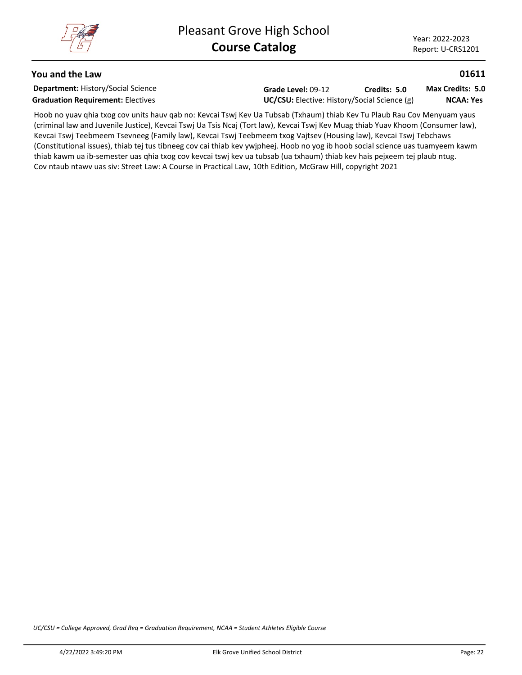#### **You and the Law**

**Department:** History/Social Science

**Grade Level:** 09-12 Graduation Requirement: Electives<br>
UC/CSU: Elective: History/Social Science (g) **Credits: 5.0**

**NCAA: Yes Max Credits: 5.0**

**01611**

Hoob no yuav qhia txog cov units hauv qab no: Kevcai Tswj Kev Ua Tubsab (Txhaum) thiab Kev Tu Plaub Rau Cov Menyuam yaus (criminal law and Juvenile Justice), Kevcai Tswj Ua Tsis Ncaj (Tort law), Kevcai Tswj Kev Muag thiab Yuav Khoom (Consumer law), Kevcai Tswj Teebmeem Tsevneeg (Family law), Kevcai Tswj Teebmeem txog Vajtsev (Housing law), Kevcai Tswj Tebchaws (Constitutional issues), thiab tej tus tibneeg cov cai thiab kev ywjpheej. Hoob no yog ib hoob social science uas tuamyeem kawm thiab kawm ua ib-semester uas qhia txog cov kevcai tswj kev ua tubsab (ua txhaum) thiab kev hais pejxeem tej plaub ntug. Cov ntaub ntawv uas siv: Street Law: A Course in Practical Law, 10th Edition, McGraw Hill, copyright 2021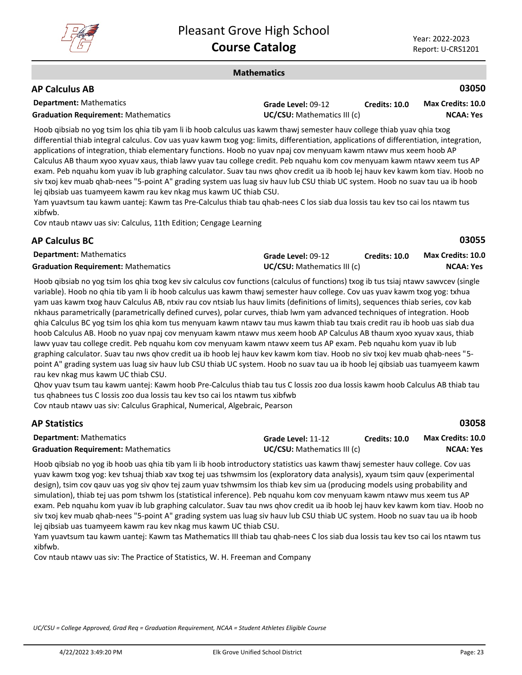

#### **Mathematics**

## **AP Calculus AB**

| <b>Department:</b> Mathematics             | Grade Level: 09-12                 | <b>Credits: 10.0</b> | Max Credits: 10.0 |
|--------------------------------------------|------------------------------------|----------------------|-------------------|
| <b>Graduation Requirement: Mathematics</b> | <b>UC/CSU:</b> Mathematics III (c) |                      | <b>NCAA: Yes</b>  |

Hoob qibsiab no yog tsim los qhia tib yam li ib hoob calculus uas kawm thawj semester hauv college thiab yuav qhia txog differential thiab integral calculus. Cov uas yuav kawm txog yog: limits, differentiation, applications of differentiation, integration, applications of integration, thiab elementary functions. Hoob no yuav npaj cov menyuam kawm ntawv mus xeem hoob AP Calculus AB thaum xyoo xyuav xaus, thiab lawv yuav tau college credit. Peb nquahu kom cov menyuam kawm ntawv xeem tus AP exam. Peb nquahu kom yuav ib lub graphing calculator. Suav tau nws qhov credit ua ib hoob lej hauv kev kawm kom tiav. Hoob no siv txoj kev muab qhab-nees "5-point A" grading system uas luag siv hauv lub CSU thiab UC system. Hoob no suav tau ua ib hoob lej qibsiab uas tuamyeem kawm rau kev nkag mus kawm UC thiab CSU.

Yam yuavtsum tau kawm uantej: Kawm tas Pre-Calculus thiab tau qhab-nees C los siab dua lossis tau kev tso cai los ntawm tus xibfwb.

Cov ntaub ntawv uas siv: Calculus, 11th Edition; Cengage Learning

## **AP Calculus BC**

**03055**

| <b>Department: Mathematics</b>             | Grade Level: 09-12                 | <b>Credits: 10.0</b> | <b>Max Credits: 10.0</b> |
|--------------------------------------------|------------------------------------|----------------------|--------------------------|
| <b>Graduation Requirement: Mathematics</b> | <b>UC/CSU:</b> Mathematics III (c) |                      | <b>NCAA: Yes</b>         |

Hoob qibsiab no yog tsim los qhia txog kev siv calculus cov functions (calculus of functions) txog ib tus tsiaj ntawv sawvcev (single variable). Hoob no qhia tib yam li ib hoob calculus uas kawm thawj semester hauv college. Cov uas yuav kawm txog yog: txhua yam uas kawm txog hauv Calculus AB, ntxiv rau cov ntsiab lus hauv limits (definitions of limits), sequences thiab series, cov kab nkhaus parametrically (parametrically defined curves), polar curves, thiab lwm yam advanced techniques of integration. Hoob qhia Calculus BC yog tsim los qhia kom tus menyuam kawm ntawv tau mus kawm thiab tau txais credit rau ib hoob uas siab dua hoob Calculus AB. Hoob no yuav npaj cov menyuam kawm ntawv mus xeem hoob AP Calculus AB thaum xyoo xyuav xaus, thiab lawv yuav tau college credit. Peb nquahu kom cov menyuam kawm ntawv xeem tus AP exam. Peb nquahu kom yuav ib lub graphing calculator. Suav tau nws qhov credit ua ib hoob lej hauv kev kawm kom tiav. Hoob no siv txoj kev muab qhab-nees "5 point A" grading system uas luag siv hauv lub CSU thiab UC system. Hoob no suav tau ua ib hoob lej qibsiab uas tuamyeem kawm rau kev nkag mus kawm UC thiab CSU.

Qhov yuav tsum tau kawm uantej: Kawm hoob Pre-Calculus thiab tau tus C lossis zoo dua lossis kawm hoob Calculus AB thiab tau tus qhabnees tus C lossis zoo dua lossis tau kev tso cai los ntawm tus xibfwb

Cov ntaub ntawv uas siv: Calculus Graphical, Numerical, Algebraic, Pearson

## **AP Statistics**

**03058**

| <b>Department:</b> Mathematics             | Grade Level: 11-12                 | Credits: 10.0 | <b>Max Credits: 10.0</b> |
|--------------------------------------------|------------------------------------|---------------|--------------------------|
| <b>Graduation Requirement: Mathematics</b> | <b>UC/CSU:</b> Mathematics III (c) |               | NCAA: Yes                |

Hoob qibsiab no yog ib hoob uas qhia tib yam li ib hoob introductory statistics uas kawm thawj semester hauv college. Cov uas yuav kawm txog yog: kev tshuaj thiab xav txog tej uas tshwmsim los (exploratory data analysis), xyaum tsim qauv (experimental design), tsim cov qauv uas yog siv qhov tej zaum yuav tshwmsim los thiab kev sim ua (producing models using probability and simulation), thiab tej uas pom tshwm los (statistical inference). Peb nquahu kom cov menyuam kawm ntawv mus xeem tus AP exam. Peb nquahu kom yuav ib lub graphing calculator. Suav tau nws qhov credit ua ib hoob lej hauv kev kawm kom tiav. Hoob no siv txoj kev muab qhab-nees "5-point A" grading system uas luag siv hauv lub CSU thiab UC system. Hoob no suav tau ua ib hoob lej qibsiab uas tuamyeem kawm rau kev nkag mus kawm UC thiab CSU.

Yam yuavtsum tau kawm uantej: Kawm tas Mathematics III thiab tau qhab-nees C los siab dua lossis tau kev tso cai los ntawm tus xibfwb.

Cov ntaub ntawv uas siv: The Practice of Statistics, W. H. Freeman and Company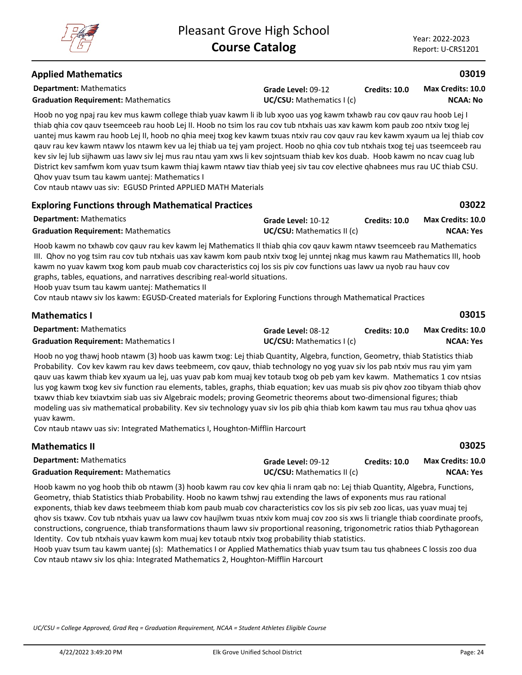**03022**

## **Applied Mathematics**

**Department:** Mathematics

**Graduation Requirement:** Mathematics **UC/CSU:** Mathematics I (c)

**Grade Level:** 09-12

**Credits: 10.0 NCAA: No Max Credits: 10.0**

Hoob no yog npaj rau kev mus kawm college thiab yuav kawm li ib lub xyoo uas yog kawm txhawb rau cov qauv rau hoob Lej I thiab qhia cov qauv tseemceeb rau hoob Lej II. Hoob no tsim los rau cov tub ntxhais uas xav kawm kom paub zoo ntxiv txog lej uantej mus kawm rau hoob Lej II, hoob no qhia meej txog kev kawm txuas ntxiv rau cov qauv rau kev kawm xyaum ua lej thiab cov qauv rau kev kawm ntawv los ntawm kev ua lej thiab ua tej yam project. Hoob no qhia cov tub ntxhais txog tej uas tseemceeb rau kev siv lej lub sijhawm uas lawv siv lej mus rau ntau yam xws li kev sojntsuam thiab kev kos duab. Hoob kawm no ncav cuag lub District kev samfwm kom yuav tsum kawm thiaj kawm ntawv tiav thiab yeej siv tau cov elective qhabnees mus rau UC thiab CSU. Qhov yuav tsum tau kawm uantej: Mathematics I

Cov ntaub ntawv uas siv: EGUSD Printed APPLIED MATH Materials

## **Exploring Functions through Mathematical Practices**

| <b>Department:</b> Mathematics             | Grade Level: 10-12                | <b>Credits: 10.0</b> | <b>Max Credits: 10.0</b> |
|--------------------------------------------|-----------------------------------|----------------------|--------------------------|
| <b>Graduation Requirement: Mathematics</b> | <b>UC/CSU:</b> Mathematics II (c) |                      | NCAA: Yes                |

Hoob kawm no txhawb cov qauv rau kev kawm lej Mathematics II thiab qhia cov qauv kawm ntawv tseemceeb rau Mathematics III. Qhov no yog tsim rau cov tub ntxhais uas xav kawm kom paub ntxiv txog lej unntej nkag mus kawm rau Mathematics III, hoob kawm no yuav kawm txog kom paub muab cov characteristics coj los sis piv cov functions uas lawv ua nyob rau hauv cov graphs, tables, equations, and narratives describing real-world situations.

Hoob yuav tsum tau kawm uantej: Mathematics II

Cov ntaub ntawv siv los kawm: EGUSD-Created materials for Exploring Functions through Mathematical Practices

| <b>Mathematics I</b>                         |                          |               | 03015                    |
|----------------------------------------------|--------------------------|---------------|--------------------------|
| <b>Department:</b> Mathematics               | Grade Level: 08-12       | Credits: 10.0 | <b>Max Credits: 10.0</b> |
| <b>Graduation Requirement: Mathematics I</b> | UC/CSU: Mathematics I(c) |               | NCAA: Yes                |

Hoob no yog thawj hoob ntawm (3) hoob uas kawm txog: Lej thiab Quantity, Algebra, function, Geometry, thiab Statistics thiab Probability. Cov kev kawm rau kev daws teebmeem, cov qauv, thiab technology no yog yuav siv los pab ntxiv mus rau yim yam qauv uas kawm thiab kev xyaum ua lej, uas yuav pab kom muaj kev totaub txog ob peb yam kev kawm. Mathematics 1 cov ntsias lus yog kawm txog kev siv function rau elements, tables, graphs, thiab equation; kev uas muab sis piv qhov zoo tibyam thiab qhov txawv thiab kev txiavtxim siab uas siv Algebraic models; proving Geometric theorems about two-dimensional figures; thiab modeling uas siv mathematical probability. Kev siv technology yuav siv los pib qhia thiab kom kawm tau mus rau txhua qhov uas yuav kawm.

Cov ntaub ntawv uas siv: Integrated Mathematics I, Houghton-Mifflin Harcourt

| <b>Mathematics II</b>                      |                                   |               | 03025                    |
|--------------------------------------------|-----------------------------------|---------------|--------------------------|
| <b>Department:</b> Mathematics             | Grade Level: 09-12                | Credits: 10.0 | <b>Max Credits: 10.0</b> |
| <b>Graduation Requirement: Mathematics</b> | <b>UC/CSU:</b> Mathematics II (c) |               | NCAA: Yes                |

Hoob kawm no yog hoob thib ob ntawm (3) hoob kawm rau cov kev qhia li nram qab no: Lej thiab Quantity, Algebra, Functions, Geometry, thiab Statistics thiab Probability. Hoob no kawm tshwj rau extending the laws of exponents mus rau rational exponents, thiab kev daws teebmeem thiab kom paub muab cov characteristics cov los sis piv seb zoo licas, uas yuav muaj tej qhov sis txawv. Cov tub ntxhais yuav ua lawv cov haujlwm txuas ntxiv kom muaj cov zoo sis xws li triangle thiab coordinate proofs, constructions, congruence, thiab transformations thaum lawv siv proportional reasoning, trigonometric ratios thiab Pythagorean Identity. Cov tub ntxhais yuav kawm kom muaj kev totaub ntxiv txog probability thiab statistics.

Hoob yuav tsum tau kawm uantej (s): Mathematics I or Applied Mathematics thiab yuav tsum tau tus qhabnees C lossis zoo dua Cov ntaub ntawv siv los qhia: Integrated Mathematics 2, Houghton-Mifflin Harcourt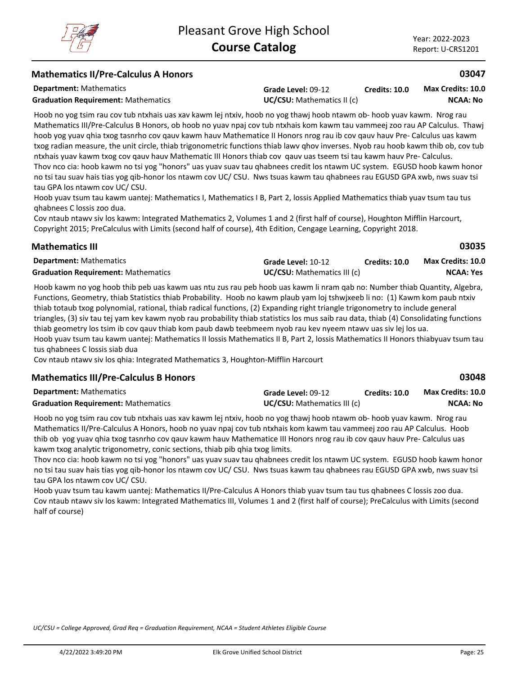**03035**

**03048**

### **Mathematics II/Pre-Calculus A Honors**

**Department:** Mathematics

**Graduation Requirement:** Mathematics **UC/CSU:** Mathematics II (c)

**Grade Level:** 09-12 **Credits: 10.0**

**NCAA: No Max Credits: 10.0**

Hoob no yog tsim rau cov tub ntxhais uas xav kawm lej ntxiv, hoob no yog thawj hoob ntawm ob- hoob yuav kawm. Nrog rau Mathematics III/Pre-Calculus B Honors, ob hoob no yuav npaj cov tub ntxhais kom kawm tau vammeej zoo rau AP Calculus. Thawj hoob yog yuav qhia txog tasnrho cov qauv kawm hauv Mathematice II Honors nrog rau ib cov qauv hauv Pre- Calculus uas kawm txog radian measure, the unit circle, thiab trigonometric functions thiab lawv qhov inverses. Nyob rau hoob kawm thib ob, cov tub ntxhais yuav kawm txog cov qauv hauv Mathematic III Honors thiab cov qauv uas tseem tsi tau kawm hauv Pre- Calculus. Thov nco cia: hoob kawm no tsi yog "honors" uas yuav suav tau qhabnees credit los ntawm UC system. EGUSD hoob kawm honor no tsi tau suav hais tias yog qib-honor los ntawm cov UC/ CSU. Nws tsuas kawm tau qhabnees rau EGUSD GPA xwb, nws suav tsi tau GPA los ntawm cov UC/ CSU.

Hoob yuav tsum tau kawm uantej: Mathematics I, Mathematics I B, Part 2, lossis Applied Mathematics thiab yuav tsum tau tus qhabnees C lossis zoo dua.

Cov ntaub ntawv siv los kawm: Integrated Mathematics 2, Volumes 1 and 2 (first half of course), Houghton Mifflin Harcourt, Copyright 2015; PreCalculus with Limits (second half of course), 4th Edition, Cengage Learning, Copyright 2018.

## **Mathematics III**

| <b>Department:</b> Mathematics             | Grade Level: 10-12          | <b>Credits: 10.0</b> | <b>Max Credits: 10.0</b> |
|--------------------------------------------|-----------------------------|----------------------|--------------------------|
| <b>Graduation Requirement: Mathematics</b> | UC/CSU: Mathematics III (c) |                      | <b>NCAA: Yes</b>         |

Hoob kawm no yog hoob thib peb uas kawm uas ntu zus rau peb hoob uas kawm li nram qab no: Number thiab Quantity, Algebra, Functions, Geometry, thiab Statistics thiab Probability. Hoob no kawm plaub yam loj tshwjxeeb li no: (1) Kawm kom paub ntxiv thiab totaub txog polynomial, rational, thiab radical functions, (2) Expanding right triangle trigonometry to include general triangles, (3) siv tau tej yam kev kawm nyob rau probability thiab statistics los mus saib rau data, thiab (4) Consolidating functions thiab geometry los tsim ib cov qauv thiab kom paub dawb teebmeem nyob rau kev nyeem ntawv uas siv lej los ua. Hoob yuav tsum tau kawm uantej: Mathematics II lossis Mathematics II B, Part 2, lossis Mathematics II Honors thiabyuav tsum tau tus qhabnees C lossis siab dua

Cov ntaub ntawv siv los qhia: Integrated Mathematics 3, Houghton-Mifflin Harcourt

## **Mathematics III/Pre-Calculus B Honors**

**Department:** Mathematics **Grade Level:** 09-12 **Graduation Requirement:** Mathematics **UC/CSU:** Mathematics III (c) **Credits: 10.0 NCAA: No Max Credits: 10.0**

Hoob no yog tsim rau cov tub ntxhais uas xav kawm lej ntxiv, hoob no yog thawj hoob ntawm ob- hoob yuav kawm. Nrog rau Mathematics II/Pre-Calculus A Honors, hoob no yuav npaj cov tub ntxhais kom kawm tau vammeej zoo rau AP Calculus. Hoob thib ob yog yuav qhia txog tasnrho cov qauv kawm hauv Mathematice III Honors nrog rau ib cov qauv hauv Pre- Calculus uas kawm txog analytic trigonometry, conic sections, thiab pib qhia txog limits.

Thov nco cia: hoob kawm no tsi yog "honors" uas yuav suav tau qhabnees credit los ntawm UC system. EGUSD hoob kawm honor no tsi tau suav hais tias yog qib-honor los ntawm cov UC/ CSU. Nws tsuas kawm tau qhabnees rau EGUSD GPA xwb, nws suav tsi tau GPA los ntawm cov UC/ CSU.

Hoob yuav tsum tau kawm uantej: Mathematics II/Pre-Calculus A Honors thiab yuav tsum tau tus qhabnees C lossis zoo dua. Cov ntaub ntawv siv los kawm: Integrated Mathematics III, Volumes 1 and 2 (first half of course); PreCalculus with Limits (second half of course)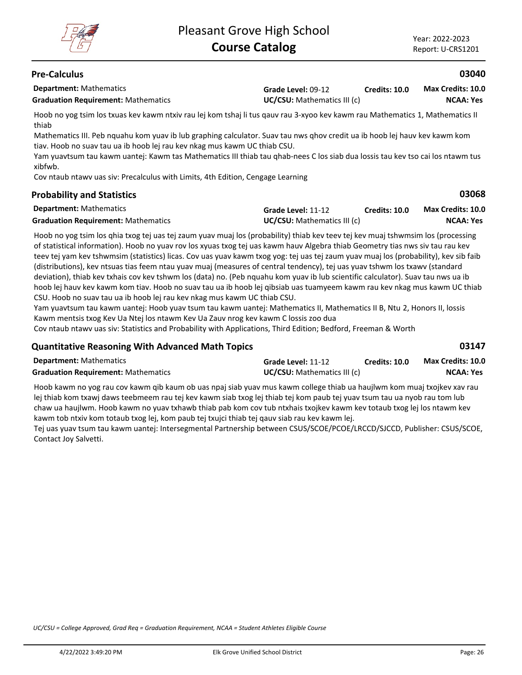**03068**

**03147**

## **Pre-Calculus**

**Department:** Mathematics

**Grade Level:** 09-12 **Graduation Requirement:** Mathematics **UC/CSU:** Mathematics III (c) **Credits: 10.0 NCAA: Yes Max Credits: 10.0**

Hoob no yog tsim los txuas kev kawm ntxiv rau lej kom tshaj li tus qauv rau 3-xyoo kev kawm rau Mathematics 1, Mathematics II thiab

Mathematics III. Peb nquahu kom yuav ib lub graphing calculator. Suav tau nws qhov credit ua ib hoob lej hauv kev kawm kom tiav. Hoob no suav tau ua ib hoob lej rau kev nkag mus kawm UC thiab CSU.

Yam yuavtsum tau kawm uantej: Kawm tas Mathematics III thiab tau qhab-nees C los siab dua lossis tau kev tso cai los ntawm tus xibfwb.

Cov ntaub ntawv uas siv: Precalculus with Limits, 4th Edition, Cengage Learning

## **Probability and Statistics**

| <b>Department:</b> Mathematics             | Grade Level: 11-12                 | <b>Credits: 10.0</b> | <b>Max Credits: 10.0</b> |
|--------------------------------------------|------------------------------------|----------------------|--------------------------|
| <b>Graduation Requirement: Mathematics</b> | <b>UC/CSU:</b> Mathematics III (c) |                      | NCAA: Yes                |

Hoob no yog tsim los qhia txog tej uas tej zaum yuav muaj los (probability) thiab kev teev tej kev muaj tshwmsim los (processing of statistical information). Hoob no yuav rov los xyuas txog tej uas kawm hauv Algebra thiab Geometry tias nws siv tau rau kev teev tej yam kev tshwmsim (statistics) licas. Cov uas yuav kawm txog yog: tej uas tej zaum yuav muaj los (probability), kev sib faib (distributions), kev ntsuas tias feem ntau yuav muaj (measures of central tendency), tej uas yuav tshwm los txawv (standard deviation), thiab kev txhais cov kev tshwm los (data) no. (Peb nquahu kom yuav ib lub scientific calculator). Suav tau nws ua ib hoob lej hauv kev kawm kom tiav. Hoob no suav tau ua ib hoob lej qibsiab uas tuamyeem kawm rau kev nkag mus kawm UC thiab CSU. Hoob no suav tau ua ib hoob lej rau kev nkag mus kawm UC thiab CSU.

Yam yuavtsum tau kawm uantej: Hoob yuav tsum tau kawm uantej: Mathematics II, Mathematics II B, Ntu 2, Honors II, lossis Kawm mentsis txog Kev Ua Ntej los ntawm Kev Ua Zauv nrog kev kawm C lossis zoo dua

Cov ntaub ntawv uas siv: Statistics and Probability with Applications, Third Edition; Bedford, Freeman & Worth

## **Quantitative Reasoning With Advanced Math Topics**

**Department:** Mathematics **Grade Level:** 11-12 **Graduation Requirement:** Mathematics **UC/CSU:** Mathematics III (c) **Credits: 10.0 NCAA: Yes Max Credits: 10.0**

Hoob kawm no yog rau cov kawm qib kaum ob uas npaj siab yuav mus kawm college thiab ua haujlwm kom muaj txojkev xav rau lej thiab kom txawj daws teebmeem rau tej kev kawm siab txog lej thiab tej kom paub tej yuav tsum tau ua nyob rau tom lub chaw ua haujlwm. Hoob kawm no yuav txhawb thiab pab kom cov tub ntxhais txojkev kawm kev totaub txog lej los ntawm kev kawm tob ntxiv kom totaub txog lej, kom paub tej txujci thiab tej qauv siab rau kev kawm lej.

Tej uas yuav tsum tau kawm uantej: Intersegmental Partnership between CSUS/SCOE/PCOE/LRCCD/SJCCD, Publisher: CSUS/SCOE, Contact Joy Salvetti.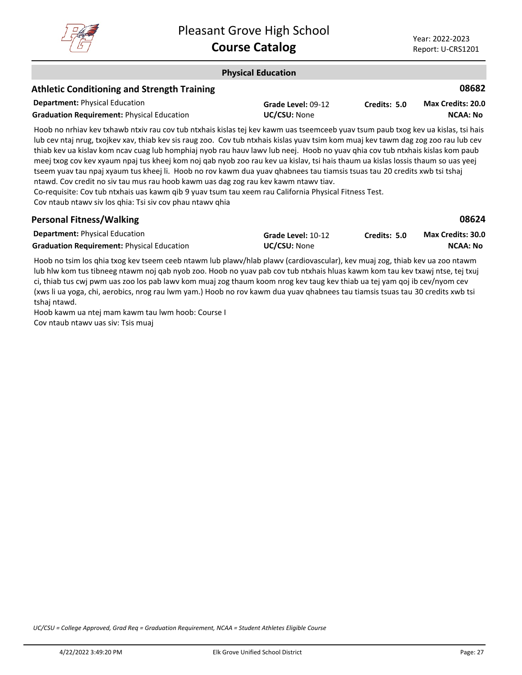

#### **Physical Education Department:** Physical Education **08682** Hoob no nrhiav kev txhawb ntxiv rau cov tub ntxhais kislas tej kev kawm uas tseemceeb yuav tsum paub txog kev ua kislas, tsi hais lub cev ntaj nrug, txojkev xav, thiab kev sis raug zoo. Cov tub ntxhais kislas yuav tsim kom muaj kev tawm dag zog zoo rau lub cev thiab kev ua kislav kom ncav cuag lub homphiaj nyob rau hauv lawv lub neej. Hoob no yuav qhia cov tub ntxhais kislas kom paub meej txog cov kev xyaum npaj tus kheej kom noj qab nyob zoo rau kev ua kislav, tsi hais thaum ua kislas lossis thaum so uas yeej tseem yuav tau npaj xyaum tus kheej li. Hoob no rov kawm dua yuav qhabnees tau tiamsis tsuas tau 20 credits xwb tsi tshaj **Athletic Conditioning and Strength Training Grade Level:** 09-12 Graduation Requirement: Physical Education **UC/CSU:** None **Credits: 5.0 NCAA: No Max Credits: 20.0**

ntawd. Cov credit no siv tau mus rau hoob kawm uas dag zog rau kev kawm ntawv tiav. Co-requisite: Cov tub ntxhais uas kawm qib 9 yuav tsum tau xeem rau California Physical Fitness Test.

Cov ntaub ntawv siv los qhia: Tsi siv cov phau ntawv qhia

| <b>Personal Fitness/Walking</b>                   |                     |              | 08624                    |
|---------------------------------------------------|---------------------|--------------|--------------------------|
| <b>Department:</b> Physical Education             | Grade Level: 10-12  | Credits: 5.0 | <b>Max Credits: 30.0</b> |
| <b>Graduation Requirement: Physical Education</b> | <b>UC/CSU:</b> None |              | NCAA: No                 |

Hoob no tsim los qhia txog kev tseem ceeb ntawm lub plawv/hlab plawv (cardiovascular), kev muaj zog, thiab kev ua zoo ntawm lub hlw kom tus tibneeg ntawm noj qab nyob zoo. Hoob no yuav pab cov tub ntxhais hluas kawm kom tau kev txawj ntse, tej txuj ci, thiab tus cwj pwm uas zoo los pab lawv kom muaj zog thaum koom nrog kev taug kev thiab ua tej yam qoj ib cev/nyom cev (xws li ua yoga, chi, aerobics, nrog rau lwm yam.) Hoob no rov kawm dua yuav qhabnees tau tiamsis tsuas tau 30 credits xwb tsi tshaj ntawd.

Hoob kawm ua ntej mam kawm tau lwm hoob: Course I Cov ntaub ntawv uas siv: Tsis muaj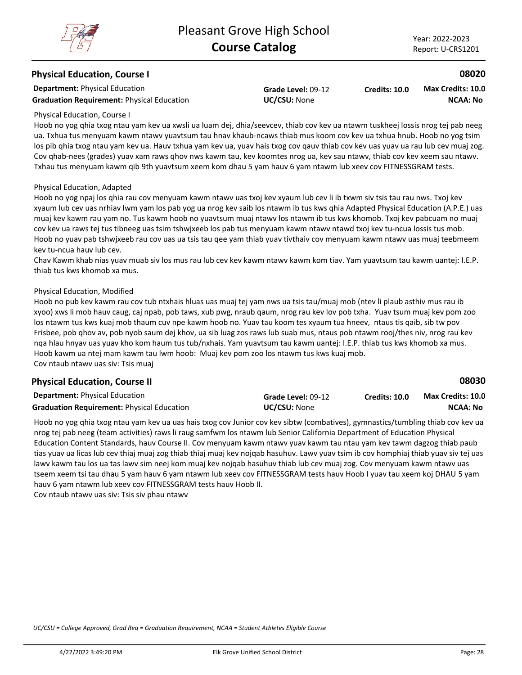### **Physical Education, Course I**

**Department:** Physical Education

Graduation Requirement: Physical Education **UC/CSU:** None

**Grade Level:** 09-12

**Credits: 10.0 NCAA: No Max Credits: 10.0**

#### Physical Education, Course I

Hoob no yog qhia txog ntau yam kev ua xwsli ua luam dej, dhia/seevcev, thiab cov kev ua ntawm tuskheej lossis nrog tej pab neeg ua. Txhua tus menyuam kawm ntawv yuavtsum tau hnav khaub-ncaws thiab mus koom cov kev ua txhua hnub. Hoob no yog tsim los pib qhia txog ntau yam kev ua. Hauv txhua yam kev ua, yuav hais txog cov qauv thiab cov kev uas yuav ua rau lub cev muaj zog. Cov qhab-nees (grades) yuav xam raws qhov nws kawm tau, kev koomtes nrog ua, kev sau ntawv, thiab cov kev xeem sau ntawv. Txhau tus menyuam kawm qib 9th yuavtsum xeem kom dhau 5 yam hauv 6 yam ntawm lub xeev cov FITNESSGRAM tests.

#### Physical Education, Adapted

Hoob no yog npaj los qhia rau cov menyuam kawm ntawv uas txoj kev xyaum lub cev li ib txwm siv tsis tau rau nws. Txoj kev xyaum lub cev uas nrhiav lwm yam los pab yog ua nrog kev saib los ntawm ib tus kws qhia Adapted Physical Education (A.P.E.) uas muaj kev kawm rau yam no. Tus kawm hoob no yuavtsum muaj ntawv los ntawm ib tus kws khomob. Txoj kev pabcuam no muaj cov kev ua raws tej tus tibneeg uas tsim tshwjxeeb los pab tus menyuam kawm ntawv ntawd txoj kev tu-ncua lossis tus mob. Hoob no yuav pab tshwjxeeb rau cov uas ua tsis tau qee yam thiab yuav tivthaiv cov menyuam kawm ntawv uas muaj teebmeem kev tu-ncua hauv lub cev.

Chav Kawm khab nias yuav muab siv los mus rau lub cev kev kawm ntawv kawm kom tiav. Yam yuavtsum tau kawm uantej: I.E.P. thiab tus kws khomob xa mus.

#### Physical Education, Modified

Hoob no pub kev kawm rau cov tub ntxhais hluas uas muaj tej yam nws ua tsis tau/muaj mob (ntev li plaub asthiv mus rau ib xyoo) xws li mob hauv caug, caj npab, pob taws, xub pwg, nraub qaum, nrog rau kev lov pob txha. Yuav tsum muaj kev pom zoo los ntawm tus kws kuaj mob thaum cuv npe kawm hoob no. Yuav tau koom tes xyaum tua hneev, ntaus tis qaib, sib tw pov Frisbee, pob qhov av, pob nyob saum dej khov, ua sib luag zos raws lub suab mus, ntaus pob ntawm rooj/thes niv, nrog rau kev nqa hlau hnyav uas yuav kho kom haum tus tub/nxhais. Yam yuavtsum tau kawm uantej: I.E.P. thiab tus kws khomob xa mus. Hoob kawm ua ntej mam kawm tau lwm hoob: Muaj kev pom zoo los ntawm tus kws kuaj mob. Cov ntaub ntawv uas siv: Tsis muaj

## **Physical Education, Course II**

| <b>Department: Physical Education</b>             | Grade Level: 09-12  | <b>Credits: 10.0</b> | <b>Max Credits: 10.0</b> |
|---------------------------------------------------|---------------------|----------------------|--------------------------|
| <b>Graduation Requirement: Physical Education</b> | <b>UC/CSU: None</b> |                      | NCAA: No                 |

Hoob no yog qhia txog ntau yam kev ua uas hais txog cov Junior cov kev sibtw (combatives), gymnastics/tumbling thiab cov kev ua nrog tej pab neeg (team activities) raws li raug samfwm los ntawm lub Senior California Department of Education Physical Education Content Standards, hauv Course II. Cov menyuam kawm ntawv yuav kawm tau ntau yam kev tawm dagzog thiab paub tias yuav ua licas lub cev thiaj muaj zog thiab thiaj muaj kev nojqab hasuhuv. Lawv yuav tsim ib cov homphiaj thiab yuav siv tej uas lawv kawm tau los ua tas lawv sim neej kom muaj kev nojqab hasuhuv thiab lub cev muaj zog. Cov menyuam kawm ntawv uas tseem xeem tsi tau dhau 5 yam hauv 6 yam ntawm lub xeev cov FITNESSGRAM tests hauv Hoob I yuav tau xeem koj DHAU 5 yam hauv 6 yam ntawm lub xeev cov FITNESSGRAM tests hauv Hoob II. Cov ntaub ntawv uas siv: Tsis siv phau ntawv

*UC/CSU = College Approved, Grad Req = Graduation Requirement, NCAA = Student Athletes Eligible Course*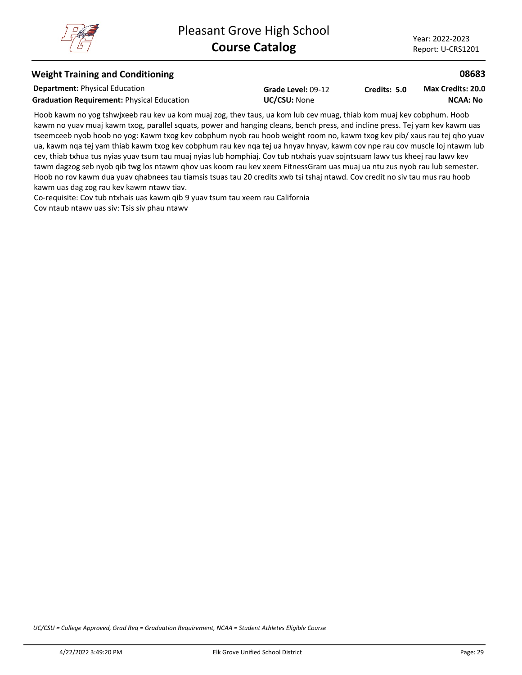## **Weight Training and Conditioning**

**Department:** Physical Education

Graduation Requirement: Physical Education **UC/CSU:** None

**Grade Level:** 09-12

**Credits: 5.0 NCAA: No Max Credits: 20.0**

Hoob kawm no yog tshwjxeeb rau kev ua kom muaj zog, thev taus, ua kom lub cev muag, thiab kom muaj kev cobphum. Hoob kawm no yuav muaj kawm txog, parallel squats, power and hanging cleans, bench press, and incline press. Tej yam kev kawm uas tseemceeb nyob hoob no yog: Kawm txog kev cobphum nyob rau hoob weight room no, kawm txog kev pib/ xaus rau tej qho yuav ua, kawm nqa tej yam thiab kawm txog kev cobphum rau kev nqa tej ua hnyav hnyav, kawm cov npe rau cov muscle loj ntawm lub cev, thiab txhua tus nyias yuav tsum tau muaj nyias lub homphiaj. Cov tub ntxhais yuav sojntsuam lawv tus kheej rau lawv kev tawm dagzog seb nyob qib twg los ntawm qhov uas koom rau kev xeem FitnessGram uas muaj ua ntu zus nyob rau lub semester. Hoob no rov kawm dua yuav qhabnees tau tiamsis tsuas tau 20 credits xwb tsi tshaj ntawd. Cov credit no siv tau mus rau hoob kawm uas dag zog rau kev kawm ntawv tiav.

Co-requisite: Cov tub ntxhais uas kawm qib 9 yuav tsum tau xeem rau California Cov ntaub ntawv uas siv: Tsis siv phau ntawv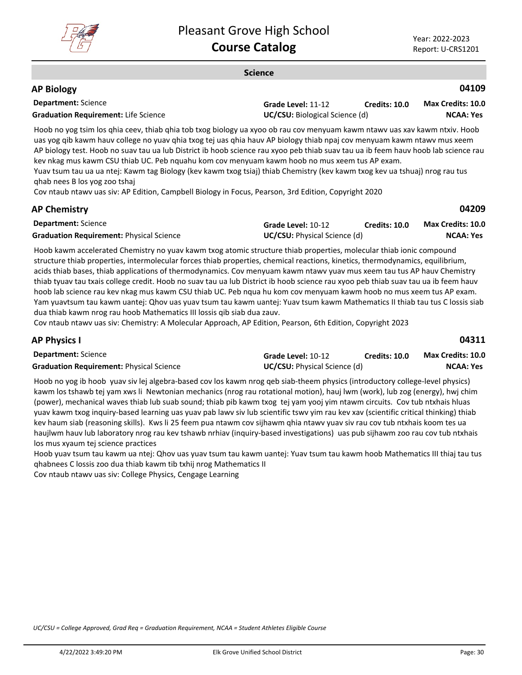

#### **Science**

#### **Department:** Science **04109 AP Biology Grade Level:** 11-12 **Graduation Requirement:** Life Science **UC/CSU:** Biological Science (d) **Credits: 10.0 NCAA: Yes Max Credits: 10.0**

Hoob no yog tsim los qhia ceev, thiab qhia tob txog biology ua xyoo ob rau cov menyuam kawm ntawv uas xav kawm ntxiv. Hoob uas yog qib kawm hauv college no yuav qhia txog tej uas qhia hauv AP biology thiab npaj cov menyuam kawm ntawv mus xeem AP biology test. Hoob no suav tau ua lub District ib hoob science rau xyoo peb thiab suav tau ua ib feem hauv hoob lab science rau kev nkag mus kawm CSU thiab UC. Peb nquahu kom cov menyuam kawm hoob no mus xeem tus AP exam. Yuav tsum tau ua ua ntej: Kawm tag Biology (kev kawm txog tsiaj) thiab Chemistry (kev kawm txog kev ua tshuaj) nrog rau tus

qhab nees B los yog zoo tshaj

Cov ntaub ntawv uas siv: AP Edition, Campbell Biology in Focus, Pearson, 3rd Edition, Copyright 2020

## **AP Chemistry**

**04209**

| <b>Department:</b> Science                      | Grade Level: 10-12                  | Credits: 10.0 | <b>Max Credits: 10.0</b> |
|-------------------------------------------------|-------------------------------------|---------------|--------------------------|
| <b>Graduation Requirement: Physical Science</b> | <b>UC/CSU:</b> Physical Science (d) |               | NCAA: Yes                |

Hoob kawm accelerated Chemistry no yuav kawm txog atomic structure thiab properties, molecular thiab ionic compound structure thiab properties, intermolecular forces thiab properties, chemical reactions, kinetics, thermodynamics, equilibrium, acids thiab bases, thiab applications of thermodynamics. Cov menyuam kawm ntawv yuav mus xeem tau tus AP hauv Chemistry thiab tyuav tau txais college credit. Hoob no suav tau ua lub District ib hoob science rau xyoo peb thiab suav tau ua ib feem hauv hoob lab science rau kev nkag mus kawm CSU thiab UC. Peb nqua hu kom cov menyuam kawm hoob no mus xeem tus AP exam. Yam yuavtsum tau kawm uantej: Qhov uas yuav tsum tau kawm uantej: Yuav tsum kawm Mathematics II thiab tau tus C lossis siab dua thiab kawm nrog rau hoob Mathematics III lossis qib siab dua zauv.

Cov ntaub ntawv uas siv: Chemistry: A Molecular Approach, AP Edition, Pearson, 6th Edition, Copyright 2023

| <b>AP Physics I</b>                             |                                     |               | 04311                    |
|-------------------------------------------------|-------------------------------------|---------------|--------------------------|
| <b>Department:</b> Science                      | Grade Level: 10-12                  | Credits: 10.0 | <b>Max Credits: 10.0</b> |
| <b>Graduation Requirement: Physical Science</b> | <b>UC/CSU:</b> Physical Science (d) |               | NCAA: Yes                |

Hoob no yog ib hoob yuav siv lej algebra-based cov los kawm nrog qeb siab-theem physics (introductory college-level physics) kawm los tshawb tej yam xws li Newtonian mechanics (nrog rau rotational motion), hauj lwm (work), lub zog (energy), hwj chim (power), mechanical waves thiab lub suab sound; thiab pib kawm txog tej yam yooj yim ntawm circuits. Cov tub ntxhais hluas yuav kawm txog inquiry-based learning uas yuav pab lawv siv lub scientific tswv yim rau kev xav (scientific critical thinking) thiab kev haum siab (reasoning skills). Kws li 25 feem pua ntawm cov sijhawm qhia ntawv yuav siv rau cov tub ntxhais koom tes ua haujlwm hauv lub laboratory nrog rau kev tshawb nrhiav (inquiry-based investigations) uas pub sijhawm zoo rau cov tub ntxhais los mus xyaum tej science practices

Hoob yuav tsum tau kawm ua ntej: Qhov uas yuav tsum tau kawm uantej: Yuav tsum tau kawm hoob Mathematics III thiaj tau tus qhabnees C lossis zoo dua thiab kawm tib txhij nrog Mathematics II

Cov ntaub ntawv uas siv: College Physics, Cengage Learning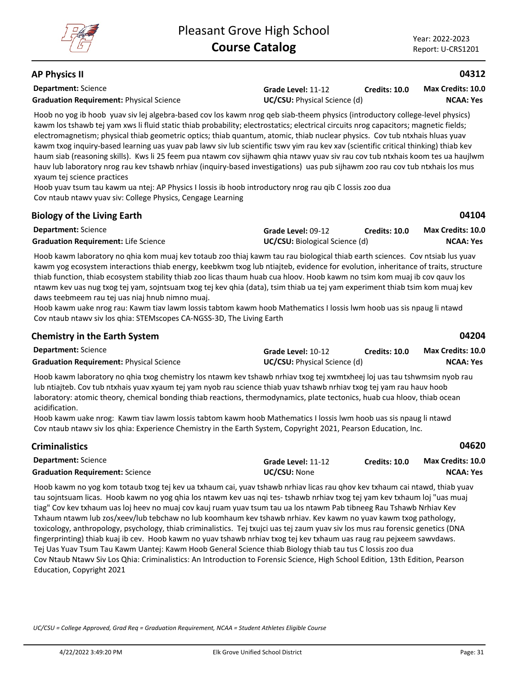## **AP Physics II**

**Department:** Science

**Grade Level:** 11-12 **Graduation Requirement:** Physical Science **UC/CSU:** Physical Science (d) **Credits: 10.0**

**NCAA: Yes Max Credits: 10.0**

**04312**

**04104**

**04204**

**04620**

Hoob no yog ib hoob yuav siv lej algebra-based cov los kawm nrog qeb siab-theem physics (introductory college-level physics) kawm los tshawb tej yam xws li fluid static thiab probability; electrostatics; electrical circuits nrog capacitors; magnetic fields; electromagnetism; physical thiab geometric optics; thiab quantum, atomic, thiab nuclear physics. Cov tub ntxhais hluas yuav kawm txog inquiry-based learning uas yuav pab lawv siv lub scientific tswv yim rau kev xav (scientific critical thinking) thiab kev haum siab (reasoning skills). Kws li 25 feem pua ntawm cov sijhawm qhia ntawv yuav siv rau cov tub ntxhais koom tes ua haujlwm hauv lub laboratory nrog rau kev tshawb nrhiav (inquiry-based investigations) uas pub sijhawm zoo rau cov tub ntxhais los mus xyaum tej science practices

Hoob yuav tsum tau kawm ua ntej: AP Physics I lossis ib hoob introductory nrog rau qib C lossis zoo dua Cov ntaub ntawv yuav siv: College Physics, Cengage Learning

| <b>Biology of the Living Earth</b> |  |  |
|------------------------------------|--|--|
|------------------------------------|--|--|

| <b>Department: Science</b>                  | Grade Level: 09-12                    | Credits: 10.0 | <b>Max Credits: 10.0</b> |
|---------------------------------------------|---------------------------------------|---------------|--------------------------|
| <b>Graduation Requirement: Life Science</b> | <b>UC/CSU:</b> Biological Science (d) |               | <b>NCAA: Yes</b>         |

Hoob kawm laboratory no qhia kom muaj kev totaub zoo thiaj kawm tau rau biological thiab earth sciences. Cov ntsiab lus yuav kawm yog ecosystem interactions thiab energy, keebkwm txog lub ntiajteb, evidence for evolution, inheritance of traits, structure thiab function, thiab ecosystem stability thiab zoo licas thaum huab cua hloov. Hoob kawm no tsim kom muaj ib cov qauv los ntawm kev uas nug txog tej yam, sojntsuam txog tej kev qhia (data), tsim thiab ua tej yam experiment thiab tsim kom muaj kev daws teebmeem rau tej uas niaj hnub nimno muaj.

Hoob kawm uake nrog rau: Kawm tiav lawm lossis tabtom kawm hoob Mathematics I lossis lwm hoob uas sis npaug li ntawd Cov ntaub ntawv siv los qhia: STEMscopes CA-NGSS-3D, The Living Earth

| <b>Chemistry in the Earth System</b> |  |  |  |  |
|--------------------------------------|--|--|--|--|
|--------------------------------------|--|--|--|--|

**Criminalistics**

| <b>Department:</b> Science                      | Grade Level: 10-12                  | <b>Credits: 10.0</b> | <b>Max Credits: 10.0</b> |
|-------------------------------------------------|-------------------------------------|----------------------|--------------------------|
| <b>Graduation Requirement: Physical Science</b> | <b>UC/CSU:</b> Physical Science (d) |                      | <b>NCAA: Yes</b>         |

Hoob kawm laboratory no qhia txog chemistry los ntawm kev tshawb nrhiav txog tej xwmtxheej loj uas tau tshwmsim nyob rau lub ntiajteb. Cov tub ntxhais yuav xyaum tej yam nyob rau science thiab yuav tshawb nrhiav txog tej yam rau hauv hoob laboratory: atomic theory, chemical bonding thiab reactions, thermodynamics, plate tectonics, huab cua hloov, thiab ocean acidification.

Hoob kawm uake nrog: Kawm tiav lawm lossis tabtom kawm hoob Mathematics I lossis lwm hoob uas sis npaug li ntawd Cov ntaub ntawv siv los qhia: Experience Chemistry in the Earth System, Copyright 2021, Pearson Education, Inc.

| <b>Department:</b> Science             | Grade Level: 11-12  | Credits: 10.0 | <b>Max Credits: 10.0</b> |
|----------------------------------------|---------------------|---------------|--------------------------|
| <b>Graduation Requirement: Science</b> | <b>UC/CSU: None</b> |               | NCAA: Yes                |

Hoob kawm no yog kom totaub txog tej kev ua txhaum cai, yuav tshawb nrhiav licas rau qhov kev txhaum cai ntawd, thiab yuav tau sojntsuam licas. Hoob kawm no yog qhia los ntawm kev uas nqi tes- tshawb nrhiav txog tej yam kev txhaum loj "uas muaj tiag" Cov kev txhaum uas loj heev no muaj cov kauj ruam yuav tsum tau ua los ntawm Pab tibneeg Rau Tshawb Nrhiav Kev Txhaum ntawm lub zos/xeev/lub tebchaw no lub koomhaum kev tshawb nrhiav. Kev kawm no yuav kawm txog pathology, toxicology, anthropology, psychology, thiab criminalistics. Tej txujci uas tej zaum yuav siv los mus rau forensic genetics (DNA fingerprinting) thiab kuaj ib cev. Hoob kawm no yuav tshawb nrhiav txog tej kev txhaum uas raug rau pejxeem sawvdaws. Tej Uas Yuav Tsum Tau Kawm Uantej: Kawm Hoob General Science thiab Biology thiab tau tus C lossis zoo dua Cov Ntaub Ntawv Siv Los Qhia: Criminalistics: An Introduction to Forensic Science, High School Edition, 13th Edition, Pearson Education, Copyright 2021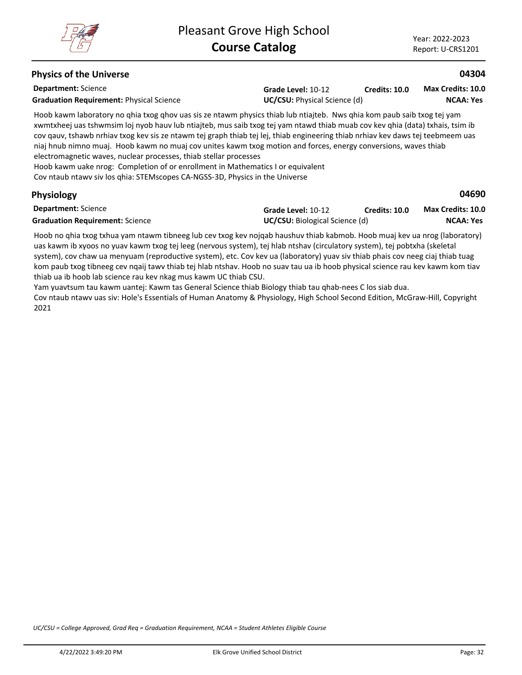## **Physics of the Universe**

**Department:** Science Graduation Requirement: Physical Science<br>
UC/CSU: Physical Science (d)

**Grade Level:** 10-12 **Credits: 10.0** **Max Credits: 10.0**

**04304**

**04690**

**NCAA: Yes**

Hoob kawm laboratory no qhia txog qhov uas sis ze ntawm physics thiab lub ntiajteb. Nws qhia kom paub saib txog tej yam xwmtxheej uas tshwmsim loj nyob hauv lub ntiajteb, mus saib txog tej yam ntawd thiab muab cov kev qhia (data) txhais, tsim ib cov qauv, tshawb nrhiav txog kev sis ze ntawm tej graph thiab tej lej, thiab engineering thiab nrhiav kev daws tej teebmeem uas niaj hnub nimno muaj. Hoob kawm no muaj cov unites kawm txog motion and forces, energy conversions, waves thiab electromagnetic waves, nuclear processes, thiab stellar processes

Hoob kawm uake nrog: Completion of or enrollment in Mathematics I or equivalent Cov ntaub ntawv siv los qhia: STEMscopes CA-NGSS-3D, Physics in the Universe

## **Physiology**

| <b>Department:</b> Science             | Grade Level: 10-12                    | Credits: 10.0 | <b>Max Credits: 10.0</b> |
|----------------------------------------|---------------------------------------|---------------|--------------------------|
| <b>Graduation Requirement: Science</b> | <b>UC/CSU:</b> Biological Science (d) |               | NCAA: Yes                |

Hoob no qhia txog txhua yam ntawm tibneeg lub cev txog kev nojqab haushuv thiab kabmob. Hoob muaj kev ua nrog (laboratory) uas kawm ib xyoos no yuav kawm txog tej leeg (nervous system), tej hlab ntshav (circulatory system), tej pobtxha (skeletal system), cov chaw ua menyuam (reproductive system), etc. Cov kev ua (laboratory) yuav siv thiab phais cov neeg ciaj thiab tuag kom paub txog tibneeg cev nqaij tawv thiab tej hlab ntshav. Hoob no suav tau ua ib hoob physical science rau kev kawm kom tiav thiab ua ib hoob lab science rau kev nkag mus kawm UC thiab CSU.

Yam yuavtsum tau kawm uantej: Kawm tas General Science thiab Biology thiab tau qhab-nees C los siab dua. Cov ntaub ntawv uas siv: Hole's Essentials of Human Anatomy & Physiology, High School Second Edition, McGraw-Hill, Copyright 2021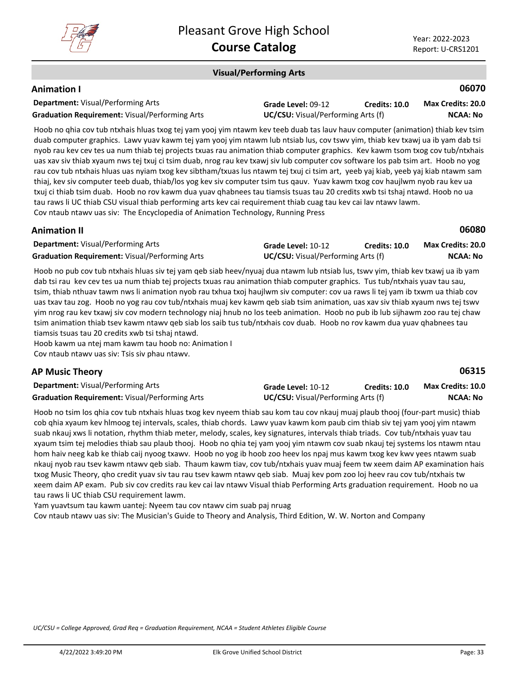

**06080**

#### **Visual/Performing Arts**

## **Animation I**

| <b>Department: Visual/Performing Arts</b>             | Grade Level: 09-12                        | <b>Credits: 10.0</b> | <b>Max Credits: 20.0</b> |
|-------------------------------------------------------|-------------------------------------------|----------------------|--------------------------|
| <b>Graduation Requirement: Visual/Performing Arts</b> | <b>UC/CSU:</b> Visual/Performing Arts (f) |                      | NCAA: No                 |

Hoob no qhia cov tub ntxhais hluas txog tej yam yooj yim ntawm kev teeb duab tas lauv hauv computer (animation) thiab kev tsim duab computer graphics. Lawv yuav kawm tej yam yooj yim ntawm lub ntsiab lus, cov tswv yim, thiab kev txawj ua ib yam dab tsi nyob rau kev cev tes ua num thiab tej projects txuas rau animation thiab computer graphics. Kev kawm tsom txog cov tub/ntxhais uas xav siv thiab xyaum nws tej txuj ci tsim duab, nrog rau kev txawj siv lub computer cov software los pab tsim art. Hoob no yog rau cov tub ntxhais hluas uas nyiam txog kev sibtham/txuas lus ntawm tej txuj ci tsim art, yeeb yaj kiab, yeeb yaj kiab ntawm sam thiaj, kev siv computer teeb duab, thiab/los yog kev siv computer tsim tus qauv. Yuav kawm txog cov haujlwm nyob rau kev ua txuj ci thiab tsim duab. Hoob no rov kawm dua yuav qhabnees tau tiamsis tsuas tau 20 credits xwb tsi tshaj ntawd. Hoob no ua tau raws li UC thiab CSU visual thiab performing arts kev cai requirement thiab cuag tau kev cai lav ntawv lawm. Cov ntaub ntawv uas siv: The Encyclopedia of Animation Technology, Running Press

## **Animation II**

| <b>Department:</b> Visual/Performing Arts             | Grade Level: 10-12                        | Credits: 10.0 | <b>Max Credits: 20.0</b> |
|-------------------------------------------------------|-------------------------------------------|---------------|--------------------------|
| <b>Graduation Requirement: Visual/Performing Arts</b> | <b>UC/CSU:</b> Visual/Performing Arts (f) |               | NCAA: No                 |

Hoob no pub cov tub ntxhais hluas siv tej yam qeb siab heev/nyuaj dua ntawm lub ntsiab lus, tswv yim, thiab kev txawj ua ib yam dab tsi rau kev cev tes ua num thiab tej projects txuas rau animation thiab computer graphics. Tus tub/ntxhais yuav tau sau, tsim, thiab nthuav tawm nws li animation nyob rau txhua txoj haujlwm siv computer: cov ua raws li tej yam ib txwm ua thiab cov uas txav tau zog. Hoob no yog rau cov tub/ntxhais muaj kev kawm qeb siab tsim animation, uas xav siv thiab xyaum nws tej tswv yim nrog rau kev txawj siv cov modern technology niaj hnub no los teeb animation. Hoob no pub ib lub sijhawm zoo rau tej chaw tsim animation thiab tsev kawm ntawv qeb siab los saib tus tub/ntxhais cov duab. Hoob no rov kawm dua yuav qhabnees tau tiamsis tsuas tau 20 credits xwb tsi tshaj ntawd.

Hoob kawm ua ntej mam kawm tau hoob no: Animation I Cov ntaub ntawv uas siv: Tsis siv phau ntawv.

## **AP Music Theory**

**06315**

| <b>Department:</b> Visual/Performing Arts             | Grade Level: 10-12                        | <b>Credits: 10.0</b> | Max Credits: 10.0 |
|-------------------------------------------------------|-------------------------------------------|----------------------|-------------------|
| <b>Graduation Requirement:</b> Visual/Performing Arts | <b>UC/CSU:</b> Visual/Performing Arts (f) |                      | <b>NCAA: No</b>   |

Hoob no tsim los qhia cov tub ntxhais hluas txog kev nyeem thiab sau kom tau cov nkauj muaj plaub thooj (four-part music) thiab cob qhia xyaum kev hlmoog tej intervals, scales, thiab chords. Lawv yuav kawm kom paub cim thiab siv tej yam yooj yim ntawm suab nkauj xws li notation, rhythm thiab meter, melody, scales, key signatures, intervals thiab triads. Cov tub/ntxhais yuav tau xyaum tsim tej melodies thiab sau plaub thooj. Hoob no qhia tej yam yooj yim ntawm cov suab nkauj tej systems los ntawm ntau hom haiv neeg kab ke thiab caij nyoog txawv. Hoob no yog ib hoob zoo heev los npaj mus kawm txog kev kwv yees ntawm suab nkauj nyob rau tsev kawm ntawv qeb siab. Thaum kawm tiav, cov tub/ntxhais yuav muaj feem tw xeem daim AP examination hais txog Music Theory, qho credit yuav siv tau rau tsev kawm ntawv qeb siab. Muaj kev pom zoo loj heev rau cov tub/ntxhais tw xeem daim AP exam. Pub siv cov credits rau kev cai lav ntawv Visual thiab Performing Arts graduation requirement. Hoob no ua tau raws li UC thiab CSU requirement lawm.

Yam yuavtsum tau kawm uantej: Nyeem tau cov ntawv cim suab paj nruag

Cov ntaub ntawv uas siv: The Musician's Guide to Theory and Analysis, Third Edition, W. W. Norton and Company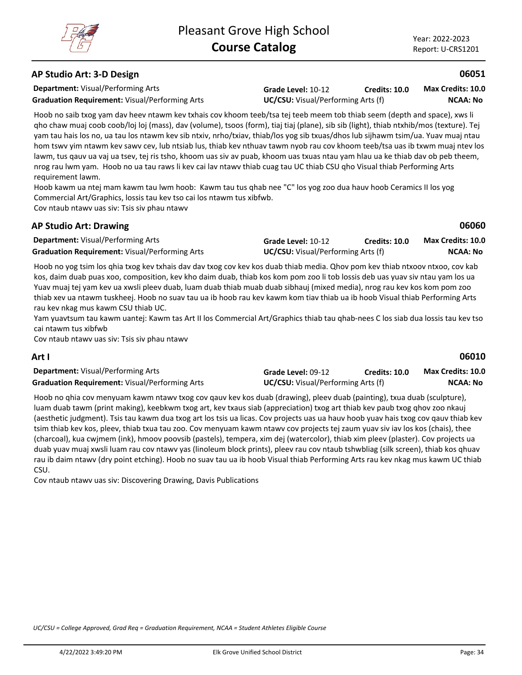**06060**

**06010**

#### **AP Studio Art: 3-D Design**

**Department:** Visual/Performing Arts

**Graduation Requirement:** Visual/Performing Arts **UC/CSU:** Visual/Performing Arts (f)

**Grade Level:** 10-12 **Credits: 10.0**

**NCAA: No Max Credits: 10.0**

Hoob no saib txog yam dav heev ntawm kev txhais cov khoom teeb/tsa tej teeb meem tob thiab seem (depth and space), xws li qho chaw muaj coob coob/loj loj (mass), dav (volume), tsoos (form), tiaj tiaj (plane), sib sib (light), thiab ntxhib/mos (texture). Tej yam tau hais los no, ua tau los ntawm kev sib ntxiv, nrho/txiav, thiab/los yog sib txuas/dhos lub sijhawm tsim/ua. Yuav muaj ntau hom tswv yim ntawm kev sawv cev, lub ntsiab lus, thiab kev nthuav tawm nyob rau cov khoom teeb/tsa uas ib txwm muaj ntev los lawm, tus qauv ua vaj ua tsev, tej ris tsho, khoom uas siv av puab, khoom uas txuas ntau yam hlau ua ke thiab dav ob peb theem, nrog rau lwm yam. Hoob no ua tau raws li kev cai lav ntawv thiab cuag tau UC thiab CSU qho Visual thiab Performing Arts requirement lawm.

Hoob kawm ua ntej mam kawm tau lwm hoob: Kawm tau tus qhab nee "C" los yog zoo dua hauv hoob Ceramics II los yog Commercial Art/Graphics, lossis tau kev tso cai los ntawm tus xibfwb.

Cov ntaub ntawv uas siv: Tsis siv phau ntawv

## **AP Studio Art: Drawing**

| <b>Department: Visual/Performing Arts</b>             | Grade Level: 10-12                        | <b>Credits: 10.0</b> | <b>Max Credits: 10.0</b> |
|-------------------------------------------------------|-------------------------------------------|----------------------|--------------------------|
| <b>Graduation Requirement: Visual/Performing Arts</b> | <b>UC/CSU:</b> Visual/Performing Arts (f) |                      | NCAA: No                 |

Hoob no yog tsim los qhia txog kev txhais dav dav txog cov kev kos duab thiab media. Qhov pom kev thiab ntxoov ntxoo, cov kab kos, daim duab puas xoo, composition, kev kho daim duab, thiab kos kom pom zoo li tob lossis deb uas yuav siv ntau yam los ua Yuav muaj tej yam kev ua xwsli pleev duab, luam duab thiab muab duab sibhauj (mixed media), nrog rau kev kos kom pom zoo thiab xev ua ntawm tuskheej. Hoob no suav tau ua ib hoob rau kev kawm kom tiav thiab ua ib hoob Visual thiab Performing Arts rau kev nkag mus kawm CSU thiab UC.

Yam yuavtsum tau kawm uantej: Kawm tas Art II los Commercial Art/Graphics thiab tau qhab-nees C los siab dua lossis tau kev tso cai ntawm tus xibfwb

Cov ntaub ntawv uas siv: Tsis siv phau ntawv

#### **Art I**

| <b>Department:</b> Visual/Performing Arts             | Grade Level: 09-12                        | <b>Credits: 10.0</b> | <b>Max Credits: 10.0</b> |
|-------------------------------------------------------|-------------------------------------------|----------------------|--------------------------|
| <b>Graduation Requirement: Visual/Performing Arts</b> | <b>UC/CSU:</b> Visual/Performing Arts (f) |                      | <b>NCAA: No</b>          |

Hoob no qhia cov menyuam kawm ntawv txog cov qauv kev kos duab (drawing), pleev duab (painting), txua duab (sculpture), luam duab tawm (print making), keebkwm txog art, kev txaus siab (appreciation) txog art thiab kev paub txog qhov zoo nkauj (aesthetic judgment). Tsis tau kawm dua txog art los tsis ua licas. Cov projects uas ua hauv hoob yuav hais txog cov qauv thiab kev tsim thiab kev kos, pleev, thiab txua tau zoo. Cov menyuam kawm ntawv cov projects tej zaum yuav siv iav los kos (chais), thee (charcoal), kua cwjmem (ink), hmoov poovsib (pastels), tempera, xim dej (watercolor), thiab xim pleev (plaster). Cov projects ua duab yuav muaj xwsli luam rau cov ntawv yas (linoleum block prints), pleev rau cov ntaub tshwbliag (silk screen), thiab kos qhuav rau ib daim ntawv (dry point etching). Hoob no suav tau ua ib hoob Visual thiab Performing Arts rau kev nkag mus kawm UC thiab CSU.

Cov ntaub ntawv uas siv: Discovering Drawing, Davis Publications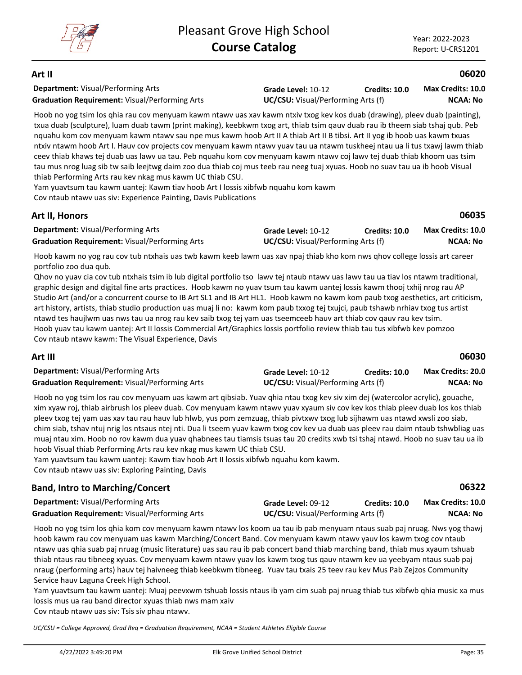## **Art II**

**Department:** Visual/Performing Arts **Graduation Requirement:** Visual/Performing Arts **UC/CSU:** Visual/Performing Arts (f)

**Grade Level:** 10-12 **Credits: 10.0**

**NCAA: No Max Credits: 10.0**

**06020**

**06035**

Hoob no yog tsim los qhia rau cov menyuam kawm ntawv uas xav kawm ntxiv txog kev kos duab (drawing), pleev duab (painting), txua duab (sculpture), luam duab tawm (print making), keebkwm txog art, thiab tsim qauv duab rau ib theem siab tshaj qub. Peb nquahu kom cov menyuam kawm ntawv sau npe mus kawm hoob Art II A thiab Art II B tibsi. Art II yog ib hoob uas kawm txuas ntxiv ntawm hoob Art I. Hauv cov projects cov menyuam kawm ntawv yuav tau ua ntawm tuskheej ntau ua li tus txawj lawm thiab ceev thiab khaws tej duab uas lawv ua tau. Peb nquahu kom cov menyuam kawm ntawv coj lawv tej duab thiab khoom uas tsim tau mus nrog luag sib tw saib leejtwg daim zoo dua thiab coj mus teeb rau neeg tuaj xyuas. Hoob no suav tau ua ib hoob Visual thiab Performing Arts rau kev nkag mus kawm UC thiab CSU.

Yam yuavtsum tau kawm uantej: Kawm tiav hoob Art I lossis xibfwb nquahu kom kawm Cov ntaub ntawv uas siv: Experience Painting, Davis Publications

## **Art II, Honors**

| <b>Department:</b> Visual/Performing Arts             | Grade Level: 10-12                        | Credits: 10.0 | <b>Max Credits: 10.0</b> |
|-------------------------------------------------------|-------------------------------------------|---------------|--------------------------|
| <b>Graduation Requirement: Visual/Performing Arts</b> | <b>UC/CSU:</b> Visual/Performing Arts (f) |               | <b>NCAA: No</b>          |

Hoob kawm no yog rau cov tub ntxhais uas twb kawm keeb lawm uas xav npaj thiab kho kom nws qhov college lossis art career portfolio zoo dua qub.

Qhov no yuav cia cov tub ntxhais tsim ib lub digital portfolio tso lawv tej ntaub ntawv uas lawv tau ua tiav los ntawm traditional, graphic design and digital fine arts practices. Hoob kawm no yuav tsum tau kawm uantej lossis kawm thooj txhij nrog rau AP Studio Art (and/or a concurrent course to IB Art SL1 and IB Art HL1. Hoob kawm no kawm kom paub txog aesthetics, art criticism, art history, artists, thiab studio production uas muaj li no: kawm kom paub txxog tej txujci, paub tshawb nrhiav txog tus artist ntawd tes haujlwm uas nws tau ua nrog rau kev saib txog tej yam uas tseemceeb hauv art thiab cov qauv rau kev tsim. Hoob yuav tau kawm uantej: Art II lossis Commercial Art/Graphics lossis portfolio review thiab tau tus xibfwb kev pomzoo Cov ntaub ntawv kawm: The Visual Experience, Davis

## **Art III**

| <b>Department: Visual/Performing Arts</b>             | Grade Level: 10-12                        | <b>Credits: 10.0</b> | <b>Max Credits: 20.0</b> |
|-------------------------------------------------------|-------------------------------------------|----------------------|--------------------------|
| <b>Graduation Requirement: Visual/Performing Arts</b> | <b>UC/CSU:</b> Visual/Performing Arts (f) |                      | <b>NCAA: No</b>          |

Hoob no yog tsim los rau cov menyuam uas kawm art qibsiab. Yuav qhia ntau txog kev siv xim dej (watercolor acrylic), gouache, xim xyaw roj, thiab airbrush los pleev duab. Cov menyuam kawm ntawv yuav xyaum siv cov kev kos thiab pleev duab los kos thiab pleev txog tej yam uas xav tau rau hauv lub hlwb, yus pom zemzuag, thiab pivtxwv txog lub sijhawm uas ntawd xwsli zoo siab, chim siab, tshav ntuj nrig los ntsaus ntej nti. Dua li tseem yuav kawm txog cov kev ua duab uas pleev rau daim ntaub tshwbliag uas muaj ntau xim. Hoob no rov kawm dua yuav qhabnees tau tiamsis tsuas tau 20 credits xwb tsi tshaj ntawd. Hoob no suav tau ua ib hoob Visual thiab Performing Arts rau kev nkag mus kawm UC thiab CSU.

Yam yuavtsum tau kawm uantej: Kawm tiav hoob Art II lossis xibfwb nquahu kom kawm.

Cov ntaub ntawv uas siv: Exploring Painting, Davis

## **Band, Intro to Marching/Concert**

| <b>Department: Visual/Performing Arts</b>             | <b>Grade Level: 09-12</b>                 | <b>Credits: 10.0</b> | <b>Max Credits: 10.0</b> |
|-------------------------------------------------------|-------------------------------------------|----------------------|--------------------------|
| <b>Graduation Requirement:</b> Visual/Performing Arts | <b>UC/CSU:</b> Visual/Performing Arts (f) |                      | NCAA: No                 |

Hoob no yog tsim los qhia kom cov menyuam kawm ntawv los koom ua tau ib pab menyuam ntaus suab paj nruag. Nws yog thawj hoob kawm rau cov menyuam uas kawm Marching/Concert Band. Cov menyuam kawm ntawv yauv los kawm txog cov ntaub ntawv uas qhia suab paj nruag (music literature) uas sau rau ib pab concert band thiab marching band, thiab mus xyaum tshuab thiab ntaus rau tibneeg xyuas. Cov menyuam kawm ntawv yuav los kawm txog tus qauv ntawm kev ua yeebyam ntaus suab paj nraug (performing arts) hauv tej haivneeg thiab keebkwm tibneeg. Yuav tau txais 25 teev rau kev Mus Pab Zejzos Community Service hauv Laguna Creek High School.

Yam yuavtsum tau kawm uantej: Muaj peevxwm tshuab lossis ntaus ib yam cim suab paj nruag thiab tus xibfwb qhia music xa mus lossis mus ua rau band director xyuas thiab nws mam xaiv

Cov ntaub ntawv uas siv: Tsis siv phau ntawv.

*UC/CSU = College Approved, Grad Req = Graduation Requirement, NCAA = Student Athletes Eligible Course*

**06030**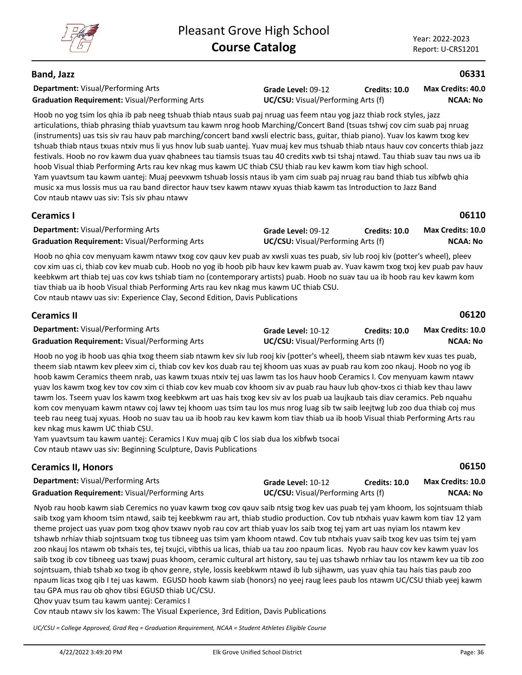## **Band, Jazz**

**Department:** Visual/Performing Arts **Graduation Requirement:** Visual/Performing Arts **UC/CSU:** Visual/Performing Arts (f)

**Grade Level:** 09-12 **Credits: 10.0**

**NCAA: No Max Credits: 40.0**

**06331**

Hoob no yog tsim los qhia ib pab neeg tshuab thiab ntaus suab paj nruag uas feem ntau yog jazz thiab rock styles, jazz articulations, thiab phrasing thiab yuavtsum tau kawm nrog hoob Marching/Concert Band (tsuas tshwj cov cim suab paj nruag (instruments) uas tsis siv rau hauv pab marching/concert band xwsli electric bass, guitar, thiab piano). Yuav los kawm txog kev tshuab thiab ntaus txuas ntxiv mus li yus hnov lub suab uantej. Yuav muaj kev mus tshuab thiab ntaus hauv cov concerts thiab jazz festivals. Hoob no rov kawm dua yuav qhabnees tau tiamsis tsuas tau 40 credits xwb tsi tshaj ntawd. Tau thiab suav tau nws ua ib hoob Visual thiab Performing Arts rau kev nkag mus kawm UC thiab CSU thiab rau kev kawm kom tiav high school. Yam yuavtsum tau kawm uantej: Muaj peevxwm tshuab lossis ntaus ib yam cim suab paj nruag rau band thiab tus xibfwb qhia music xa mus lossis mus ua rau band director hauv tsev kawm ntawv xyuas thiab kawm tas Introduction to Jazz Band Cov ntaub ntawv uas siv: Tsis siv phau ntawv

| <b>Ceramics I</b> |  |
|-------------------|--|
|                   |  |

**06110**

| <b>Department:</b> Visual/Performing Arts             | Grade Level: 09-12                        | <b>Credits: 10.0</b> | <b>Max Credits: 10.0</b> |
|-------------------------------------------------------|-------------------------------------------|----------------------|--------------------------|
| <b>Graduation Requirement: Visual/Performing Arts</b> | <b>UC/CSU:</b> Visual/Performing Arts (f) |                      | NCAA: No                 |

Hoob no qhia cov menyuam kawm ntawv txog cov qauv kev puab av xwsli xuas tes puab, siv lub rooj kiv (potter's wheel), pleev cov xim uas ci, thiab cov kev muab cub. Hoob no yog ib hoob pib hauv kev kawm puab av. Yuav kawm txog txoj kev puab pav hauv keebkwm art thiab tej uas cov kws tshiab tiam no (contemporary artists) puab. Hoob no suav tau ua ib hoob rau kev kawm kom tiav thiab ua ib hoob Visual thiab Performing Arts rau kev nkag mus kawm UC thiab CSU. Cov ntaub ntawv uas siv: Experience Clay, Second Edition, Davis Publications

| <b>Ceramics II</b>                                    |                                           |                      | 06120                    |
|-------------------------------------------------------|-------------------------------------------|----------------------|--------------------------|
| <b>Department:</b> Visual/Performing Arts             | Grade Level: 10-12                        | <b>Credits: 10.0</b> | <b>Max Credits: 10.0</b> |
| <b>Graduation Requirement:</b> Visual/Performing Arts | <b>UC/CSU:</b> Visual/Performing Arts (f) |                      | NCAA: No                 |

Hoob no yog ib hoob uas qhia txog theem siab ntawm kev siv lub rooj kiv (potter's wheel), theem siab ntawm kev xuas tes puab, theem siab ntawm kev pleev xim ci, thiab cov kev kos duab rau tej khoom uas xuas av puab rau kom zoo nkauj. Hoob no yog ib hoob kawm Ceramics theem nrab, uas kawm txuas ntxiv tej uas lawm tas los hauv hoob Ceramics I. Cov menyuam kawm ntawv yuav los kawm txog kev tov cov xim ci thiab cov kev muab cov khoom siv av puab rau hauv lub qhov-txos ci thiab kev thau lawv tawm los. Tseem yuav los kawm txog keebkwm art uas hais txog kev siv av los puab ua laujkaub tais diav ceramics. Peb nquahu kom cov menyuam kawm ntawv coj lawv tej khoom uas tsim tau los mus nrog luag sib tw saib leejtwg lub zoo dua thiab coj mus teeb rau neeg tuaj xyuas. Hoob no suav tau ua ib hoob rau kev kawm kom tiav thiab ua ib hoob Visual thiab Performing Arts rau kev nkag mus kawm UC thiab CSU.

Yam yuavtsum tau kawm uantej: Ceramics I Kuv muaj qib C los siab dua los xibfwb tsocai Cov ntaub ntawv uas siv: Beginning Sculpture, Davis Publications

| <b>Ceramics II, Honors</b>                            |                                           |               | 06150                    |  |
|-------------------------------------------------------|-------------------------------------------|---------------|--------------------------|--|
| <b>Department:</b> Visual/Performing Arts             | Grade Level: 10-12                        | Credits: 10.0 | <b>Max Credits: 10.0</b> |  |
| <b>Graduation Requirement: Visual/Performing Arts</b> | <b>UC/CSU:</b> Visual/Performing Arts (f) |               | <b>NCAA: No</b>          |  |

Nyob rau hoob kawm siab Ceremics no yuav kawm txog cov qauv saib ntsig txog kev uas puab tej yam khoom, los sojntsuam thiab saib txog yam khoom tsim ntawd, saib tej keebkwm rau art, thiab studio production. Cov tub ntxhais yuav kawm kom tiav 12 yam theme project uas yuav pom txog qhov txawv nyob rau cov art thiab yuav los saib txog tej yam art uas nyiam los ntawm kev tshawb nrhiav thiab sojntsuam txog tus tibneeg uas tsim yam khoom ntawd. Cov tub ntxhais yuav saib txog kev uas tsim tej yam zoo nkauj los ntawm ob txhais tes, tej txujci, vibthis ua licas, thiab ua tau zoo npaum licas. Nyob rau hauv cov kev kawm yuav los saib txog ib cov tibneeg uas txawj puas khoom, ceramic cultural art history, sau tej uas tshawb nrhiav tau los ntawm kev ua tib zoo sojntsuam, thiab tshab xo txog ib qhov genre, style, lossis keebkwm ntawd ib lub sijhawm, uas yuav qhia tau hais tias paub zoo npaum licas txog qib I tej uas kawm. EGUSD hoob kawm siab (honors) no yeej raug lees paub los ntawm UC/CSU thiab yeej kawm tau GPA mus rau ob qhov tibsi EGUSD thiab UC/CSU.

Qhov yuav tsum tau kawm uantej: Ceramics I

Cov ntaub ntawv siv los kawm: The Visual Experience, 3rd Edition, Davis Publications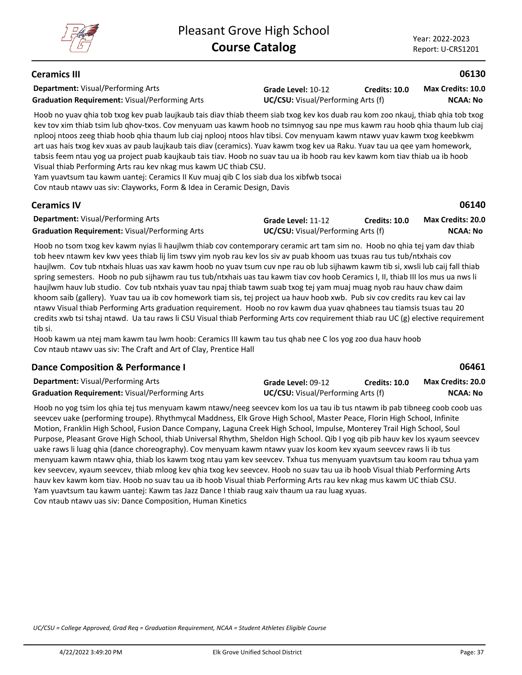## **Ceramics III**

**Department:** Visual/Performing Arts **Graduation Requirement:** Visual/Performing Arts **UC/CSU:** Visual/Performing Arts (f)

**Grade Level:** 10-12 **Credits: 10.0**

**NCAA: No Max Credits: 10.0**

**06130**

**06140**

**06461**

Hoob no yuav qhia tob txog kev puab laujkaub tais diav thiab theem siab txog kev kos duab rau kom zoo nkauj, thiab qhia tob txog kev tov xim thiab tsim lub qhov-txos. Cov menyuam uas kawm hoob no tsimnyog sau npe mus kawm rau hoob qhia thaum lub ciaj nplooj ntoos zeeg thiab hoob qhia thaum lub ciaj nplooj ntoos hlav tibsi. Cov menyuam kawm ntawv yuav kawm txog keebkwm art uas hais txog kev xuas av paub laujkaub tais diav (ceramics). Yuav kawm txog kev ua Raku. Yuav tau ua qee yam homework, tabsis feem ntau yog ua project puab kaujkaub tais tiav. Hoob no suav tau ua ib hoob rau kev kawm kom tiav thiab ua ib hoob Visual thiab Performing Arts rau kev nkag mus kawm UC thiab CSU.

Yam yuavtsum tau kawm uantej: Ceramics II Kuv muaj qib C los siab dua los xibfwb tsocai Cov ntaub ntawv uas siv: Clayworks, Form & Idea in Ceramic Design, Davis

## **Ceramics IV**

| <b>Department:</b> Visual/Performing Arts             | Grade Level: 11-12                        | <b>Credits: 10.0</b> | Max Credits: 20.0 |
|-------------------------------------------------------|-------------------------------------------|----------------------|-------------------|
| <b>Graduation Requirement: Visual/Performing Arts</b> | <b>UC/CSU:</b> Visual/Performing Arts (f) |                      | NCAA: No          |

Hoob no tsom txog kev kawm nyias li haujlwm thiab cov contemporary ceramic art tam sim no. Hoob no qhia tej yam dav thiab tob heev ntawm kev kwv yees thiab lij lim tswv yim nyob rau kev los siv av puab khoom uas txuas rau tus tub/ntxhais cov haujlwm. Cov tub ntxhais hluas uas xav kawm hoob no yuav tsum cuv npe rau ob lub sijhawm kawm tib si, xwsli lub caij fall thiab spring semesters. Hoob no pub sijhawm rau tus tub/ntxhais uas tau kawm tiav cov hoob Ceramics I, II, thiab III los mus ua nws li haujlwm hauv lub studio. Cov tub ntxhais yuav tau npaj thiab tawm suab txog tej yam muaj muag nyob rau hauv chaw daim khoom saib (gallery). Yuav tau ua ib cov homework tiam sis, tej project ua hauv hoob xwb. Pub siv cov credits rau kev cai lav ntawv Visual thiab Performing Arts graduation requirement. Hoob no rov kawm dua yuav qhabnees tau tiamsis tsuas tau 20 credits xwb tsi tshaj ntawd. Ua tau raws li CSU Visual thiab Performing Arts cov requirement thiab rau UC (g) elective requirement tib si.

Hoob kawm ua ntej mam kawm tau lwm hoob: Ceramics III kawm tau tus qhab nee C los yog zoo dua hauv hoob Cov ntaub ntawv uas siv: The Craft and Art of Clay, Prentice Hall

## **Dance Composition & Performance I**

| <b>Department: Visual/Performing Arts</b>             | Grade Level: 09-12                        | Credits: 10.0 | <b>Max Credits: 20.0</b> |
|-------------------------------------------------------|-------------------------------------------|---------------|--------------------------|
| <b>Graduation Requirement: Visual/Performing Arts</b> | <b>UC/CSU:</b> Visual/Performing Arts (f) |               | <b>NCAA: No</b>          |

Hoob no yog tsim los qhia tej tus menyuam kawm ntawv/neeg seevcev kom los ua tau ib tus ntawm ib pab tibneeg coob coob uas seevcev uake (performing troupe). Rhythmycal Maddness, Elk Grove High School, Master Peace, Florin High School, Infinite Motion, Franklin High School, Fusion Dance Company, Laguna Creek High School, Impulse, Monterey Trail High School, Soul Purpose, Pleasant Grove High School, thiab Universal Rhythm, Sheldon High School. Qib I yog qib pib hauv kev los xyaum seevcev uake raws li luag qhia (dance choreography). Cov menyuam kawm ntawv yuav los koom kev xyaum seevcev raws li ib tus menyuam kawm ntawv qhia, thiab los kawm txog ntau yam kev seevcev. Txhua tus menyuam yuavtsum tau koom rau txhua yam kev seevcev, xyaum seevcev, thiab mloog kev qhia txog kev seevcev. Hoob no suav tau ua ib hoob Visual thiab Performing Arts hauv kev kawm kom tiav. Hoob no suav tau ua ib hoob Visual thiab Performing Arts rau kev nkag mus kawm UC thiab CSU. Yam yuavtsum tau kawm uantej: Kawm tas Jazz Dance I thiab raug xaiv thaum ua rau luag xyuas. Cov ntaub ntawv uas siv: Dance Composition, Human Kinetics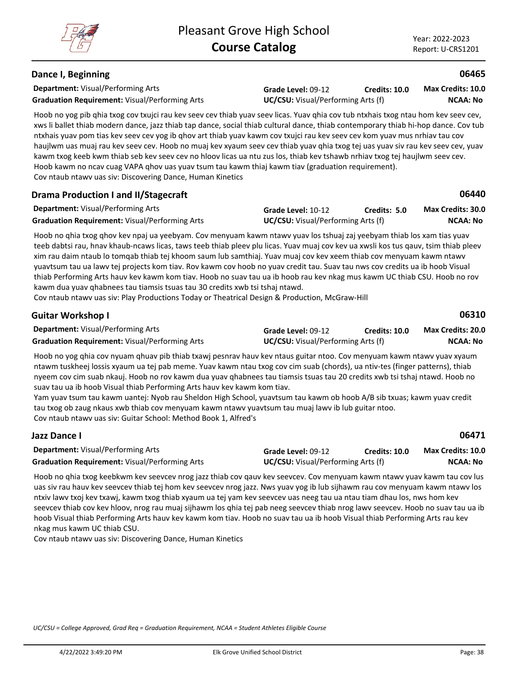## **Dance I, Beginning**

**Department:** Visual/Performing Arts **Graduation Requirement:** Visual/Performing Arts **UC/CSU:** Visual/Performing Arts (f)

**Grade Level:** 09-12 **Credits: 10.0**

**NCAA: No Max Credits: 10.0**

**06465**

**06440**

Hoob no yog pib qhia txog cov txujci rau kev seev cev thiab yuav seev licas. Yuav qhia cov tub ntxhais txog ntau hom kev seev cev, xws li ballet thiab modern dance, jazz thiab tap dance, social thiab cultural dance, thiab contemporary thiab hi-hop dance. Cov tub ntxhais yuav pom tias kev seev cev yog ib qhov art thiab yuav kawm cov txujci rau kev seev cev kom yuav mus nrhiav tau cov haujlwm uas muaj rau kev seev cev. Hoob no muaj kev xyaum seev cev thiab yuav qhia txog tej uas yuav siv rau kev seev cev, yuav kawm txog keeb kwm thiab seb kev seev cev no hloov licas ua ntu zus los, thiab kev tshawb nrhiav txog tej haujlwm seev cev. Hoob kawm no ncav cuag VAPA qhov uas yuav tsum tau kawm thiaj kawm tiav (graduation requirement). Cov ntaub ntawv uas siv: Discovering Dance, Human Kinetics

## **Drama Production I and II/Stagecraft**

| <b>Department:</b> Visual/Performing Arts             | Grade Level: 10-12                        | Credits: 5.0 | Max Credits: 30.0 |
|-------------------------------------------------------|-------------------------------------------|--------------|-------------------|
| <b>Graduation Requirement: Visual/Performing Arts</b> | <b>UC/CSU:</b> Visual/Performing Arts (f) |              | <b>NCAA: No</b>   |

Hoob no qhia txog qhov kev npaj ua yeebyam. Cov menyuam kawm ntawv yuav los tshuaj zaj yeebyam thiab los xam tias yuav teeb dabtsi rau, hnav khaub-ncaws licas, taws teeb thiab pleev plu licas. Yuav muaj cov kev ua xwsli kos tus qauv, tsim thiab pleev xim rau daim ntaub lo tomqab thiab tej khoom saum lub samthiaj. Yuav muaj cov kev xeem thiab cov menyuam kawm ntawv yuavtsum tau ua lawv tej projects kom tiav. Rov kawm cov hoob no yuav credit tau. Suav tau nws cov credits ua ib hoob Visual thiab Performing Arts hauv kev kawm kom tiav. Hoob no suav tau ua ib hoob rau kev nkag mus kawm UC thiab CSU. Hoob no rov kawm dua yuav qhabnees tau tiamsis tsuas tau 30 credits xwb tsi tshaj ntawd.

Cov ntaub ntawv uas siv: Play Productions Today or Theatrical Design & Production, McGraw-Hill

| <b>Guitar Workshop I</b>                              |                                           |               | 06310                    |
|-------------------------------------------------------|-------------------------------------------|---------------|--------------------------|
| <b>Department:</b> Visual/Performing Arts             | Grade Level: 09-12                        | Credits: 10.0 | <b>Max Credits: 20.0</b> |
| <b>Graduation Requirement:</b> Visual/Performing Arts | <b>UC/CSU:</b> Visual/Performing Arts (f) |               | NCAA: No                 |
|                                                       |                                           |               |                          |

Hoob no yog qhia cov nyuam qhuav pib thiab txawj pesnrav hauv kev ntaus guitar ntoo. Cov menyuam kawm ntawv yuav xyaum ntawm tuskheej lossis xyaum ua tej pab meme. Yuav kawm ntau txog cov cim suab (chords), ua ntiv-tes (finger patterns), thiab nyeem cov cim suab nkauj. Hoob no rov kawm dua yuav qhabnees tau tiamsis tsuas tau 20 credits xwb tsi tshaj ntawd. Hoob no suav tau ua ib hoob Visual thiab Performing Arts hauv kev kawm kom tiav.

Yam yuav tsum tau kawm uantej: Nyob rau Sheldon High School, yuavtsum tau kawm ob hoob A/B sib txuas; kawm yuav credit tau txog ob zaug nkaus xwb thiab cov menyuam kawm ntawv yuavtsum tau muaj lawv ib lub guitar ntoo. Cov ntaub ntawv uas siv: Guitar School: Method Book 1, Alfred's

| Jazz Dance I                                          |                                           |                      | 06471                    |
|-------------------------------------------------------|-------------------------------------------|----------------------|--------------------------|
| <b>Department:</b> Visual/Performing Arts             | Grade Level: 09-12                        | <b>Credits: 10.0</b> | <b>Max Credits: 10.0</b> |
| <b>Graduation Requirement: Visual/Performing Arts</b> | <b>UC/CSU:</b> Visual/Performing Arts (f) |                      | NCAA: No                 |

Hoob no qhia txog keebkwm kev seevcev nrog jazz thiab cov qauv kev seevcev. Cov menyuam kawm ntawv yuav kawm tau cov lus uas siv rau hauv kev seevcev thiab tej hom kev seevcev nrog jazz. Nws yuav yog ib lub sijhawm rau cov menyuam kawm ntawv los ntxiv lawv txoj kev txawj, kawm txog thiab xyaum ua tej yam kev seevcev uas neeg tau ua ntau tiam dhau los, nws hom kev seevcev thiab cov kev hloov, nrog rau muaj sijhawm los qhia tej pab neeg seevcev thiab nrog lawv seevcev. Hoob no suav tau ua ib hoob Visual thiab Performing Arts hauv kev kawm kom tiav. Hoob no suav tau ua ib hoob Visual thiab Performing Arts rau kev nkag mus kawm UC thiab CSU.

Cov ntaub ntawv uas siv: Discovering Dance, Human Kinetics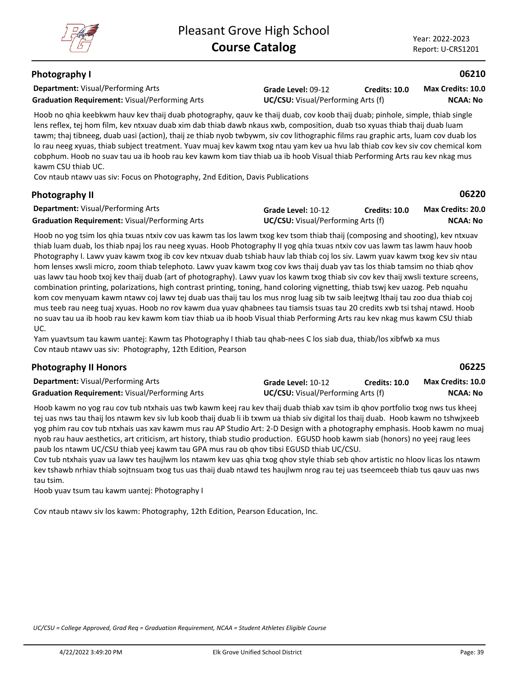## **Photography I**

**Department:** Visual/Performing Arts **Graduation Requirement:** Visual/Performing Arts **UC/CSU:** Visual/Performing Arts (f)

**Grade Level:** 09-12 **Credits: 10.0**

**NCAA: No Max Credits: 10.0**

**06210**

**06220**

**06225**

Hoob no qhia keebkwm hauv kev thaij duab photography, qauv ke thaij duab, cov koob thaij duab; pinhole, simple, thiab single lens reflex, tej hom film, kev ntxuav duab xim dab thiab dawb nkaus xwb, composition, duab tso xyuas thiab thaij duab luam tawm; thaj tibneeg, duab uasi (action), thaij ze thiab nyob twbywm, siv cov lithographic films rau graphic arts, luam cov duab los lo rau neeg xyuas, thiab subject treatment. Yuav muaj kev kawm txog ntau yam kev ua hvu lab thiab cov kev siv cov chemical kom cobphum. Hoob no suav tau ua ib hoob rau kev kawm kom tiav thiab ua ib hoob Visual thiab Performing Arts rau kev nkag mus kawm CSU thiab UC.

Cov ntaub ntawv uas siv: Focus on Photography, 2nd Edition, Davis Publications

## **Photography II**

| <b>Department:</b> Visual/Performing Arts             | Grade Level: 10-12                        | <b>Credits: 10.0</b> | <b>Max Credits: 20.0</b> |
|-------------------------------------------------------|-------------------------------------------|----------------------|--------------------------|
| <b>Graduation Requirement: Visual/Performing Arts</b> | <b>UC/CSU:</b> Visual/Performing Arts (f) |                      | NCAA: No                 |

Hoob no yog tsim los qhia txuas ntxiv cov uas kawm tas los lawm txog kev tsom thiab thaij (composing and shooting), kev ntxuav thiab luam duab, los thiab npaj los rau neeg xyuas. Hoob Photography II yog qhia txuas ntxiv cov uas lawm tas lawm hauv hoob Photography I. Lawv yuav kawm txog ib cov kev ntxuav duab tshiab hauv lab thiab coj los siv. Lawm yuav kawm txog kev siv ntau hom lenses xwsli micro, zoom thiab telephoto. Lawv yuav kawm txog cov kws thaij duab yav tas los thiab tamsim no thiab qhov uas lawv tau hoob txoj kev thaij duab (art of photography). Lawv yuav los kawm txog thiab siv cov kev thaij xwsli texture screens, combination printing, polarizations, high contrast printing, toning, hand coloring vignetting, thiab tswj kev uazog. Peb nquahu kom cov menyuam kawm ntawv coj lawv tej duab uas thaij tau los mus nrog luag sib tw saib leejtwg lthaij tau zoo dua thiab coj mus teeb rau neeg tuaj xyuas. Hoob no rov kawm dua yuav qhabnees tau tiamsis tsuas tau 20 credits xwb tsi tshaj ntawd. Hoob no suav tau ua ib hoob rau kev kawm kom tiav thiab ua ib hoob Visual thiab Performing Arts rau kev nkag mus kawm CSU thiab UC.

Yam yuavtsum tau kawm uantej: Kawm tas Photography I thiab tau qhab-nees C los siab dua, thiab/los xibfwb xa mus Cov ntaub ntawv uas siv: Photography, 12th Edition, Pearson

| <b>Photography II Honors</b> |  |
|------------------------------|--|
|------------------------------|--|

**Department:** Visual/Performing Arts **Grade Level:** 10-12 Graduation Requirement: Visual/Performing Arts **UC/CSU:** Visual/Performing Arts (f) **Credits: 10.0 NCAA: No Max Credits: 10.0**

Hoob kawm no yog rau cov tub ntxhais uas twb kawm keej rau kev thaij duab thiab xav tsim ib qhov portfolio txog nws tus kheej tej uas nws tau thaij los ntawm kev siv lub koob thaij duab li ib txwm ua thiab siv digital los thaij duab. Hoob kawm no tshwjxeeb yog phim rau cov tub ntxhais uas xav kawm mus rau AP Studio Art: 2-D Design with a photography emphasis. Hoob kawm no muaj nyob rau hauv aesthetics, art criticism, art history, thiab studio production. EGUSD hoob kawm siab (honors) no yeej raug lees paub los ntawm UC/CSU thiab yeej kawm tau GPA mus rau ob qhov tibsi EGUSD thiab UC/CSU.

Cov tub ntxhais yuav ua lawv tes haujlwm los ntawm kev uas qhia txog qhov style thiab seb qhov artistic no hloov licas los ntawm kev tshawb nrhiav thiab sojtnsuam txog tus uas thaij duab ntawd tes haujlwm nrog rau tej uas tseemceeb thiab tus qauv uas nws tau tsim.

Hoob yuav tsum tau kawm uantej: Photography I

Cov ntaub ntawv siv los kawm: Photography, 12th Edition, Pearson Education, Inc.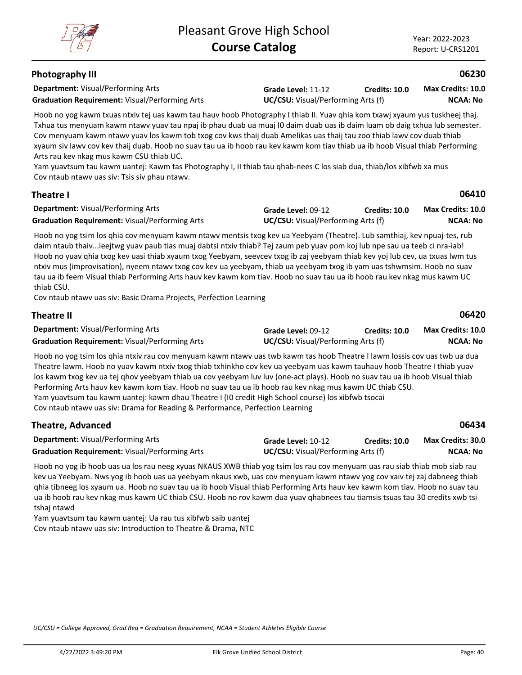# **Photography III**

**Department:** Visual/Performing Arts **Graduation Requirement:** Visual/Performing Arts **UC/CSU:** Visual/Performing Arts (f)

**Grade Level:** 11-12 **Credits: 10.0**

**NCAA: No Max Credits: 10.0**

**06230**

**06410**

Hoob no yog kawm txuas ntxiv tej uas kawm tau hauv hoob Photography I thiab II. Yuav qhia kom txawj xyaum yus tuskheej thaj. Txhua tus menyuam kawm ntawv yuav tau npaj ib phau duab ua muaj I0 daim duab uas ib daim luam ob daig txhua lub semester. Cov menyuam kawm ntawv yuav los kawm tob txog cov kws thaij duab Amelikas uas thaij tau zoo thiab lawv cov duab thiab xyaum siv lawv cov kev thaij duab. Hoob no suav tau ua ib hoob rau kev kawm kom tiav thiab ua ib hoob Visual thiab Performing Arts rau kev nkag mus kawm CSU thiab UC.

Yam yuavtsum tau kawm uantej: Kawm tas Photography I, II thiab tau qhab-nees C los siab dua, thiab/los xibfwb xa mus Cov ntaub ntawv uas siv: Tsis siv phau ntawv.

## **Theatre I**

| <b>Department: Visual/Performing Arts</b>             | Grade Level: 09-12                        | <b>Credits: 10.0</b> | <b>Max Credits: 10.0</b> |
|-------------------------------------------------------|-------------------------------------------|----------------------|--------------------------|
| <b>Graduation Requirement: Visual/Performing Arts</b> | <b>UC/CSU:</b> Visual/Performing Arts (f) |                      | NCAA: No                 |

Hoob no yog tsim los qhia cov menyuam kawm ntawv mentsis txog kev ua Yeebyam (Theatre). Lub samthiaj, kev npuaj-tes, rub daim ntaub thaiv...leejtwg yuav paub tias muaj dabtsi ntxiv thiab? Tej zaum peb yuav pom koj lub npe sau ua teeb ci nra-iab! Hoob no yuav qhia txog kev uasi thiab xyaum txog Yeebyam, seevcev txog ib zaj yeebyam thiab kev yoj lub cev, ua txuas lwm tus ntxiv mus (improvisation), nyeem ntawv txog cov kev ua yeebyam, thiab ua yeebyam txog ib yam uas tshwmsim. Hoob no suav tau ua ib feem Visual thiab Performing Arts hauv kev kawm kom tiav. Hoob no suav tau ua ib hoob rau kev nkag mus kawm UC thiab CSU.

Cov ntaub ntawv uas siv: Basic Drama Projects, Perfection Learning

| <b>Theatre II</b>                                     |                                           |                      | 06420             |
|-------------------------------------------------------|-------------------------------------------|----------------------|-------------------|
| <b>Department:</b> Visual/Performing Arts             | Grade Level: 09-12                        | <b>Credits: 10.0</b> | Max Credits: 10.0 |
| <b>Graduation Requirement:</b> Visual/Performing Arts | <b>UC/CSU:</b> Visual/Performing Arts (f) |                      | <b>NCAA: No</b>   |

Hoob no yog tsim los qhia ntxiv rau cov menyuam kawm ntawv uas twb kawm tas hoob Theatre I lawm lossis cov uas twb ua d Theatre lawm. Hoob no yuav kawm ntxiv txog thiab txhinkho cov kev ua yeebyam uas kawm tauhauv hoob Theatre I thiab yua los kawm txog kev ua tej qhov yeebyam thiab ua cov yeebyam luv luv (one-act plays). Hoob no suav tau ua ib hoob Visual thiab Performing Arts hauv kev kawm kom tiav. Hoob no suav tau ua ib hoob rau kev nkag mus kawm UC thiab CSU. Yam yuavtsum tau kawm uantej: kawm dhau Theatre I (I0 credit High School course) los xibfwb tsocai Cov ntaub ntawv uas siv: Drama for Reading & Performance, Perfection Learning

| Theatre, Advanced                                     |                                           |               | 06434             |
|-------------------------------------------------------|-------------------------------------------|---------------|-------------------|
| <b>Department:</b> Visual/Performing Arts             | Grade Level: 10-12                        | Credits: 10.0 | Max Credits: 30.0 |
| <b>Graduation Requirement: Visual/Performing Arts</b> | <b>UC/CSU:</b> Visual/Performing Arts (f) |               | NCAA: No          |

Hoob no yog ib hoob uas ua los rau neeg xyuas NKAUS XWB thiab yog tsim los rau cov menyuam uas rau siab thiab mob siab rau kev ua Yeebyam. Nws yog ib hoob uas ua yeebyam nkaus xwb, uas cov menyuam kawm ntawv yog cov xaiv tej zaj dabneeg thiab qhia tibneeg los xyaum ua. Hoob no suav tau ua ib hoob Visual thiab Performing Arts hauv kev kawm kom tiav. Hoob no suav tau ua ib hoob rau kev nkag mus kawm UC thiab CSU. Hoob no rov kawm dua yuav qhabnees tau tiamsis tsuas tau 30 credits xwb tsi tshaj ntawd

Yam yuavtsum tau kawm uantej: Ua rau tus xibfwb saib uantej Cov ntaub ntawv uas siv: Introduction to Theatre & Drama, NTC



| dua |  |  |
|-----|--|--|
| av  |  |  |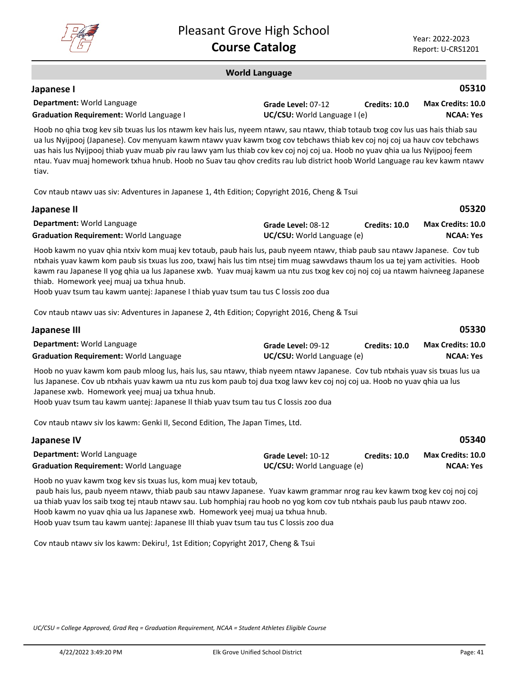

**Japanese I**

#### **World Language**

| Japanese I                                      |                                     |               | 05310             |
|-------------------------------------------------|-------------------------------------|---------------|-------------------|
| <b>Department:</b> World Language               | Grade Level: 07-12                  | Credits: 10.0 | Max Credits: 10.0 |
| <b>Graduation Requirement: World Language I</b> | <b>UC/CSU:</b> World Language I (e) |               | <b>NCAA: Yes</b>  |

Hoob no qhia txog kev sib txuas lus los ntawm kev hais lus, nyeem ntawv, sau ntawv, thiab totaub txog cov lus uas hais thiab sau ua lus Nyijpooj (Japanese). Cov menyuam kawm ntawv yuav kawm txog cov tebchaws thiab kev coj noj coj ua hauv cov tebchaws uas hais lus Nyijpooj thiab yuav muab piv rau lawv yam lus thiab cov kev coj noj coj ua. Hoob no yuav qhia ua lus Nyijpooj feem ntau. Yuav muaj homework txhua hnub. Hoob no Suav tau qhov credits rau lub district hoob World Language rau kev kawm ntawv tiav.

Cov ntaub ntawv uas siv: Adventures in Japanese 1, 4th Edition; Copyright 2016, Cheng & Tsui

| Japanese II                                   |                                   |                      | 05320                    |
|-----------------------------------------------|-----------------------------------|----------------------|--------------------------|
| <b>Department: World Language</b>             | Grade Level: 08-12                | <b>Credits: 10.0</b> | <b>Max Credits: 10.0</b> |
| <b>Graduation Requirement: World Language</b> | <b>UC/CSU:</b> World Language (e) |                      | NCAA: Yes                |
|                                               |                                   |                      |                          |

Hoob kawm no yuav qhia ntxiv kom muaj kev totaub, paub hais lus, paub nyeem ntawv, thiab paub sau ntawv Japanese. Cov tub ntxhais yuav kawm kom paub sis txuas lus zoo, txawj hais lus tim ntsej tim muag sawvdaws thaum los ua tej yam activities. Hoob kawm rau Japanese II yog qhia ua lus Japanese xwb. Yuav muaj kawm ua ntu zus txog kev coj noj coj ua ntawm haivneeg Japanese thiab. Homework yeej muaj ua txhua hnub.

Hoob yuav tsum tau kawm uantej: Japanese I thiab yuav tsum tau tus C lossis zoo dua

Cov ntaub ntawv uas siv: Adventures in Japanese 2, 4th Edition; Copyright 2016, Cheng & Tsui

| Japanese III                                  |                                   |                      | 05330             |
|-----------------------------------------------|-----------------------------------|----------------------|-------------------|
| <b>Department: World Language</b>             | Grade Level: 09-12                | <b>Credits: 10.0</b> | Max Credits: 10.0 |
| <b>Graduation Requirement: World Language</b> | <b>UC/CSU:</b> World Language (e) |                      | NCAA: Yes         |

Hoob no yuav kawm kom paub mloog lus, hais lus, sau ntawv, thiab nyeem ntawv Japanese. Cov tub ntxhais yuav sis txuas lus ua lus Japanese. Cov ub ntxhais yuav kawm ua ntu zus kom paub toj dua txog lawv kev coj noj coj ua. Hoob no yuav qhia ua lus Japanese xwb. Homework yeej muaj ua txhua hnub.

Hoob yuav tsum tau kawm uantej: Japanese II thiab yuav tsum tau tus C lossis zoo dua

Cov ntaub ntawv siv los kawm: Genki II, Second Edition, The Japan Times, Ltd.

| Japanese IV                                                                        |                                                         |                      | 05340                                 |
|------------------------------------------------------------------------------------|---------------------------------------------------------|----------------------|---------------------------------------|
| <b>Department: World Language</b><br><b>Graduation Requirement: World Language</b> | Grade Level: 10-12<br><b>UC/CSU:</b> World Language (e) | <b>Credits: 10.0</b> | Max Credits: 10.0<br><b>NCAA: Yes</b> |
|                                                                                    |                                                         |                      |                                       |

Hoob no yuav kawm txog kev sis txuas lus, kom muaj kev totaub,

 paub hais lus, paub nyeem ntawv, thiab paub sau ntawv Japanese. Yuav kawm grammar nrog rau kev kawm txog kev coj noj coj ua thiab yuav los saib txog tej ntaub ntawv sau. Lub homphiaj rau hoob no yog kom cov tub ntxhais paub lus paub ntawv zoo. Hoob kawm no yuav qhia ua lus Japanese xwb. Homework yeej muaj ua txhua hnub. Hoob yuav tsum tau kawm uantej: Japanese III thiab yuav tsum tau tus C lossis zoo dua

Cov ntaub ntawv siv los kawm: Dekiru!, 1st Edition; Copyright 2017, Cheng & Tsui